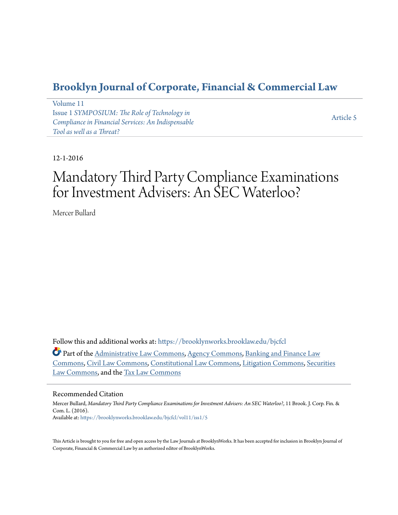# **[Brooklyn Journal of Corporate, Financial & Commercial Law](https://brooklynworks.brooklaw.edu/bjcfcl?utm_source=brooklynworks.brooklaw.edu%2Fbjcfcl%2Fvol11%2Fiss1%2F5&utm_medium=PDF&utm_campaign=PDFCoverPages)**

[Volume 11](https://brooklynworks.brooklaw.edu/bjcfcl/vol11?utm_source=brooklynworks.brooklaw.edu%2Fbjcfcl%2Fvol11%2Fiss1%2F5&utm_medium=PDF&utm_campaign=PDFCoverPages) Issue 1 *[SYMPOSIUM: The Role of Technology in](https://brooklynworks.brooklaw.edu/bjcfcl/vol11/iss1?utm_source=brooklynworks.brooklaw.edu%2Fbjcfcl%2Fvol11%2Fiss1%2F5&utm_medium=PDF&utm_campaign=PDFCoverPages) [Compliance in Financial Services: An Indispensable](https://brooklynworks.brooklaw.edu/bjcfcl/vol11/iss1?utm_source=brooklynworks.brooklaw.edu%2Fbjcfcl%2Fvol11%2Fiss1%2F5&utm_medium=PDF&utm_campaign=PDFCoverPages) [Tool as well as a Threat?](https://brooklynworks.brooklaw.edu/bjcfcl/vol11/iss1?utm_source=brooklynworks.brooklaw.edu%2Fbjcfcl%2Fvol11%2Fiss1%2F5&utm_medium=PDF&utm_campaign=PDFCoverPages)*

[Article 5](https://brooklynworks.brooklaw.edu/bjcfcl/vol11/iss1/5?utm_source=brooklynworks.brooklaw.edu%2Fbjcfcl%2Fvol11%2Fiss1%2F5&utm_medium=PDF&utm_campaign=PDFCoverPages)

12-1-2016

# Mandatory Third Party Compliance Examinations for Investment Advisers: An SEC Waterloo?

Mercer Bullard

Follow this and additional works at: [https://brooklynworks.brooklaw.edu/bjcfcl](https://brooklynworks.brooklaw.edu/bjcfcl?utm_source=brooklynworks.brooklaw.edu%2Fbjcfcl%2Fvol11%2Fiss1%2F5&utm_medium=PDF&utm_campaign=PDFCoverPages)

Part of the [Administrative Law Commons,](http://network.bepress.com/hgg/discipline/579?utm_source=brooklynworks.brooklaw.edu%2Fbjcfcl%2Fvol11%2Fiss1%2F5&utm_medium=PDF&utm_campaign=PDFCoverPages) [Agency Commons,](http://network.bepress.com/hgg/discipline/829?utm_source=brooklynworks.brooklaw.edu%2Fbjcfcl%2Fvol11%2Fiss1%2F5&utm_medium=PDF&utm_campaign=PDFCoverPages) [Banking and Finance Law](http://network.bepress.com/hgg/discipline/833?utm_source=brooklynworks.brooklaw.edu%2Fbjcfcl%2Fvol11%2Fiss1%2F5&utm_medium=PDF&utm_campaign=PDFCoverPages) [Commons,](http://network.bepress.com/hgg/discipline/833?utm_source=brooklynworks.brooklaw.edu%2Fbjcfcl%2Fvol11%2Fiss1%2F5&utm_medium=PDF&utm_campaign=PDFCoverPages) [Civil Law Commons,](http://network.bepress.com/hgg/discipline/835?utm_source=brooklynworks.brooklaw.edu%2Fbjcfcl%2Fvol11%2Fiss1%2F5&utm_medium=PDF&utm_campaign=PDFCoverPages) [Constitutional Law Commons](http://network.bepress.com/hgg/discipline/589?utm_source=brooklynworks.brooklaw.edu%2Fbjcfcl%2Fvol11%2Fiss1%2F5&utm_medium=PDF&utm_campaign=PDFCoverPages), [Litigation Commons](http://network.bepress.com/hgg/discipline/910?utm_source=brooklynworks.brooklaw.edu%2Fbjcfcl%2Fvol11%2Fiss1%2F5&utm_medium=PDF&utm_campaign=PDFCoverPages), [Securities](http://network.bepress.com/hgg/discipline/619?utm_source=brooklynworks.brooklaw.edu%2Fbjcfcl%2Fvol11%2Fiss1%2F5&utm_medium=PDF&utm_campaign=PDFCoverPages) [Law Commons](http://network.bepress.com/hgg/discipline/619?utm_source=brooklynworks.brooklaw.edu%2Fbjcfcl%2Fvol11%2Fiss1%2F5&utm_medium=PDF&utm_campaign=PDFCoverPages), and the [Tax Law Commons](http://network.bepress.com/hgg/discipline/898?utm_source=brooklynworks.brooklaw.edu%2Fbjcfcl%2Fvol11%2Fiss1%2F5&utm_medium=PDF&utm_campaign=PDFCoverPages)

### Recommended Citation

Mercer Bullard, *Mandatory Third Party Compliance Examinations for Investment Advisers: An SEC Waterloo?*, 11 Brook. J. Corp. Fin. & Com. L. (2016). Available at: [https://brooklynworks.brooklaw.edu/bjcfcl/vol11/iss1/5](https://brooklynworks.brooklaw.edu/bjcfcl/vol11/iss1/5?utm_source=brooklynworks.brooklaw.edu%2Fbjcfcl%2Fvol11%2Fiss1%2F5&utm_medium=PDF&utm_campaign=PDFCoverPages)

This Article is brought to you for free and open access by the Law Journals at BrooklynWorks. It has been accepted for inclusion in Brooklyn Journal of Corporate, Financial & Commercial Law by an authorized editor of BrooklynWorks.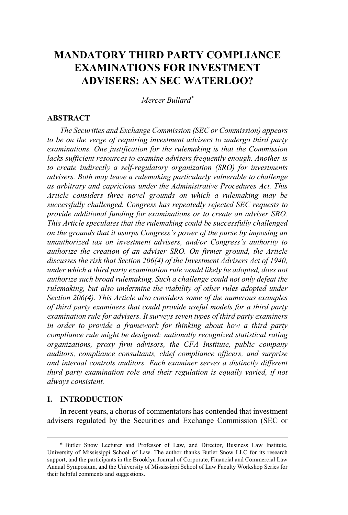## **MANDATORY THIRD PARTY COMPLIANCE EXAMINATIONS FOR INVESTMENT ADVISERS: AN SEC WATERLOO?**

*Mercer Bullard\**

### **ABSTRACT**

*The Securities and Exchange Commission (SEC or Commission) appears to be on the verge of requiring investment advisers to undergo third party examinations. One justification for the rulemaking is that the Commission lacks sufficient resources to examine advisers frequently enough. Another is to create indirectly a self-regulatory organization (SRO) for investments advisers. Both may leave a rulemaking particularly vulnerable to challenge as arbitrary and capricious under the Administrative Procedures Act. This Article considers three novel grounds on which a rulemaking may be successfully challenged. Congress has repeatedly rejected SEC requests to provide additional funding for examinations or to create an adviser SRO. This Article speculates that the rulemaking could be successfully challenged on the grounds that it usurps Congress's power of the purse by imposing an unauthorized tax on investment advisers, and/or Congress's authority to authorize the creation of an adviser SRO. On firmer ground, the Article discusses the risk that Section 206(4) of the Investment Advisers Act of 1940, under which a third party examination rule would likely be adopted, does not authorize such broad rulemaking. Such a challenge could not only defeat the rulemaking, but also undermine the viability of other rules adopted under Section 206(4). This Article also considers some of the numerous examples of third party examiners that could provide useful models for a third party examination rule for advisers. It surveys seven types of third party examiners in order to provide a framework for thinking about how a third party compliance rule might be designed: nationally recognized statistical rating organizations, proxy firm advisors, the CFA Institute, public company auditors, compliance consultants, chief compliance officers, and surprise and internal controls auditors. Each examiner serves a distinctly different third party examination role and their regulation is equally varied, if not always consistent.*

### **I. INTRODUCTION**

In recent years, a chorus of commentators has contended that investment advisers regulated by the Securities and Exchange Commission (SEC or

<sup>\*</sup> Butler Snow Lecturer and Professor of Law, and Director, Business Law Institute, University of Mississippi School of Law. The author thanks Butler Snow LLC for its research support, and the participants in the Brooklyn Journal of Corporate, Financial and Commercial Law Annual Symposium, and the University of Mississippi School of Law Faculty Workshop Series for their helpful comments and suggestions.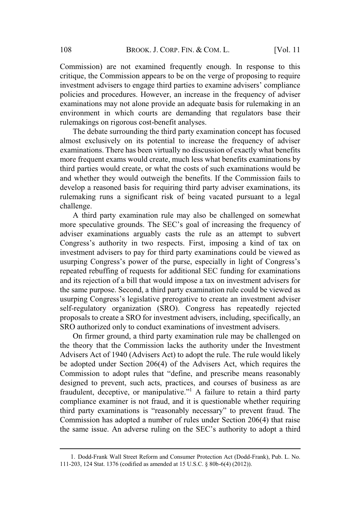Commission) are not examined frequently enough. In response to this critique, the Commission appears to be on the verge of proposing to require BROOK. J. CORP. FIN. & COM. L. [Vol. 11<br>
not examined frequently enough. In response to this<br>
ission appears to be on the verge of proposing to require<br>
to engage third parties to examine advisers' compliance mvesument advisers to engage time parties to examine advisers compirance<br>policies and procedures. However, an increase in the frequency of adviser examinations may not alone provide an adequate basis for rulemaking in an environment in which courts are demanding that regulators base their rulemakings on rigorous cost-benefit analyses.

The debate surrounding the third party examination concept has focused almost exclusively on its potential to increase the frequency of adviser almost exclusively on its potential to increase the requency of adviser<br>examinations. There has been virtually no discussion of exactly what benefits more frequent exams would create, much less what benefits examinations by third parties would create, or what the costs of such examinations would be and whether they would outweigh the benefits. If the Commission fails to develop a reasoned basis for requiring third party adviser examinations, its rulemaking runs a significant risk of being vacated pursuant to a legal challenge. mission) are not examined nequentry enough. In tesponse to unis<br>ue, the Commission appears to be on the verge of proposing to require<br>trench davisers to engage third parties to examine advisers' compliance<br>ies and procedur auvisers to engage untu parties to examine auvisers compinance<br>d procedures. However, an increase in the frequency of adviser<br>ms may not alone provide an adequate basis for rulemaking in an<br>t in which courts are demanding not in which courts are demanding that regulators base their<br>nent in which courts are demanding that regulators base their<br>ngs on rigorous cost-benefit analyses.<br>debate surrounding the third party examination concept has f

A third party examination rule may also be challenged on somewhat adviser examinations arguably casts the rule as an attempt to subvert investment advisers to pay for third party examinations could be viewed as repeated rebuffing of requests for additional SEC funding for examinations and its rejection of a bill that would impose a tax on investment advisers for the same purpose. Second, a third party examination rule could be viewed as Extrastively on its potential to increase the inequently of adviser<br>itons. There has been virtually no discussion of exactly what benefits<br>quent exams would create, much less what benefits examinations by<br>quent they would self-regulatory organization (SRO). Congress has repeatedly rejected proposals to create a SRO for investment advisers, including, specifically, an SRO authorized only to conduct examinations of investment advisers. more speculative grounds. The SEC's goal of increasing the frequency of by examination fue may also be challenged on solie-what<br>
be grounds. The SEC's goal of increasing the frequency of<br>
ations arguably casts the rule as an attempt to subvert<br>
hority in two respects. First, imposing a kind of Congress's authority in two respects. First, imposing a kind of tax on animations arguably casts the rule as an attempt to subvert<br>anthority in two respects. First, imposing a kind of tax on<br>advisers to pay for third party examinations could be viewed as<br>congress's power of the purse, especi usurping Congress's power of the purse, especially in light of Congress's

On firmer ground, a third party examination rule may be challenged on the theory that the Commission lacks the authority under the Investment Advisers Act of 1940 (Advisers Act) to adopt the rule. The rule would likely be adopted under Section 206(4) of the Advisers Act, which requires the designed to prevent, such acts, practices, and courses of business as are fraudulent, deceptive, or manipulative."<sup>1</sup> A failure to retain a third party compliance examiner is not fraud, and it is questionable whether requiring state and the party examinations colub be viewed as<br>since departs a power of the purse, especially in light of Congress's<br>that rebuffing of requests for additional SEC funding for examinations<br>that rejection of a bill tha Commission has adopted a number of rules under Section 206(4) that raise eated reouting of requests for additional sect intiting for examinations<br>it is rejection of a bill that would impose a tax on investment advisers for<br>same purpose. Second, a third party examination rule could be viewed as

<sup>1</sup>. Dodd-Frank Wall Street Reform and Consumer Protection Act (Dodd-Frank), Pub. L. No. 111-203, 124 Stat. 1376 (codified as amended at 15 U.S.C. § 80b-6(4) (2012)).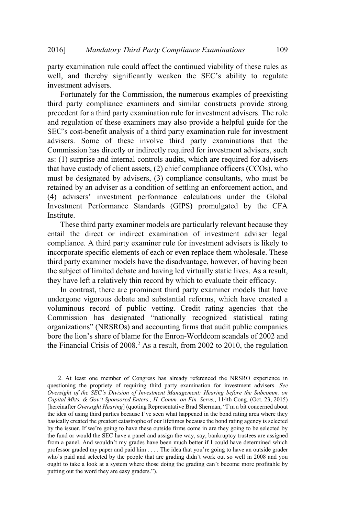party examination rule could affect the continued viability of these rules as and Mandatory Third Party Compliance Examinations<br>
Thereby significantly weaken the SEC's ability to regulate investment advisers.

Fortunately for the Commission, the numerous examples of preexisting third party compliance examiners and similar constructs provide strong precedent for a third party examination rule for investment advisers. The role and regulation of these examiners may also provide a helpful guide for the Mandatory Third Party Compliance Examinations 109<br>examination rule could affect the continued viability of these rules as<br>and thereby significantly weaken the SEC's ability to regulate<br>ment advisers.<br>ortunately for the Com advisers. Some of these involve third party examinations that the Commission has directly or indirectly required for investment advisers, such as: (1) surprise and internal controls audits, which are required for advisers as. (1) surprise and internal controls addits, which are required for advisers that have custody of client assets. (2) chief compliance officers  $(CCOS)$ , who mat have custody of chent assets,  $(2)$  chen compitance of the extreme (CCOs), who must be designated by advisers.  $(3)$  compliance consultants, who must be must be designated by advisers, (3) compilance consultants, who must be retained by an adviser as a condition of settling an enforcement action, and 16] *Mandatory Third Party Compliance Examinations* 109<br>ty examination rule could affect the continued viability of these rules as<br>ll, and thereby significantly weaken the SEC's ability to regulate<br>estment advisers.<br>Fortun Investment Performance Standards (GIPS) promulgated by the CFA Institute.

These third party examiner models are particularly relevant because they entail the direct or indirect examination of investment adviser legal compliance. A third party examiner rule for investment advisers is likely to incorporate specific elements of each or even replace them wholesale. These third party examiner models have the disadvantage, however, of having been the subject of limited debate and having led virtually static lives. As a result, they have left a relatively thin record by which to evaluate their efficacy. See and internal controls addits, which are required for advisers<br>tody of client assets, (2) chief compliance officers (CCOs), who<br>ignated by advisers, (3) compliance consultants, who must be<br>m adviser as a condition of se (2) one compliance offices (CCOs), who mated by advisers, (3) compliance consultants, who must be adviser as a condition of settling an enforcement action, and investment performance calculations under the Global arforman The distance of a divisers, (5) compliance consumants, who must be<br>ned by an adviser as a condition of settling an enforcement action, and<br>advisers' investment performance calculations under the Global<br>atment Performance S

In contrast, there are prominent third party examiner models that have undergone vigorous debate and substantial reforms, which have created a voluminous record of public vetting. Credit rating agencies that the the Financial Crisis of  $2008<sup>2</sup>$  As a result, from 2002 to 2010, the regulation In contrast, there are prominent third party examiner models that have<br>undergone vigorous debate and substantial reforms, which have created a<br>voluminous record of public vetting. Credit rating agencies that the<br>Commission undergone vigorous debate and substantial reforms, which have created a<br>voluminous record of public vetting. Credit rating agencies that the<br>Commission has designated "nationally recognized statistical rating<br>organization

<sup>2</sup>. At least one member of Congress has already referenced the NRSRO experience in questioning the propriety of requiring third party examination for investment advisers. *See Oversight of the SEC's Division of Investment Management: Hearing before the Subcomm. on Capital Mkts. & Gov't Sponsored Enters., H. Comm. on Fin. Servs.*, 114th Cong. (Oct. 23, 2015) basically created the greatest catastrophe of our lifetimes because the bond rating agency is selected voluminous record of public vetting. Credit rating agencies that the<br>Commission has designated "nationally recognized statistical rating<br>organizations" (NRSROs) and accounting firms that audit public companies<br>bore the li the fund or would the SEC have a panel and assign the way, say, bankruptcy trustees are assigned organizations" (NRSROs) and accounting firms that audit public companies<br>bore the lion's share of blame for the Enron-Worldcom scandals of 2002 and<br>the Financial Crisis of 2008.<sup>2</sup> As a result, from 2002 to 2010, the regu bore the lion's share of blame for the Enron-Worldcom scandals of 2002 and<br>the Financial Crisis of 2008.<sup>2</sup> As a result, from 2002 to 2010, the regulation<br>the Financial Crisis of 2008.<sup>2</sup> As a result, from 2002 to 2010, t bore the lion's share of blame for the Enron-Worldcom scandals of 2002 and<br>the Financial Crisis of 2008.<sup>2</sup> As a result, from 2002 to 2010, the regulation<br>the Financial Crisis of 2008.<sup>2</sup> As a result, from 2002 to 2010, t the Financial Crisis of 2008.<sup>2</sup> As a result, from 2002 to 2010, the regulation<br>
2. At least one member of Congress has already referenced the NRSRO experience in<br>
questioning the propriety of requiring third party examin 2. At least one member of Congress<br>questioning the propriety of requiring thin<br>Oversight of the SEC's Division of Investm<br>Capital Mkts. & Gov't Sponsored Enters., H<br>[hereinafter Oversight Hearing] (quoting Rep<br>the idea of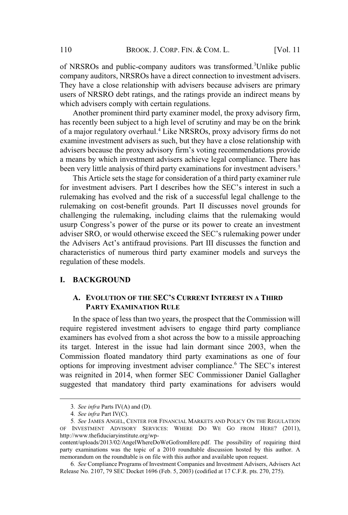of NRSROs and public-company auditors was transformed.<sup>3</sup>Unlike public company auditors, NRSROs have a direct connection to investment advisers. company auditors, investors have a unect connection to investment advisers.<br>They have a close relationship with advisers because advisers are primary They have a close relationship with advisers because advisers are primary<br>users of NRSRO debt ratings, and the ratings provide an indirect means by which advisers comply with certain regulations. BROOK. J. CORP. FIN. & COM. L. [Vol. 11<br>ROs and public-company auditors was transformed.<sup>3</sup>Unlike public<br>y auditors, NRSROs have a direct connection to investment advisers.<br>NRSRO debt ratings, and the ratings provide an in

Another prominent third party examiner model, the proxy advisory firm, has recently been subject to a high level of scrutiny and may be on the brink of a major regulatory overhaul.<sup>4</sup> Like NRSROs, proxy advisory firms do not examine investment advisers as such, but they have a close relationship with a means by which investment advisers achieve legal compliance. There has been very little analysis of third party examinations for investment advisers.<sup>5</sup> BROOK. J. CORP. FIN. & COM. L. [Vol. 11<br>
NRSROs and public-company auditors was transformed.<sup>3</sup>Unlike public<br>
mpany auditors, NRSROs have a direct connection to investment advisers.<br>
Ey have a close relationship with advis about and public-company adunots was transformed. Omixe publical<br>any audiotrs, NRSROs have a direct connection to investment advisers.<br>have a close relationship with advisers because advisers are primary<br>of NRSRO debt rati In the action of a third power and the SEC's rulemaking work and conserved and indirect means by a f NRSRO debt ratings, and the ratings provide an indirect means by f NRSRO debt ratings, and the ratings provide an indirec

This Article sets the stage for consideration of a third party examiner rule rulemaking has evolved and the risk of a successful legal challenge to the rulemaking on cost-benefit grounds. Part II discusses novel grounds for challenging the rulemaking, including claims that the rulemaking would by have a close relationship with advisers because advisers are pinnary<br>ors of NRSRO debt ratings, and the ratings provide an indirect means by<br>cich advisers comply with cretain regulations.<br>Another prominent third party e characteristics of numerous third party examiner models and surveys the regulation of these models. Consumery of the published and the relemaking would busing the rulemaking including claims that the rulemaking would<br>usurp Congress's power of the purse or its power to create an investment<br>adviser SRO, or would otherwise

### **I. BACKGROUND**

### **A. EVOLUTION OF THE SEC'S CURRENT INTEREST IN A THIRD PARTY EXAMINATION RULE**

In the space of less than two years, the prospect that the Commission will require registered investment advisers to engage third party compliance examiners has evolved from a shot across the bow to a missile approaching its target. Interest in the issue had lain dormant since 2003, when the Commission floated mandatory third party examinations as one of four was reignited in 2014, when former SEC Commissioner Daniel Gallagher suggested that mandatory third party examinations for advisers would

<sup>3</sup>*. See infra* Parts IV(A) and (D).

<sup>4</sup>*. See infra* Part IV(C).

<sup>5</sup>*. See* JAMES ANGEL, CENTER FOR FINANCIAL MARKETS AND POLICY ON THE REGULATION OF INVESTMENT ADVISORY SERVICES: WHERE DO WE GO FROM HERE? (2011), http://www.thefiduciaryinstitute.org/wp-

content/uploads/2013/02/AngelWhereDoWeGofromHere.pdf. The possibility of requiring third party examinations was the topic of a 2010 roundtable discussion hosted by this author. A memorandum on the roundtable is on file with this author and available upon request.

<sup>6</sup>*. See* Compliance Programs of Investment Companies and Investment Advisers, Advisers Act Release No. 2107, 79 SEC Docket 1696 (Feb. 5, 2003) (codified at 17 C.F.R. pts. 270, 275).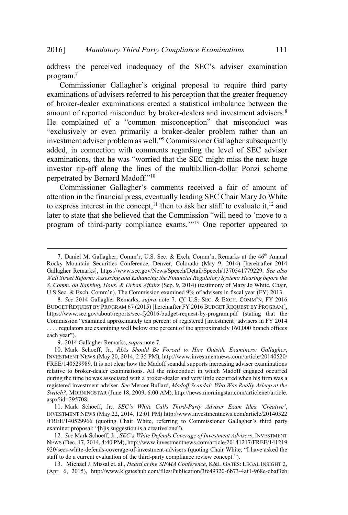program.<sup>7</sup> Examination and the SEC and the SEC and the SEC's adviser examination<br>Gallagher's original proposal to require third party address the perceived inadequacy of the SEC's adviser examination

examinations of advisers referred to his perception that the greater frequency of broker-dealer examinations created a statistical imbalance between the amount of reported misconduct by broker-dealers and investment advisers.<sup>8</sup> Mandatory Third Party Compliance Examinations 111<br>
dress the perceived inadequacy of the SEC's adviser examination<br>
gram.<sup>7</sup><br>
Commissioner Gallagher's original proposal to require third party<br>
numinations of advisers refer Mandatory Third Party Compliance Examinations 111<br>perceived inadequacy of the SEC's adviser examination<br>sioner Gallagher's original proposal to require third party<br>so f advisers referred to his perception that the greater provide The *netw Compliance Examinations* 111<br>
provide inadequacy of the SEC's adviser examination<br>
Gallagher's original proposal to require third party<br>
visers referred to his perception that the greater frequency<br>
xamin investment adviser problem as well."<sup>9</sup> Commissioner Gallagher subsequently added, in connection with comments regarding the level of SEC adviser Inductory Third Party Compliance Examinations 111<br>perceived inadequacy of the SEC's adviser examination<br>oner Gallagher's original proposal to require third party<br>of advisers referred to his perception that the greater freq investor rip-off along the lines of the multibillion-dollar Ponzi scheme andatory Third Part<br>perceived inadequa<br>oner Gallagher's of<br>advisers referred t<br>er examinations cre<br>orted misconduct by<br>ed of a "common<br>pr even primarily *i*<br>viser problem as well<br>nection with comm<br>that he was "worrie<br>ff al tory Third Party Compliance Examinations 111<br>eived inadequacy of the SEC's adviser examination<br>Gallagher's original proposal to require third party<br>visers referred to his perception that the greater frequency<br>xaminations c ess the perceived inadequacy of the SEC's adviser examination ram.<sup>7</sup><br>Commissioner Gallagher's original proposal to require third party<br>ninations of advisers referred to his perception that the greater frequency<br>roker-dea program of third-party commissioner Gallagher's original proposal to require third party examinations of advisers referred to his perception that the greater frequency of broker-dealer examinations created a statistical i estment adviser problem as well."<sup>9</sup> Commissioner Gallagher subsequently<br>led, in connection with comments regarding the level of SEC adviser<br>minations, that he was "worried that the SEC might miss the next huge<br>estor rip-o

attention in the financial press, eventually leading SEC Chair Mary Jo White to express interest in the concept,<sup>11</sup> then to ask her staff to evaluate it,<sup>12</sup> and myester Tip on tang the mark of the maniformer donar Tonzi scheme<br>perpetrated by Bernard Madoff."<sup>10</sup><br>Commissioner Gallagher's comments received a fair of amount of<br>attention in the financial press, eventually leading SEC perrated by Bernard Madori. "<br>
Commissioner Gallagher's comments received a fair of amount of<br>
mition in the financial press, eventually leading SEC Chair Mary Jo White<br>
express interest in the concept,<sup>11</sup> then to ask her

BUDGET REQUEST BY PROGRAM 67 (2015) [hereinafter FY 2016 BUDGET REQUEST BY PROGRAM], https://www.sec.gov/about/reports/sec-fy2016-budget-request-by-program.pdf (stating that the . . . . regulators are examining well below one percent of the approximately 160,000 branch offices

9. 2014 Gallagher Remarks, *supra* note 7.

<sup>7.</sup> Daniel M. Gallagher, Comm'r, U.S. Sec. & Exch. Comm'n, Remarks at the 46<sup>th</sup> Annual Rocky Mountain Securities Conference, Denver, Colorado (May 9, 2014) [hereinafter 2014 Gallagher Remarks], https://www.sec.gov/News/Speech/Detail/Speech/1370541779229. *See also Wall Street Reform: Assessing and Enhancing the Financial Regulatory System: Hearing before the S. Comm. on Banking, Hous. & Urban Affairs* (Sep. 9, 2014) (testimony of Mary Jo White, Chair, Commission terrest in the concept,<sup>11</sup> then to ask her staff to evaluate it,<sup>12</sup> and<br>later to state that she believed that the Commission "will need to 'move to a<br>program of third-party compliance exams."<sup>13</sup> One reporter each year").

<sup>10</sup>. Mark Schoeff, Jr., *RIAs Should Be Forced to Hire Outside Examiners: Gallagher*, INVESTMENT NEWS (May 20, 2014, 2:35 PM), http://www.investmentnews.com/article/20140520/ FREE/140529989. It is not clear how the Madoff scandal supports increasing adviser examinations relative to broker-dealer examinations. All the misconduct in which Madoff engaged occurred during the time he was associated with a broker-dealer and very little occurred when his firm was a registered investment adviser. *See* Mercer Bullard, *Madoff Scandal: Who Was Really Asleep at the Switch?*, MORNINGSTAR (June 18, 2009, 6:00 AM), http://news.morningstar.com/articlenet/article. aspx?id=295708. 6. See ZOI4 Suaguer Kemarks, supra note 7. CJ. O.S. Sec. & EXCH. COMM R, FT 2016<br>BUDGET REQUEST BY PROGRAM 67 (2015) [heriander PT 2016 BUDGET REQUEST BY PROGRAM],<br>https://www.sec.gov/about/reports/sec-fy2016-budget-reque BUDGET REQUEST BY PROGRAM 07 (2015) [herematter https://www.sec.gov/about/reports/sec-fy2016-budget-re<br>Commission "examined approximately ten percent of recall that commission "examining well below one percent of<br>each year 920. The examing well below one percent of the approximately 160,000 branch offices<br>
9. 2014 Gallagher Remarks, *supra* note 7.<br>
9. 2014 Gallagher Remarks, *supra* note 7.<br>
10. Mark Schoeff, Jr., *RIAs Should Be Forced to* 9. 2014 Gallagher Remarks, *supra* note 7.<br>
9. 2014 Gallagher Remarks, *supra* note 7.<br>
10. Mark Schoeff, Jr., *RIAs Should Be Forced to Hire Outside Exal*<br>
INVESTMENT NEWS (May 20, 2014, 2:35 PM), http://www.investmentnew

<sup>11</sup>. Mark Schoeff, Jr., *SEC's White Calls Third-Party Adviser Exam Idea 'Creative'*, INVESTMENT NEWS (May 22, 2014, 12:01 PM) http://www.investmentnews.com/article/20140522 12*. See* Mark Schoeff, Jr., *SEC's White Defends Coverage of Investment Advisers*, INVESTMENT

NEWS (Dec. 17, 2014, 4:40 PM), http://www.investmentnews.com/article/20141217/FREE/141219

<sup>13</sup>. Michael J. Missal et. al., *Heard at the SIFMA Conference*, K&L GATES: LEGAL INSIGHT 2, (Apr. 6, 2015), http://www.klgateshub.com/files/Publication/3fc49320-6b73-4af1-968e-dbaf3eb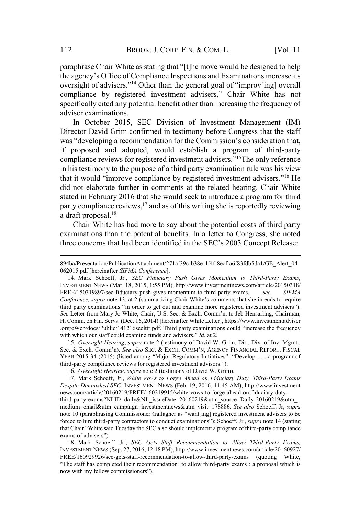paraphrase Chair White as stating that "[t] the move would be designed to help<br>paraphrase Chair White as stating that "[t]he move would be designed to help 2 BROOK. J. CORP. FIN. & COM. L. [Vol. 11]<br>aphrase Chair White as stating that "[t]he move would be designed to help<br>agency's Office of Compliance Inspections and Examinations increase its BROOK. J. CORP. FIN. & COM. L. [Vol. 11]<br>See Chair White as stating that "[t]he move would be designed to help<br>y's Office of Compliance Inspections and Examinations increase its<br>of advisers."<sup>14</sup> Other than the general goa BROOK. J. CORP. FIN. & COM. L. [Vol. 11]<br>
ir White as stating that "[t]he move would be designed to help<br>
fice of Compliance Inspections and Examinations increase its<br>
visers."<sup>14</sup> Other than the general goal of "improv[in specifically cited any potential benefit other than increasing the frequency of adviser examinations. BROOK. J. CORP. FIN. & COM. L. [Vol. 11<br>
uphrase Chair White as stating that "[t]he move would be designed to help<br>
agency's Office of Compliance Inspections and Examinations increase its<br>
resight of advisers."<sup>14</sup> Other t BROOK. J. CORP. FIN. & COM. L. [Vol. 11<br>Chair White as stating that "[t]he move would be designed to help<br>s Office of Compliance Inspections and Examinations increase its<br>divisers."<sup>14</sup> Other than the general goal of "impr

In October 2015, SEC Division of Investment Management (IM) Director David Grim confirmed in testimony before Congress that the staff if proposed and adopted, would establish a program of third-party in his testimony to the purpose of a third party examination rule was his view BROOK. J. CORP. FIN. & COM. L. [Vol. 11<br>
aphrase Chair White as stating that "[t]he move would be designed to help<br>
agency's Office of Compliance Inspections and Examinations increase its<br>
rsight of advisers."<sup>14</sup> Other th did not elaborate further in comments at the related hearing. Chair White stated in February 2016 that she would seek to introduce a program for third party compliance reviews, $17$  and as of this writing she is reportedly reviewing a draft proposal.<sup>18</sup> oversignt of advisers. Outer that the general goal of improving overal compliance by registered investment advisers," Chair White has no appecifically cited any potential benefit other than increasing the frequency of advi *Conference, supra* note 13, at 2 (summarizing Chair White State in February 2016 that she would seek to introduce a program for third party compliance reviews,<sup>17</sup> and as of this writing she is reportedly reviewing a draf did not elaborate further in comments at the related hearing. Chair White<br>stated in February 2016 that she would seek to introduce a program for third<br>party compliance reviews,<sup>17</sup> and as of this writing she is reportedly

Chair White has had more to say about the potential costs of third party examinations than the potential benefits. In a letter to Congress, she noted

with which our staff could examine funds and advisers." *Id.* at 2.<br>15. *Oversight Hearing, supra* note 2 (testimony of David W. Grim, Dir., Div. of Inv. Mgmt.,

16*. Oversight Hearing*, *supra* note 2 (testimony of David W. Grim).

17. Mark Schoeff, Jr., *White Vows to Forge Ahead on Fiduciary Duty, Third-Party Exams Despite Diminished SEC*, INVESTMENT NEWS (Feb. 19, 2016, 11:45 AM), http://www.investment news.com/article/20160219/FREE/160219915/white-vows-to-forge-ahead-on-fiduciary-duty-

third-party-exams?NLID=daily&NL\_issueDate=20160219&utm\_source=Daily-20160219&utm\_ medium=email&utm\_campaign=investmentnews&utm\_visit=178886. *See also* Schoeff, Jr, *supra* that party examminations in order to get out and examine more registered investime a lovestime.<br>
F. Comm. on Fin. Servs. (Dec. 16, 2014) [hereinafter White Letter], https://www.investmentadviser<br>
.org/eWeb/docs/Public/141 Bee Letter from Marin H. Comm. on Fin. Se.<br>
I. Comm. on Fin. Se.<br>
org/eWeb/docs/Pub<br>
with which our staff<br>
15. *Oversight He*<br>
Sec. & Exch. Comm.<br>
YEAR 2015 34 (201<br>
third-party complian<br>
16. *Oversight He*<br>
17. Mark Schoe 18. Mark Schoeff, Jr., *SEC Gets Staff Recommendation to Allow Third-Party Exams,* 15. Oversign recaring, supra note 2 (ustimoly of David w. Grim, Dir., Div. of inv. Nagmet, Sec. & Exch. Comm'n). See also SEC. & Exch. COMM'N, AGENCY FINANCIAL REPORT, FISCAL VERNET FISCAL VERNET FISCAL TREAT FISCAL WEAR Sec. & Exch. Comminstoners and SEC VEAR 2015 34 (2015) (listed among 'third-party compliance reviews for reg 16. *Oversight Hearing, supra* note 17. Mark Schoeff, Jr., *White Vow Despite Diminished SEC*, INVESTMEN news.c

INVESTMENT NEWS (Sep. 27, 2016, 12:18 PM), http://www.investmentnews.com/article/20160927/ FREE/160929926/sec-gets-staff-recommendation-to-allow-third-party-exams (quoting White,

<sup>894</sup>ba/Presentation/PublicationAttachment/271af39c-b38e-4f4f-8ecf-a6f83fdb5da1/GE\_Alert\_04 062015.pdf [hereinafter *SIFMA Conference*].

<sup>14</sup>. Mark Schoeff, Jr., *SEC Fiduciary Push Gives Momentum to Third-Party Exams,* INVESTMENT NEWS (Mar. 18, 2015, 1:55 PM), http://www.investmentnews.com/article/20150318/ FREE/150319897/sec-fiduciary-push-gives-momentum-to-third-party-exams. *See SIFMA* stated in February 2016 that she would seek to introduce a program for third<br>party compliance reviews,<sup>17</sup> and as of this writing she is reportedly reviewing<br>a draft proposal.<sup>18</sup><br>Chair White has had more to say about the H. Comm. on Fin. Servs. (Dec. 16, 2014) [hereinafter White Letter], https://www.investmentadviser party compinance reviews, and as of this withing site is reportedly reviewing<br>a draft proposal.<sup>18</sup><br>Chair White has had more to say about the potential costs of third party<br>examinations than the potential benefits. In a le a draft proposal.<sup>16</sup><br>Chair White has had more to say about the pc<br>examinations than the potential benefits. In a lett<br>three concerns that had been identified in the SEC<br>394ba/Presentation/PublicationAttachment/271af39c-b3 examinations than the potential benefits. In a letter to Congress, she noted<br>three concerns that had been identified in the SEC's 2003 Concept Release:<br>894ba/Presentation/PublicationAttachment/271af39c-b38e-4f4f-8ecf-a6f83 Examinations than the potential ocidents. In a fetter to Congress, site noted<br>three concerns that had been identified in the SEC's 2003 Concept Release:<br>894ba/Presentation/PublicationAttachment/271af39c-b38e-4f4f-8ecf-a6f three concerns that had been identified in the SEC's 2<br>
894ba/Presentation/Publication Attachment/271af39c-b38e-4f4f-8ecf<br>
062015.pdf [hereinafter *SIFMA Conference*].<br>
14. Mark Schoeff, Jr., *SEC Fiduciary Push Gives Mome* r Note 11002 (11101) The 11 (11101) The 11 (11101) The Comparison Conference, supra note 13, at 2 (summarizing Chair White's comments that she intends to require third party examinations "in order to get out and examine mo Congerence, supra note 15, at 2 (summarizing Chair winte somments that sue intents of equiters").<br>
See Letter from Mary 10 White, Chair, U.S. Sec. & Exch. Comm'n, to Jeb Hensarling, Chairman,<br>
H. Comm. on Fin. Servs. (Dec.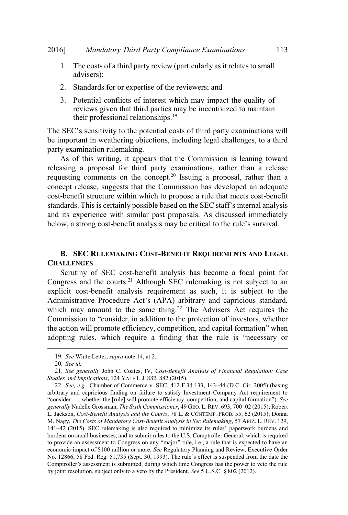- 1. The costs of a third party review (particularly as it relates to small advisers);
- 2. Standards for or expertise of the reviewers; and
- 3. Potential conflicts of interest which may impact the quality of reviews given that third parties may be incentivized to maintain their professional relationships.<sup>19</sup> SEC's sensitivity to the potential costs of third party compliance Examinations 113<br>
1. The costs of a third party review (particularly as it relates to small<br>
advisers);<br>
2. Standards for or expertise of the reviewers; a

be important in weathering objections, including legal challenges, to a third party examination rulemaking.

As of this writing, it appears that the Commission is leaning toward releasing a proposal for third party examinations, rather than a release requesting comments on the concept.<sup>20</sup> Issuing a proposal, rather than a  $\epsilon$  concept release, suggests that the Commission has developed an adequate cost-benefit structure within which to propose a rule that meets cost-benefit *Mandatory Third Party Compliance Examinations* 113<br>
he costs of a third party review (particularly as it relates to small<br>
visiers);<br>
andards for or expertise of the reviewers; and<br>
otential conflicts of interest which m and its experience with similar past proposals. As discussed immediately Frace costs of a time party review (particularly as it relates to small advisers);<br>
2. Standards for or expertise of the reviewers; and<br>
3. Potential conflicts of interest which may impact the quality of<br>
reviews given th From the matrices of the commission is leaning toward<br>posal for third party examinations, rather than a release<br>nments on the concept.<sup>20</sup> Issuing a proposal, rather than a<br>e, suggests that the Commission has developed an "consider, in the concept.<sup>20</sup> Issuing a proposal for third party examinations, rather than a release<br>nments on the concept.<sup>20</sup> Issuing a proposal, rather than a release<br>nments on the concept.<sup>20</sup> Issuing a proposal, rat

### **B. SEC RULEMAKING COST-BENEFIT REQUIREMENTS AND LEGAL CHALLENGES**

Scrutiny of SEC cost-benefit analysis has become a focal point for Congress and the courts.<sup>21</sup> Although SEC rulemaking is not subject to an explicit cost-benefit analysis requirement as such, it is subject to the which may amount to the same thing.<sup>22</sup> The Advisers Act requires the **EXECT THE SECT THE SECT THE SECT ANTIFY** and accept an adequate the theoretic structure within which to propose a rule that meets cost-benefit structure within which to propose a rule that meets cost-benefit and and sele release, suggests that the Commission has developed an adequate<br>effit structure within which to propose a rule that meets cost-benefit<br>s. This is certainly possible based on the SEC staff's internal analysis<br>experience wit **EXECTS SEC COST-benefit analysis has become a focal point for ongress and the courts.<sup>21</sup> Although SEC rulemaking is not subject to an plicit cost-benefit analysis requirement as such, it is subject to the liministrative** Congress and the courts.<sup>21</sup> Although SEC rulemaking is not subject to an explicit cost-benefit analysis requirement as such, it is subject to the Administrative Procedure Act's (APA) arbitrary and capricious standard, whi **Explicit cost-benefit analysis requirement as such, it is subject to the**<br> **Administrative Procedure Act's (APA) arbitrary and capricious standard,**<br>
which may amount to the same thing.<sup>22</sup> The Advisers Act requires the<br>

<sup>19</sup>*. See* White Letter, *supra* note 14, at 2.

<sup>20</sup>*. See id.*

<sup>21</sup>*. See generally* John C. Coates, IV, *Cost-Benefit Analysis of Financial Regulation: Case Studies and Implications*, 124 YALE L.J. 882, 882 (2015).

arbitrary and capricious finding on failure to satisfy Investment Company Act requirement to L. Jackson, *Cost-Benefit Analysis and the Courts*, 78 L. & CONTEMP. PROB. 55, 62 (2015); Donna M. Nagy, *The Costs of Mandatory Cost-Benefit Analysis in Sec Rulemaking*, 57 ARIZ. L. REV. 129, which may amount to the same thing.<sup>22</sup> The Advisers Act requires the<br>Commission to "consider, in addition to the protection of investors, whether<br>the action will promote efficiency, competition, and capital formation" wh burdens on small businesses, and to submit rules to the U.S. Comptroller General, which is required to example and provide and the constant, in addition to the procedured of investors, when adopting rules, which require a finding that the rule is "necessary or adopting rules, which require a finding that the rule is "ne to provide an assessment to Congress on any "major" rule, i.e., a rule that is expected to have an economic impact of \$100 million or more. *See* Regulatory Planning and Review, Executive Order adopting rules, which require a finding that the rule is "necessary or<br>
19. See White Letter, supra note 14, at 2.<br>
20. See id.<br>
21. See generally John C. Coates, IV, Cost-Benefit Analysis of Financial Regulation: Case<br>
S 19. See White Letter, *supra* note 14, at 2.<br>
20. See id.<br>
21. See generally John C. Coates, IV, *Cost-Benefit Analysis of Financial Regulation: Case*<br> *Studies and Implications*, 124 YALE L.J. 882, 882 (2015).<br>
22. See, Comptroller's assessment is submitted, during which time Congress has the power to veto the rule by joint resolution, subject only to a veto by the President. *See* 5 U.S.C. § 802 (2012).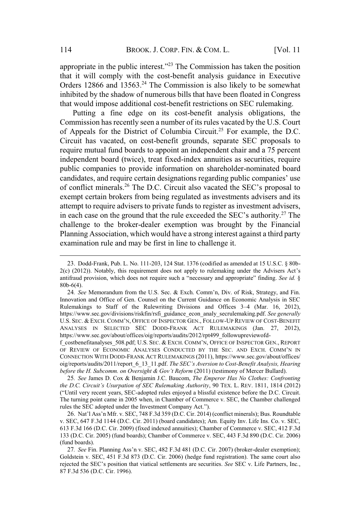appropriate in the public interest."<sup>23</sup> The Commission has taken the position that it will comply with the cost-benefit analysis guidance in Executive Orders 12866 and 13563.<sup>24</sup> The Commission is also likely to be somewhat inhibited by the shadow of numerous bills that have been floated in Congress that would impose additional cost-benefit restrictions on SEC rulemaking.

Putting a fine edge on its cost-benefit analysis obligations, the Commission has recently seen a number of its rules vacated by the U.S. Court of Appeals for the District of Columbia Circuit.<sup>25</sup> For example, the D.C. Circuit has vacated, on cost-benefit grounds, separate SEC proposals to require mutual fund boards to appoint an independent chair and a 75 percent independent board (twice), treat fixed-index annuities as securities, require public companies to provide information on shareholder-nominated board BROOK. J. CORP. FIN. & COM. L. [Vol. 11<br>he public interest."<sup>23</sup> The Commission has taken the position<br>mply with the cost-benefit analysis guidance in Executive<br>and 13563.<sup>24</sup> The Commission is also likely to be somewhat<br> 114 BROOK. J. CORP. FIN. & COM. L. [Vol. 11<br>appropriate in the public interest."<sup>23</sup> The Commission has taken the position<br>that it will comply with the cost-benefit analysis guidance in Executive<br>Orders 12866 and 13563.<sup>2</sup> exempt certain brokers from being regulated as investments advisers and its attempt to require advisers to private funds to register as investment advisers, appropriate in the public interest."<sup>23</sup> The Commission has taken the position<br>that it will comply with the cost-benefit analysis guidance in Executive<br>Orders 12866 and 13563.<sup>24</sup> The Commission is also likely to be somew challenge to the broker-dealer exemption was brought by the Financial Planning Association, which would have a strong interest against a third party examination rule and may be first in line to challenge it. require mutual rund boards to appoint an independent chair and a /5 percent<br>independent board (twice), treat fixed-index annuities as securities, require<br>public companies to provide information on shareholder-nominated boa independent board (twice), treat fixed-index annuities as securities, require<br>public companies to provide information on shareholder-nominated board<br>candidates, and require certain designations regarding public companies' indidates, and require certain designations regarding public companies' use<br>conflict minerals.<sup>26</sup> The D.C. Circuit also vacated the SEC's proposal to<br>empt certain brokers from being regulated as investments advisers and i of conflict minerals.<sup>26</sup> The D.C. Circuit also vacated the SEC's proposal to exempt certain brokers from being regulated as investments advisers and its attempt to require advisers to private funds to register as investm attempt to require advisers to private funds to register as investment advisers,<br>in each case on the ground that the rule exceeded the SEC's authority.<sup>27</sup> The<br>challenge to the broker-dealer exemption was brought by the Fi

CONNECTION WITH DODD-FRANK ACT RULEMAKINGS (2011), https://www.sec.gov/about/offices/ oig/reports/audits/2011/report\_6\_13\_11.pdf. *The SEC's Aversion to Cost-Benefit Analysis, Hearing before the H. Subcomm. on Oversight & Gov't Reform* (2011) (testimony of Mercer Bullard). ALTYERS IN SEERTED SEC DODD-FRANK ACT KULEMAKINGS (Jah. 27, 2012),<br>
BS://www.sec.gov/about/offices/oig/reports/audits/2012/rpt499\_followupreivor6d-<br>
Sostemefitanalyses \_508.pdf; U.S. SEC. & EXCH. COMM'N, OFFICE OF INSPECTO

25*. See* James D. Cox & Benjamin J.C. Baucom, *The Emperor Has No Clothes: Confronting the D.C. Circuit's Usurpation of SEC Rulemaking Authority*, 90 TEX. L. REV. 1811, 1814 (2012) The turning point came in 2005 when, in Chamber of Commerce v. SEC, the Chamber challenged Tossoenentamalyses\_306.put; O.S. Sec. & EXCRI. COMM N, OFFICE OF INSPECTION GEN. REPORT CONDECTION VITH DODD-FRANK ACT RULEMAKINGS (2011), https://www.sec.gov/about/offices/<br>oig/reports/audits/2011/report\_6\_13\_11.pdf. *The* 

v. SEC, 647 F.3d 1144 (D.C. Cir. 2011) (board candidates); Am. Equity Inv. Life Ins. Co. v. SEC, 613 F.3d 166 (D.C. Cir. 2009) (fixed indexed annuities); Chamber of Commerce v. SEC, 412 F.3d 133 (D.C. Cir. 2005) (fund boards); Chamber of Commerce v. SEC, 443 F.3d 890 (D.C. Cir. 2006) (fund boards).

Goldstein v. SEC, 451 F.3d 873 (D.C. Cir. 2006) (hedge fund registration). The same court also rejected the SEC's position that viatical settlements are securities. See SEC v. Life Partners, Inc., 87 F.3d 536 (D.C. Cir. 1996).

<sup>23</sup>. Dodd-Frank, Pub. L. No. 111-203, 124 Stat. 1376 (codified as amended at 15 U.S.C. § 80b-80b-6(4).

<sup>24.</sup> See Memorandum from the U.S. Sec. & Exch. Comm'n, Div. of Risk, Strategy, and Fin. Innovation and Office of Gen. Counsel on the Current Guidance on Economic Analysis in SEC https://www.sec.gov/divisions/riskfin/rsfi\_guidance\_econ\_analy\_secrulemaking.pdf. *See generally* ANALYSES IN SELECTED SEC DODD-FRANK ACT RULEMAKINGS (Jan. 27, 2012), https://www.sec.gov/about/offices/oig/reports/audits/2012/rpt499\_followupreviewofdchallenge to the broker-dealer exemption was brought by the Financial<br>Planning Association, which would have a strong interest against a third party<br>examination rule and may be first in line to challenge it.<br>23. Dodd-Frank **Planning Association, which would have a strong interest against a third party examination rule and may be first in line to challenge it.<br>
23. Dodd-Frank, Pub. L. No. 111-203, 124 Stat. 1376 (codified as amended at 15 U.S** (C) (2012)). Notably, this requirement does not apply to rulemaking under the Advisers Act s<br>
antifradia provision, which does not require such a "necessary and appropriate" finding. *See id.* §<br>
800-6(4).<br>
24. *See* Memor 800-0(4).<br>
24. See Memorandum from the U.S. Sec. & Exch. Comm<br>
Innovation and Office of Gen. Counsel on the Current Guid<br>
Rulemakings to Staff of the Rulewriting Divisions an<br>
https://www.sec.gov/divisions/riskfin/rsfi\_gu 24. See Memoratualum From the U.S. Sec. & Exchi. Commin, DV. On Kisk, Suategy, and Fill-<br>clemakings to Staff of the Rulewriting Divisions and Offices 3-4 (Mar. 16, 2012),<br>ps://www.sec.gov/divisions/riskfin/rsfi\_guidance\_ec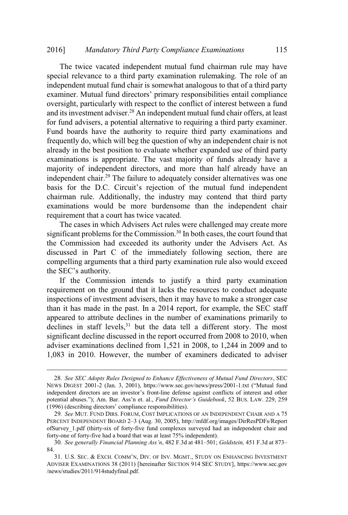The twice vacated independent mutual fund chairman rule may have special relevance to a third party examination rulemaking. The role of an independent mutual fund chair is somewhat analogous to that of a third party Fund Party Compliance Examinations<br>
115<br>
2015<br>
2016 Cated independent mutual fund chairman rule may have<br>
2016 to a third party examination rulemaking. The role of an<br>
2016 and fund chair is somewhat analogous to that of a oversight, particularly with respect to the conflict of interest between a fund and its investment adviser.<sup>28</sup> An independent mutual fund chair offers, at least and its investment adviser. An independent mutuar fund chair offers, at least<br>for fund advisers, a potential alternative to requiring a third party examiner. Fund boards have the authority to require third party examinations and frequently do, which will beg the question of why an independent chair is not already in the best position to evaluate whether expanded use of third party examinations is appropriate. The vast majority of funds already have a majority of independent directors, and more than half already have an independent chair.<sup>29</sup> The failure to adequately consider alternatives was one *Mandatory Third Party Compliance Examinations* 115<br>The twice vacated independent mutual fund chairman rule may have<br>al relevance to a third party examination rulemaking. The role of an<br>endent mutual fund chair is somewhat chairman rule. Additionally, the industry may contend that third party examinations would be more burdensome than the independent chair requirement that a court has twice vacated. This investment at<br>fund advisers, a<br>d boards have<br>quently do, which<br>eady in the best p<br>minations is app<br>jority of independent chair.<sup>29</sup><br>is for the D.C.<br>uirman rule. Add<br>unimations would<br>uirement that a commission has<br>cuss

The cases in which Advisers Act rules were challenged may create more significant problems for the Commission.<sup>30</sup> In both cases, the court found that the Commission had exceeded its authority under the Advisers Act. As discussed in Part C of the immediately following section, there are compelling arguments that a third party examination rule also would exceed

If the Commission intends to justify a third party examination requirement on the ground that it lacks the resources to conduct adequate inspections of investment advisers, then it may have to make a stronger case than it has made in the past. In a 2014 report, for example, the SEC staff appeared to attribute declines in the number of examinations primarily to declines in staff levels,<sup>31</sup> but the data tell a different story. The most significant decline discussed in the report occurred from 2008 to 2010, when adviser examinations declined from 1,521 in 2008, to 1,244 in 2009 and to 1,083 in 2010. However, the number of examiners dedicated to adviser EC's authority.<br>
If the Commission intends to justify a third party examination<br>
requirement on the ground that it lacks the resources to conduct adequate<br>
inspections of investment advisers, then it may have to make a st In the SEC salunomy.<br>
If the Commission intends to justify a third party examination<br>
requirement on the ground that it lacks the resources to conduct adequate<br>
inspections of investment advisers, then it may have to make If the Commission intends to justify a third party examination<br>requirement on the ground that it lacks the resources to conduct adequate<br>inspections of investment advisers, then it may have to make a stronger case<br>than it requirement on the ground that it lacks the<br>inspections of investment advisers, then it ma<br>than it has made in the past. In a 2014 repo<br>appeared to attribute declines in the numbe<br>declines in staff levels,<sup>31</sup> but the data Inspections of investinent advisers, then it hiay have to make a stronger case<br>than it has made in the past. In a 2014 report, for example, the SEC staff<br>appeared to attribute declines in the number of examinations primari clines in staff levels,<sup>31</sup> but the data tell a different story. The most<br>gnificant decline discussed in the report occurred from 2008 to 2010, when<br>viser examinations declined from 1,521 in 2008, to 1,244 in 2009 and to<br>0

<sup>28</sup>*. See SEC Adopts Rules Designed to Enhance Effectiveness of Mutual Fund Directors*, SEC princant decline discussed in the report occurred from 2008 to 2010, when<br>viser examinations declined from 1,521 in 2008, to 1,244 in 2009 and to<br>083 in 2010. However, the number of examiners dedicated to adviser<br>28. *See* 

<sup>29</sup>*. See* MUT. FUND DIRS. FORUM, COST IMPLICATIONS OF AN INDEPENDENT CHAIR AND A 75 PERCENT INDEPENDENT BOARD 2-3 (Aug. 30, 2005), http://mfdf.org/images/DirResPDFs/Report ofSurvey 1.pdf (thirty-six of forty-five fund complexes surveyed had an independent chair and forty-one of forty-five had a board that was at least 75% independent).

<sup>84.</sup>

ADVISER EXAMINATIONS 38 (2011) [hereinafter SECTION 914 SEC STUDY], https://www.sec.gov /news/studies/2011/914studyfinal.pdf.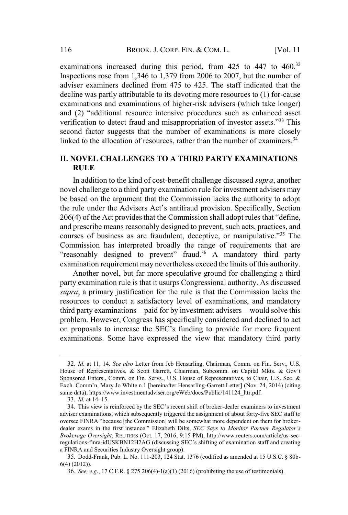examinations increased during this period, from  $425$  to  $447$  to  $460$ <sup>32</sup> Inspections rose from 1,346 to 1,379 from 2006 to 2007, but the number of adviser examiners declined from  $475$  to  $425$ . The staff indicated that the decline was partly attributable to its devoting more resources to (1) for-cause  $\frac{1}{2}$  control the party and examinations of higher-risk advisers (which take longer) BROOK. J. CORP. FIN. & COM. L. [Vol. 11<br>minations increased during this period, from 425 to 447 to 460.<sup>32</sup><br>bections rose from 1,346 to 1,379 from 2006 to 2007, but the number of<br>iser examiners declined from 475 to 425. Th BROOK. J. CORP. FIN. & COM. L. [Vol. 11<br>increased during this period, from 425 to 447 to 460.<sup>32</sup><br>se from 1,346 to 1,379 from 2006 to 2007, but the number of<br>ners declined from 475 to 425. The staff indicated that the<br>urtl second factor suggests that the number of examinations is more closely linked to the allocation of resources, rather than the number of examiners.<sup>34</sup> BROOK. 3. CORP. FIN. & COM. L.  $\mu$  1. 11<br>
uninations increased during this period, from 425 to 447 to 460.<sup>32</sup><br>
pections rose from 1,346 to 1,379 from 2006 to 2007, but the number of<br>
viser examiners declined from 475 to examinations increased during this period, from 425 to 447 to 460.<sup>32</sup><br>Inspections rose from 1,346 to 1,379 from 2006 to 2007, but the number of<br>adviser examiners declined from 475 to 425. The staff indicated that the<br>dec examiners declined from 475 to 425. The staff indicated that the<br>was partly attributable to its devoting more resources to (1) for-cause<br>ations and examinations of higher-risk advisers (which take longer)<br>"additional reso

### **II. NOVEL CHALLENGES TO A THIRD PARTY EXAMINATIONS RULE**

In addition to the kind of cost-benefit challenge discussed *supra*, another novel challenge to a third party examination rule for investment advisers may be based on the argument that the Commission lacks the authority to adopt and prescribe means reasonably designed to prevent, such acts, practices, and Commission has interpreted broadly the range of requirements that are minations of higher-risk advisers (which take longer)<br>source intensive procedures such as enhanced asset<br>raud and misappropriation of investor assets."<sup>33</sup> This<br>s that the number of examinations is more closely<br>of resource examination requirement may nevertheless exceed the limits of this authority. **II. NOVEL CHALLENGES TO A THIRD PARTY EXAMINATIONS**<br> **RULE**<br>
In addition to the kind of cost-benefit challenge discussed *supra*, another<br>
novel challenge to a third party examination rule for investment advisers may<br>
be on to the kind of cost-benefit challenge discussed *supra*, another ge to a third party examination rule for investment advisers may the argument that the Commission lacks the authority to adopt *r* the Advisers Act's ant

Another novel, but far more speculative ground for challenging a third party examination rule is that it usurps Congressional authority. As discussed *supra*, a primary justification for the rule is that the Commission lacks the resources to conduct a satisfactory level of examinations, and mandatory problem. However, Congress has specifically considered and declined to act examinations. Some have expressed the view that mandatory third party "reasonably designed to prevent" fraud.<sup>36</sup> A mandatory third party examination requirement may nevertheless exceed the limits of this authority.<br>Another novel, but far more speculative ground for challenging a third part Examination requirement may nevertheless exceed the inmus of this authority.<br>
Another novel, but far more speculative ground for challenging a third<br>
party examination rule is that it usurps Congressional authority. As di rty examinati<br>pra, a primar<br>sources to cc<br>ird party exam<br>oblem. Howe<br>proposals to<br>aminations.<br>33. *Id.* at 14–15.<br>33. *Id.* at 14–15. *bra*, a primary justification for the rule is that the Commission lacks the sources to conduct a satisfactory level of examinations, and mandatory ird party examinations—paid for by investment advisers—would solve this o resources to conduct a satisfactory level of examinations, and mandatory<br>third party examinations—paid for by investment advisers—would solve this<br>problem. However, Congress has specifically considered and declined to act third party examinations—paid for by investment advisers—would solve this<br>problem. However, Congress has specifically considered and declined to act<br>on proposals to increase the SEC's funding to provide for more frequent<br>e

<sup>32</sup>*. Id.* at 11, 14. *See also* Letter from Jeb Hensarling, Chairman, Comm. on Fin. Serv., U.S. Sponsored Enters., Comm. on Fin. Servs., U.S. House of Representatives, to Chair, U.S. Sec. & same data), https://www.investmentadviser.org/eWeb/docs/Public/141124\_lttr.pdf.

adviser examinations, which subsequently triggered the assignment of about forty-five SEC staff to *Brokerage Oversight*, REUTERS (Oct. 17, 2016, 9:15 PM), http://www.reuters.com/article/us-secprooferin. Trowever, Congress has specificary considered and declined to act<br>on proposals to increase the SEC's funding to provide for more frequent<br>examinations. Some have expressed the view that mandatory third party<br>ba a FINRA and Securities Industry Oversight group).

<sup>35</sup>. Dodd-Frank, Pub. L. No. 111-203, 124 Stat. 1376 (codified as amended at 15 U.S.C. § 80b-6(4) (2012)).

<sup>36</sup>*. See, e.g*., 17 C.F.R. § 275.206(4)-1(a)(1) (2016) (prohibiting the use of testimonials).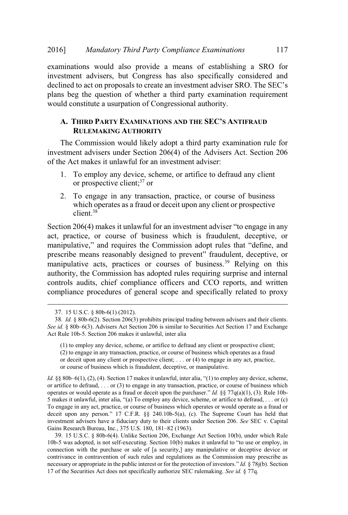examinations would also provide a means of establishing a SRO for investment advisers, but Congress has also specifically considered and Mandatory Third Party Compliance Examinations 117<br>tions would also provide a means of establishing a SRO for<br>ent advisers, but Congress has also specifically considered and<br>to act on proposals to create an investment advis plans beg the question of whether a third party examination requirement would constitute a usurpation of Congressional authority. mentrical and the state of the state of the state of the state of an investment advisers, but Congress has also specifically considered and d to act on proposals to create an investment adviser SRO. The SEC's eg the quest

### **A. THIRD PARTY EXAMINATIONS AND THE SEC'S ANTIFRAUD RULEMAKING AUTHORITY**

The Commission would likely adopt a third party examination rule for investment advisers under Section 206(4) of the Advisers Act. Section 206 of the Act makes it unlawful for an investment adviser: requires the Commission adopt rules that "define, and<br>tion of whether a third party examination requirement<br>usurpation of Congressional authority.<br>TY EXAMINATIONS AND THE SEC'S ANTIFRAUD<br>ING AUTHORITY<br>on would likely adop

- 1. To employ any device, scheme, or artifice to defraud any client or prospective client;<sup>37</sup> or
- 2. To engage in any transaction, practice, or course of business which operates as a fraud or deceit upon any client or prospective client.<sup>38</sup>

act, practice, or course of business which is fraudulent, deceptive, or **EXECT WATER FRAMEL SET SET ASSESS ANTIFRALD**<br> **EXECTS ANTIFRAUD**<br> **EXECTS ANTIFRAUD**<br> **EXECTS ANTIFRAUD**<br> **EXECTS ANTIFRAUD**<br> **EXECTS ANTIFRAUD**<br> **EXECT ANTIFRAUD**<br> **EXECT ANTIFRAUD**<br> **EXECT ANTIFRAUD**<br> **EXECT ANTIFRAUD** manipulative acts, practices or courses of business.<sup>39</sup> Relying on this authority, the Commission has adopted rules requiring surprise and internal controls audits, chief compliance officers and CCO reports, and written compliance procedures of general scope and specifically related to proxy *Section 206(4)* makes it unlawful for an investment adviser "to engage in any act, practice, or course of business which is fraudulent, deceptive, or manipulative," and requires the Commission adopt rules that "define, an *Id.* §§ 80b–6(1), (2), (4). Section 17 makes it unlawful, inter alia, "(1) to employ any device, scheme,  $3^9$ . Relying on this authority, the Commission has adopted rules requiring surprise and internal controls audits,

 $(1)$  to employ any device, scheme, or artifice to defraud any client or prospective client; (2) to engage in any transaction, practice, or course of business which operates as a fraud or deceit upon any client or prospective client; . . . or (4) to engage in any act, practice, or course of business which is fraudulent, deceptive, or manipulative. authority, the Commission has adopted rules requiring surprise and internal<br>controls audits, chief compliance officers and CCO reports, and written<br>compliance procedures of general scope and specifically related to proxy<br>3

*Id.* §§ 80b–6(1), (2), (4). Section 17 makes it unlawful, inter alia, "(1) to employ any device, scheme, or artifice to defraud, . . . or (3) to engage in any transaction, practice, or course of business which controls audits, chief compliance officers and CCO reports, and written<br>compliance procedures of general scope and specifically related to proxy<br>37. 15 U.S.C. § 80b-6(1) (2012).<br>38. *Id.* § 80b-6(2). Section 206(3) prohib To engage in any act, practice, or course of business which operates or would operate as a fraud or Compinance procedures of general scope and spectricany related to proxy<br>
37. 15 U.S.C. § 80b-6(1) (2012).<br>
38. *Id.* § 80b-6(2). Section 206(3) prohibits principal trading between advisers and their clients.<br>
See id. § 80 investment advisers have a fiduciary duty to their clients under Section 206. *See* SEC v. Capital 37. 15 U.S.C. § 80b-6(1) (2012).<br>38. *Id.* § 80b-6(2). Section 206(3) prohibits principal tra<br>*See id.* § 80b-6(3). Advisers Act Section 206 is similar to S<br>Act Rule 10b-5. Section 206 makes it unlawful, inter alia<br>(1) to 39. 15 U.S.C. § 80b-6(4). Unlike Section 206, Exchange Act Section 10(b), under which Rule See id. § 80b-6(3), because 20(b) promotes permany accurates and and creating.<br>Act Rule 10b-5. Section 206 makes it unlawful, inter alia<br>(1) to employ any device, scheme, or artifice to defraud any client or prospective c (1) to employ any device, scheme, or artifice to defraud any client or prospective client;<br>
(2) to engage in any transaction, practice, or course of business which operates as a fraud<br>
or deceit upon any client or prospec

connection with the purchase or sale of [a security,] any manipulative or deceptive device or contrivance in contravention of such rules and regulations as the Commission may prescribe as necessary or appropriate in the public interest or for the protection of investors." *Id.* § 78j(b). Section 17 of the Securities Act does not specifically authorize SEC rulemaking. *See id.* § 77q.

<sup>37</sup>. 15 U.S.C. § 80b-6(1) (2012).

<sup>38</sup>*. Id.* § 80b-6(2). Section 206(3) prohibits principal trading between advisers and their clients. Act Rule 10b-5. Section 206 makes it unlawful, inter alia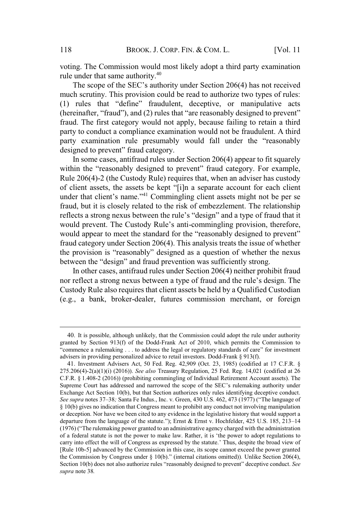voting. The Commission would most likely adopt a third party examination rule under that same authority. $40$ BROOK. J. CORP. FIN. & COM. L. [Vol. 11]<br>The Commission would most likely adopt a third party examination<br>ler that same authority.<sup>40</sup><br>scope of the SEC's authority under Section 206(4) has not received voulig. The  $\sim$ 

much scrutiny. This provision could be read to authorize two types of rules: BROOK. J. CORP. FIN. & COM. L. [Vol. 11<br>
that same authority.<sup>40</sup><br>
cope of the SEC's authority under Section 206(4) has not received<br>
that "define" fraudulent, deceptive, or manipulative acts BROOK. J. CORP. FIN. & COM. L. [Vol. 11<br>ion would most likely adopt a third party examination<br>uthority.<sup>40</sup><br>SEC's authority under Section 206(4) has not received<br>rovision could be read to authorize two types of rules:<br>ine" fraud. The first category would not apply, because failing to retain a third party to conduct a compliance examination would not be fraudulent. A third BROOK. J. CORP. FIN. & COM. L. [Vol. 11<br>g. The Commission would most likely adopt a third party examination<br>under that same authority.<sup>40</sup><br>he scope of the SEC's authority under Section 206(4) has not received<br>scrutiny. Thi BROOK. J. COR<br>The Commission would most<br>ore that same authority.<sup>40</sup><br>scope of the SEC's authorit<br>utiny. This provision could<br>s that "define" fraudule<br>ter, "fraud"), and (2) rules the first category would not<br>conduct a comp BROOK. J. CORP. FIN. & COM. L. [Vol. 11<br>
e Commission would most likely adopt a third party examination<br>
that same authority.<sup>40</sup><br>
oppe of the SEC's authority under Section 206(4) has not received<br>
tiny. This provision cou 118 BROOK. J. CORP. FIN. & COM. L. [Vol. 11<br>
voting. The Commission would most likely adopt a third party examination<br>
rule under that same authority.<sup>40</sup><br>
The scope of the SEC's authority under Section 206(4) has not rece BROOK. J. CORP. FIN. & COM. L. [Vol. 11<br>
g. The Commission would most likely adopt a third party examination<br>
nder that same authority.<sup>40</sup><br>
he scope of the SEC's authority under Section 206(4) has not received<br>
scrutiny. he Commission would most likely adopt a third party examination<br>or that same authority.<sup>40</sup><br>scope of the SEC's authority under Section 206(4) has not received<br>utiny. This provision could be read to authorize two types of r minission would most intery adopt a time party examination<br>same authority.<sup>40</sup><br>of the SEC's authority under Section 206(4) has not received<br>This provision could be read to authorize two types of rules:<br>"define" fraudulent, (1) rules that "define" fraudulent, deceptive, or manipulative acts (hereinafter, "fraud"), and  $(2)$  rules that "are reasonably designed to prevent"

In some cases, antifraud rules under Section 206(4) appear to fit squarely Rule 206(4)-2 (the Custody Rule) requires that, when an adviser has custody fraud, but it is closely related to the risk of embezzlement. The relationship it saine autionity.<br>
E of the SEC's authority under Section 206(4) has not received<br>
I. This provision could be read to authorize two types of rules:<br>
at "define" fraudulent, deceptive, or manipulative acts<br>
fraud"), and ( fraud category under Section 206(4). This analysis treats the issue of whether Thus the provision colume tead of all the provision controlls (1) rules that "define" fraudient, deceptive, or manipulative acts (hereinafter, "fraud"), and (2) rules that "are reasonably designed to prevent" fraud. The f Is that define Induduent, deceptive, of Inampura<br>fter, "fraud"), and (2) rules that "are reasonably designed to<br>he first category would not apply, because failing to reta<br>conduct a compliance examination would not be fraud The matrix conduct a compliance examination would not be fraudulent. A third party to conduct a compliance examination would fall under the "reasonably designed to prevent" fraud category. In some cases, antifraud rules u would appear to meet the standard for the "reasonably designed to prevent"<br>fraud category under Section 206(4). This analysis treats the issue of whether<br>the provision is "reasonably" designed as a question of whether the the provision is "reasonably" designed as a question of whether the nexus between the "design" and fraud prevention was sufficiently strong.

In other cases, antifraud rules under Section 206(4) neither prohibit fraud Custody Rule also requires that client assets be held by a Qualified Custodian (e.g., a bank, broker-dealer, futures commission merchant, or foreign sen the "design" and fraud prevention was sufficiently strong.<br>
n other cases, antifraud rules under Section 206(4) neither prohibit fraud<br>
effect a strong nexus between a type of fraud and the rule's design. The<br>
ody Rul Supprementation and the sumer Suprementation of the Technical Reviewers, and if the custody Rule also requires that client assets be held by a Qualified Custodian (e.g., a bank, broker-dealer, futures commission merchant,

<sup>40</sup>. It is possible, although unlikely, that the Commission could adopt the rule under authority granted by Section 913(f) of the Dodd-Frank Act of 2010, which permits the Commission to "commence a rulemaking  $\dots$  to address the legal or regulatory standards of care" for investment advisers in providing personalized advice to retail investors. Dodd-Frank § 913(f).

<sup>41</sup>. Investment Advisers Act, 50 Fed. Reg. 42,909 (Oct. 23, 1985) (codified at 17 C.F.R. § 275.206(4)-2(a)(1)(i) (2016)). *See also* Treasury Regulation, 25 Fed. Reg. 14,021 (codified at 26 Exchange Act Section 10(b), but that Section authorizes only rules identifying deceptive conduct. **See** *supraria* **See** *suprapace* **<b>See supp See supp See supp See supp C C.g.**, **a** bank, broker-dealer, futures commission merchant, or foreign (e.g., **a** bank, broker-dealer, futures commission merchant § 10(b) gives no indication that Congress meant to prohibit any conduct not involving manipulation or deception. Nor have we been cited to any evidence in the legislative history that would support a (e.g., a bain, blower-dearer, futures commission inerchant, of foreign<br>
40. It is possible, although unlikely, that the Commission could adopt the rule under authority<br>
granted by Section 913(f) of the Dodd-Frank Act of 2 40. It is possible, although unlikely, that the Commission could adopt the rule under authority<br>granted by Section 913(f) of the Dodd-Frank Act of 2010, which permits the Commission to<br>"commence a rulemaking ... to addres 40. It is possible, although unlikely, that the Commission could adopt the rule under authority<br>granted by Section 913(f) of the Dodd-Frank Act of 2010, which permits the Commission to<br>"commence a rulemaking ... to addres 40. It is possible, although unlikely, that the Commission could adopt the rule under authority<br>granted by Section 913(f) of the Dodd-Frank Act of 2010, which permits the Commission to<br>"commence a rulemaking ... to addres carry into effect the will of Congress as expressed by the statute.' Thus, despite the broad view of [Rule 10b-5] advanced by the Commission in this case, its scope cannot exceed the power granted 40. It spossive, amough uninkery, that the Commission coloul adopt the flue that commission by "commence a rulemaking ... to address the legal or regulatory standards of care" for investment advisers in providing personali gramed by Section 915(1) of the Doder-Frank Act of 2010, women beremins the Commission to<br>
"commence a rulemaking ... to address the legal or regulatory standards of care" for investment<br>
advisers in providing personalized Section 10(b) does not also authorize rules "reasonably designed to prevent" deceptive conduct. See supra note 38.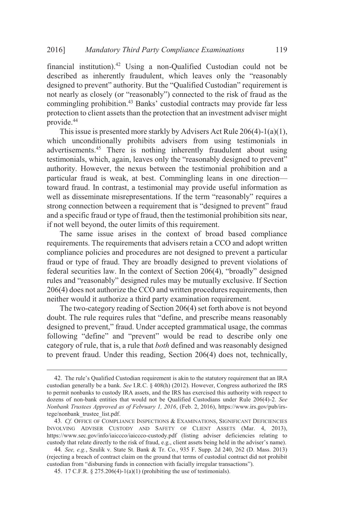financial institution). <sup>42</sup> Using a non-Qualified Custodian could not be 2016] Mandatory Third Party Compliance Examinations 119<br>
financial institution).<sup>42</sup> Using a non-Qualified Custodian could not be<br>
described as inherently fraudulent, which leaves only the "reasonably Mandatory Third Party Compliance Examinations 119<br>
al institution).<sup>42</sup> Using a non-Qualified Custodian could not be<br>
al as inherently fraudulent, which leaves only the "reasonably<br>
d to prevent" authority. But the "Qualif 2016]<br>financial<br>described Mandatory Third Party Compliance Examinations 119<br>
institution).<sup>42</sup> Using a non-Qualified Custodian could not be<br>
a inherently fraudulent, which leaves only the "reasonably<br>
to prevent" authority. But the "Qualified Custo 2016] Mandatory Third Party Compliance Examinations 119<br>
financial institution).<sup>42</sup> Using a non-Qualified Custodian could not be<br>
described as inherently fraudulent, which leaves only the "reasonably<br>
designed to prevent" protection to client assets than the protection that an investment adviser might provide. $^{44}$ *Mandatory Third Party Compliance Examinations* 119<br>stitution).<sup>42</sup> Using a non-Qualified Custodian could not be<br>s inherently fraudulent, which leaves only the "reasonably<br>prevent" authority. But the "Qualified Custodian" 2016] *Mandatory Third Party Compliance Examinations* 119<br>
financial institution).<sup>42</sup> Using a non-Qualified Custodian could not be<br>
described as inherently fraudulent, which leaves only the "reasonably<br>
designed to preve

This issue is presented more starkly by Advisers Act Rule 206(4)-1(a)(1), which unconditionally prohibits advisers from using testimonials in advertisements.45 There is nothing inherently fraudulent about using resumomars, which, again, reaves only the Teasonably designed to prevent<br>authority. However, the nexus between the testimonial prohibition and a toward fraud. In contrast, a testimonial may provide useful information as 6] Mandatory Third Party Compliance Examinations 119<br>nocial institution).<sup>42</sup> Using a non-Qualified Custodian could not be<br>cribed as inherently fraudulent, which leaves only the "reasonably<br>igned to prevent" authority. Bu 2016] *Mandatory Thira*<br>financial institution).<sup>42</sup> Usi<br>described as inherently fra<br>designed to prevent" authorit<br>not nearly as closely (or "rea<br>commingling prohibition.<sup>43</sup><br>protection to client assets tha<br>provide.<sup>44</sup> Th *rd Party Compliance Examinations* 119<br>ing a non-Qualified Custodian could not be<br>audulent, which leaves only the "reasonably<br>ity. But the "Qualified Custodian" requirement is<br>easonably") connected to the risk of fraud as and a specific fraud or type of fraud, then the testimonial prohibition sits near, if not well beyond, the outer limits of this requirement. protection to chern<br>provide.<sup>44</sup><br>This issue is 1<br>which uncondition<br>advertisements.<sup>45</sup><br>testimonials, which authority. However<br>particular fraud<br>toward fraud. In<br>well as disseminations at the same strong connection<br>and a spe In assets than the protection that an investment adviser inight<br>presented more starkly by Advisers Act Rule 206(4)-1(a)(1),<br>tionally prohibits advisers from using testimonials in<br>5 There is nothing inherently fraudulent a This issue is presented more starkly by Advisers Act Rule 206(4)-1(a)(1), This issue is presented more starkly by Advisers from using testimonials in errtisements.<sup>45</sup> There is nothing inherently fraudulent about using mo particular fraud is weak, at best. Commingling leans in one direction-

The same issue arises in the context of broad based compliance requirements. The requirements that advisers retain a CCO and adopt written compliance policies and procedures are not designed to prevent a particular fraud or type of fraud. They are broadly designed to prevent violations of  $206(4)$  does not authorize the CCO and written procedures requirements, then neither would it authorize a third party examination requirement. firity. However, the nexus between the testimonial probibition and a lular fraud is weak, at best. Commingling leans in one direction—<br>ular fraud is weak, at best. Commingling leans in one direction—<br>d fraud. In contrast, y. Thowever, the fiexals between the testimonial promotion and a<br>ar fraud is weak, at best. Commingling leans in one direction—<br>fraud. In contrast, a testimonial may provide useful information as<br>disseminate misrepresentat particular fraud. In contras<br>well as disseminate miss<br>strong connection betwe<br>and a specific fraud or typ<br>if not well beyond, the o<br>The same issue are<br>requirements. The requir<br>compliance policies and<br>fraud or type of fraud at, at best. Comminging reans in one unection—<br>st, a testimonial may provide useful information as<br>srepresentations. If the term "reasonably" requires a<br>een a requirement that is "designed to prevent" fraud<br>ype of fraud, t

The two-category reading of Section 206(4) set forth above is not beyond following "define" and "prevent" would be read to describe only one category of rule, that is, a rule that *both* defined and was reasonably designed to prevent fraud. Under this reading, Section 206(4) does not, technically, and or type of fraud. They are broadly designed to prevent violations of<br>deral securities law. In the context of Section 206(4), "broadly" designed<br>les and "reasonably" designed rules may be mutually exclusive. If Section<br> radio of type that is. They are tootaally designed 206(4), "broadly" designed<br>rules and "reasonably" designed rules may be mutually exclusive. If Section<br>206(4) does not authorize the CCO and written procedures requirement

to permit nonbanks to custody IRA assets, and the IRS has exercised this authority with respect to dozens of non-bank entities that would not be Qualified Custodians under Rule 206(4)-2. *See Nonbank Trustees Approved as of February 1, 2016*, (Feb. 2, 2016), https://www.irs.gov/pub/irstege/nonbank\_trustee\_list.pdf. designed to prevent," fraud. Under accepted grammatical usage, the commas<br>following "define" and "prevent" would be read to describe only one<br>category of rule, that is, a rule that *both* defined and was reasonably designe category of rule, that is, a rule that *both* defined and was reasonabl<br>to prevent fraud. Under this reading, Section 206(4) does not, to<br> $42$ . The rule's Qualified Custodian requirement is akin to the statutory requireme

<sup>43</sup>*. Cf.* OFFICE OF COMPLIANCE INSPECTIONS & EXAMINATIONS, SIGNIFICANT DEFICIENCIES INVOLVING ADVISER CUSTODY AND SAFETY OF CLIENT ASSETS (Mar. 4, 2013), https://www.sec.gov/info/iaiccco/iaiccco-custody.pdf (listing adviser deficiencies relating to

<sup>44</sup>*. See, e.g.*, Szulik v. State St. Bank & Tr. Co*.*, 935 F. Supp. 2d 240, 262 (D. Mass. 2013) (rejecting a breach of contract claim on the ground that terms of custodial contract did not prohibit

<sup>45.</sup> 17 C.F.R. § 275.206(4)-1(a)(1) (prohibiting the use of testimonials).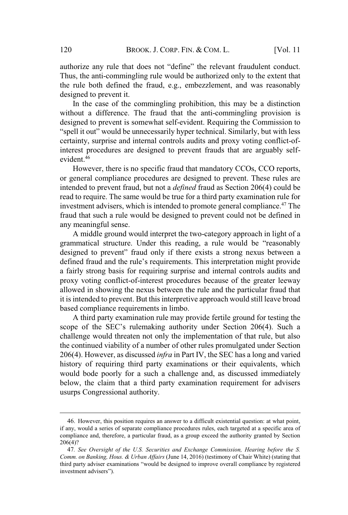BROOK. J. CORP. FIN. & COM. L. [Vol. 11]<br>any rule that does not "define" the relevant fraudulent conduct. Thus, the anti-commingling rule would be authorized only to the extent that the rule both defined the fraud, e.g., embezzlement, and was reasonably  $\frac{1}{2}$  designed to prevent it. BROOK. J. CORP. FIN. & COM. L. [Vol. 11<br>
be any rule that does not "define" the relevant fraudulent conduct.<br>
he anti-commingling rule would be authorized only to the extent that<br>
be undefined the fraud, e.g., embezzlement

In the case of the commingling prohibition, this may be a distinction In the case of the comminging promotion, this may be a distinction<br>without a difference. The fraud that the anti-commingling provision is designed to prevent is somewhat self-evident. Requiring the Commission to certainty, surprise and internal controls audits and proxy voting conflict-ofinterest procedures are designed to prevent frauds that are arguably selfevident.<sup>46</sup> In defined the Tradia, e.g., embezziement, and was reasonably<br>prevent it.<br>sase of the commingling prohibition, this may be a distinction<br>ifference. The fraud that the anti-commingling provision is<br>prevent is somewhat self to prevent it.<br>
a caliference. The fraud that the anti-commingling provision is<br>
a difference. The fraud that the anti-commingling provision is<br>
to prevent is somewhat self-evident. Requiring the Commission to<br>
but" would

However, there is no specific fraud that mandatory CCOs, CCO reports, rowever, there is no specific fraud that hiandatory CCOs, CCO reports,<br>or general compliance procedures are designed to prevent. These rules are intended to prevent fraud, but not a *defined* fraud as Section 206(4) could be read to require. The same would be true for a third party examination rule for investment advisers, which is intended to promote general compliance.<sup>47</sup> The fraud that such a rule would be designed to prevent could not be defined in any meaningful sense. fraces of the comminging promotion, this hay be a distinction<br>a difference. The fraud that the anti-commingling provision is<br>d to prevent is somewhat self-evident. Requiring the Commission to<br>out" would be unnecessarily h

A middle ground would interpret the two-category approach in light of a a fairly strong basis for requiring surprise and internal controls audits and proxy voting conflict-of-interest procedures because of the greater leeway allowed in showing the nexus between the rule and the particular fraud that it is intended to prevent. But this interpretive approach would still leave broad based compliance requirements in limbo. ever, utere is no spectric nation that manufatory CCOs, CCO reports,<br>al compliance procedures are designed to prevent. These rules are<br>to prevent fraud, but not a defined fraud as Section 206(4) could be<br>quire. The same wo

A third party examination rule may provide fertile ground for testing the challenge would threaten not only the implementation of that rule, but also the continued viability of a number of other rules promulgated under Section 206(4). However, as discussed *infra* in Part IV, the SEC has a long and varied history of requiring third party examinations or their equivalents, which would bode poorly for a such a challenge and, as discussed immediately below, the claim that a third party examination requirement for advisers usurps Congressional authority. the continued viability of a number of other rules promulgated under Section 206(4). However, as discussed *infra* in Part IV, the SEC has a long and varied history of requiring third party examinations or their equivalen 206(4). However,<br>history of requir<br>would bode poor<br>below, the claim<br>usurps Congressi<br>46. However, this<br>if any, would a series<br>compliance and, there<br>206(4)?<br>47. *See Oversight*<br>Comm. on Banking, Ha<br>third party adviser exa

<sup>46</sup>. However, this position requires an answer to a difficult existential question: at what point, if any, would a series of separate compliance procedures rules, each targeted at a specific area of compliance and, therefore, a particular fraud, as a group exceed the authority granted by Section 206(4)?

<sup>47</sup>*. See Oversight of the U.S. Securities and Exchange Commission, Hearing before the S. Comm. on Banking, Hous. & Urban Affairs* (June 14, 2016) (testimony of Chair White) (stating that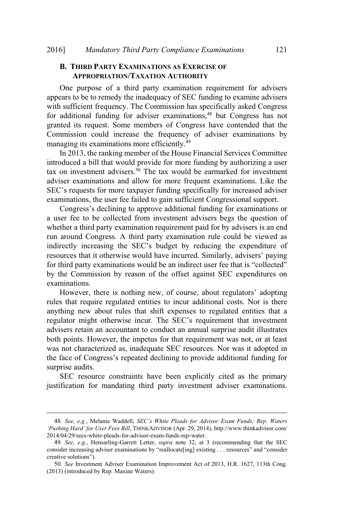### **B. THIRD PARTY EXAMINATIONS AS EXERCISE OF APPROPRIATION/TAXATION AUTHORITY**

One purpose of a third party examination requirement for advisers one purpose of a time party examination requirement for advisers<br>appears to be to remedy the inadequacy of SEC funding to examine advisers appears to be to remedy the madequacy or SEC runding to examine advisers<br>with sufficient frequency. The Commission has specifically asked Congress will sufficient frequency. The Commission has specifically asked Congress<br>for additional funding for adviser examinations.<sup>48</sup> but Congress has not granted its request. Some members of Congress have contended that the Commission could increase the frequency of adviser examinations by Lominission could increase the requency<br>managing its examinations more efficiently.<sup>49</sup> Mandatory Third Party Compliance Examinations 121<br> **THIRD PARTY EXAMINATIONS AS EXERCISE OF**<br> **APPROPRIATION/TAXATION AUTHORITY**<br>
ne purpose of a third party examination requirement for advisers<br>
sto be to remedy the inad **PARTY EXAMINATIONS AS EXERCISE OF**<br>**PARTY EXAMINATIONS AS EXERCISE OF**<br>**PRIATION/TAXATION AUTHORITY**<br>see of a third party examination requirement for advisers<br>frequency. The Commission has specifically asked Congress<br>fun a unit party examination requirement for advisers<br>dy the inadequacy of SEC funding to examine advisers<br>mcy. The Commission has specifically asked Congress<br>ng for adviser examinations,<sup>48</sup> but Congress has not<br>Some members

In 2013, the ranking member of the House Financial Services Committee introduced a bill that would provide for more funding by authorizing a user muoduced a om that would provide for more runding by authorizing a user<br>tax on investment advisers.<sup>50</sup> The tax would be earmarked for investment adviser examinations and allow for more frequent examinations. Like the examinations, the user fee failed to gain sufficient Congressional support. The Commission has specifically and specifical sectors of the commission and funding for adviser examinations,<sup>48</sup> but Congress has not is request. Some members of Congress have contended that the ion could increase the fr

a user fee to be collected from investment advisers begs the question of whether a third party examination requirement paid for by advisers is an end run around Congress. A third party examination rule could be viewed as In surfletent inequency. The Commission has specificary asked Congress<br>additional funding for adviser examinations,<sup>48</sup> but Congress has not<br>medicional funding for adviser examinations,<sup>48</sup> but Congress has not<br>manging it by the Commission by reason of the offset against SEC expenditures on examinations. increase the inequency of adviser examinations by<br>nations more efficiently.<sup>49</sup><br>king member of the House Financial Services Committee<br>it would provide for more funding by authorizing a user<br>advisers.<sup>50</sup> The tax would be e Example 10 and woman provide in more funding by admortizing a diser<br>westment advisers.<sup>50</sup> The tax would be earmarked for investment<br>was minations and allow for more frequent examinations. Like the<br>quests for more taxpayer Infinations, the user lee laned to gain sulfined Congressional support.<br>Congress's declining to approve additional funding for examinations or<br>sere te to be collected from investment advisers begs the question of<br>ether a t

rules that require regulated entities to incur additional costs. Nor is there anything new about rules that shift expenses to regulated entities that a advisers retain an accountant to conduct an annual surprise audit illustrates both points. However, the impetus for that requirement was not, or at least was not characterized as, inadequate SEC resources. Nor was it adopted in surprise audits. advisers retain an accountant to conduct an annual surprise audit illustrates<br>both points. However, the impetus for that requirement was not, or at least<br>was not characterized as, inadequate SEC resources. Nor was it adopt both points. Hc<br>was not charact<br>the face of Con<br>surprise audits. SEC resou<br>justification for<br> $\frac{48. \text{ See, e.g., M}}{48. \text{ See, e.g., M}}$ <br> $\frac{48. \text{ See, e.g., M}}{2014/04/29/\text{secs-w}}$ <br> $\frac{49. \text{ See, e.g., H}}{49. \text{ See, e.g., H}}$ 

SEC resource constraints have been explicitly cited as the primary justification for mandating third party investment adviser examinations.

<sup>48</sup>*. See, e.g.*, Melanie Waddell, *SEC's White Pleads for Advisor Exam Funds; Rep. Waters 'Pushing Hard' for User Fees Bill*, THINKADVISOR (Apr. 29, 2014), http://www.thinkadvisor.com/ 2014/04/29/secs-white-pleads-for-advisor-exam-funds-rep-water.

<sup>49</sup>*. See, e.g.*, Hensarling-Garrett Letter, *supra* note 32, at 3 (recommending that the SEC

<sup>50</sup>*. See* Investment Adviser Examination Improvement Act of 2013, H.R. 1627, 113th Cong. (2013) (introduced by Rep. Maxine Waters).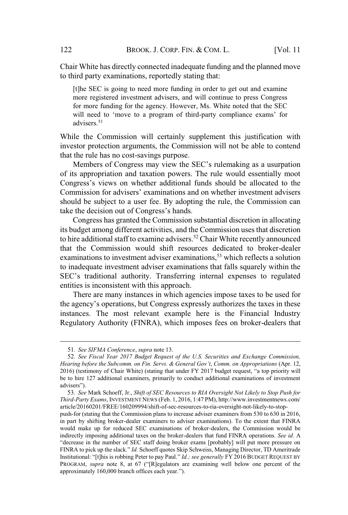Chair White has directly connected inadequate funding and the planned move to third party examinations, reportedly stating that:

[t]he SEC is going to need more funding in order to get out and examine more registered investment advisers, and will continue to press Congress for more funding for the agency. However, Ms. White noted that the SEC BROOK. J. CORP. FIN. & COM. L. [Vol]<br>
Vhite has directly connected inadequate funding and the planned m<br>
party examinations, reportedly stating that:<br>
e SEC is going to need more funding in order to get out and examine<br>
e advisers.<sup>51</sup> BROOK. J. CORP. FIN. & COM. L. [Vol. 11<br>ir White has directly connected inadequate funding and the planned move<br>ird party examinations, reportedly stating that:<br>[t]he SEC is going to need more funding in order to get out a BROOK. J. CORP. FIN. & COM. L. [Vol. 11<br>
e has directly connected inadequate funding and the planned move<br>
ty examinations, reportedly stating that:<br>
C is going to need more funding in order to get out and examine<br>
gistere BROOK. J. CORP. FIN. & COM. L. [Vol. 11<br>has directly connected inadequate funding and the planned move<br>v examinations, reportedly stating that:<br>2 is going to need more funding in order to get out and examine<br>istered invest

While the Commission will certainly supplement this justification with investor protection arguments, the Commission will not be able to contend thethat the rule has no cost-savings purpose.

of its appropriation and taxation powers. The rule would essentially moot should be subject to a user fee. By adopting the rule, the Commission can ir White has directly connected inadequind party examinations, reportedly sta<br>[t]he SEC is going to need more funding<br>more registered investment advisers, and<br>for more funding for the agency. Howeve<br>will need to 'move to a

Congress has granted the Commission substantial discretion in allocating its budget among different activities, and the Commission usesthat discretion to hire additional staff to examine advisers.<sup>52</sup> Chair White recently announced that the Commission would shift resources dedicated to broker-dealer examinations to investment adviser examinations,<sup>53</sup> which reflects a solution to inadequate investment adviser examinations that falls squarely within the visers.<sup>51</sup><br>the Commission will certainly supplement this justification with<br>or protection arguments, the Commission will not be able to contend<br>e rule has no cost-savings purpose.<br>embers of Congress may view the SEC's rul entities is inconsistent with this approach. ession protection arguments, the Commission win not be able to contend<br>the rule has no cost-savings purpose.<br>The melhand say with the relation<br>its appropriation and taxation powers. The rule would essentially moot<br>ngress's 2016) (testimony of Chair White) (stating that under FY 2017 budget request<br>2016) (testimony of Chair White) (stational antions) and the SEC's traditional authority. Transferring internal expenses to regulated<br>entities is

There are many instances in which agencies impose taxes to be used for instances. The most relevant example here is the Financial Industry Regulatory Authority (FINRA), which imposes fees on broker-dealers that to inade<br>
SEC's t<br>
entities i<br>
The agen<br>
the agen<br>
instance<br>
Regulate<br>
S1. See<br>
Hearing be<br>
2016) (test<br>
be to hire<br>
advisers").

<sup>51</sup>*. See SIFMA Conference*, *supra* note 13.

<sup>52</sup>*. See Fiscal Year 2017 Budget Request of the U.S. Securities and Exchange Commission, Hearing before the Subcomm. on Fin. Servs. & General Gov't*, *Comm. on Appropriations* (Apr. 12, be to hire 127 additional examiners, primarily to conduct additional examinations of investment Regulatory Authority (FINRA), which imposes tees on broker-dealers that<br>
51. See SIFMA Conference, supra note 13.<br>
52. See Fiscal Year 2017 Budget Request of the U.S. Securities and Exchange Commission,<br>
Hearing before th

<sup>53</sup>*. See* Mark Schoeff, Jr., *Shift of SEC Resources to RIA Oversight Not Likely to Stop Push for Third-Party Exams*, INVESTMENT NEWS (Feb. 1, 2016, 1:47 PM), http://www.investmentnews.com/ article/20160201/FREE/160209994/shift-of-sec-resources-to-ria-oversight-not-likely-to-stop-

push-for (stating that the Commission plans to increase adviser examiners from 530 to 630 in 2016, in part by shifting broker-dealer examiners to adviser examinations). To the extent that FINRA would make up for reduced SEC examinations of broker-dealers, the Commission would be indirectly imposing additional taxes on the broker-dealers that fund FINRA operations. *See id.* A 51. See SIFMA Conference, supra note 13.<br>
52. See Fiscal Year 2017 Budget Request of the U.S. Securities and Exchange Commission,<br> *Hearing before the Subcomm. on Fin. Servs.* & General Gov't, Comm. on Appropriations (Apr 51. See SIFMA Conference, supra note 13.<br>52. See Fiscal Year 2017 Budget Request of the U.S. Securities and Exchange Commission,<br>Hearing before the Subcomm. on Fin. Servs. & General Gov't, Comm. on Appropriations (Apr. 12, 51. *See SIFMA Conference, supra* note 13.<br>52. *See Fiscal Year 2017 Budget Request of the U.S. Securities and Exchange Commission, Hearing before the Subcomm. on Fin. Servs. & General Gov't, Comm. on Appropriations (Apr.* 31. *See SIFMA Conjerence*, *supra* note 13.<br>52. *See Fiscal Year 2017 Budget Request of ti*<br>*Hearing before the Subcomm. on Fin. Servs. & Gen*<br>2016) (testimony of Chair White) (stating that und<br>be to hire 127 additional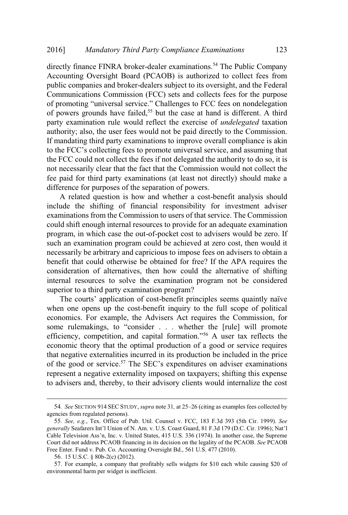directly finance FINRA broker-dealer examinations.<sup>54</sup> The Public Company Accounting Oversight Board (PCAOB) is authorized to collect fees from public companies and broker-dealers subject to its oversight, and the Federal Communications Commission (FCC) sets and collects fees for the purpose Mandatory Third Party Compliance Examinations 123<br>
proctly finance FINRA broker-dealer examinations.<sup>54</sup> The Public Company<br>
ccounting Oversight Board (PCAOB) is authorized to collect fees from<br>
ublic companies and brokerof powers grounds have failed,<sup>55</sup> but the case at hand is different. A third party examination rule would reflect the exercise of *undelegated* taxation authority; also, the user fees would not be paid directly to the Commission. If mandating third party examinations to improve overall compliance is akin Mandatory Third Party Compliance Examinations 123<br>1y finance FINRA broker-dealer examinations.<sup>54</sup> The Public Company<br>11 munting Oversight Board (PCAOB) is authorized to collect fees from<br>12 companies and broker-dealers su the FCC could not collect the fees if not delegated the authority to do so, it is not necessarily clear that the fact that the Commission would not collect the fee paid for third party examinations (at least not directly) should make a difference for purposes of the separation of powers. to the FCC's collecting fees to promote universal service, and assuming that ree paid it

A related question is how and whether a cost-benefit analysis should include the shifting of financial responsibility for investment adviser examinations from the Commission to users of that service. The Commission could shift enough internal resources to provide for an adequate examination program, in which case the out-of-pocket cost to advisers would be zero. If such an examination program could be achieved at zero cost, then would it necessarily be arbitrary and capricious to impose fees on advisers to obtain a benefit that could otherwise be obtained for free? If the APA requires the consideration of alternatives, then how could the alternative of shifting internal resources to solve the examination program not be considered superior to a third party examination program? alling unit party examinations to improve overant compinance is aking<br>CC's collecting fees to promote universal service, and assuming that<br>C could not collect the fees if not delegated the authority to do so, it is<br>sesaril Ecessarity clear that the fact that the Collimission would not confect the<br>aid for third party examinations (at least not directly) should make a<br>ence for purposes of the separation of powers.<br>
related question is how and of the party examinations (at least not directly) should make a<br>for purposes of the separation of powers.<br>ted question is how and whether a cost-benefit analysis should<br>e shifting of financial responsibility for investment metude the simility of intantar responsionity for investment adviser<br>examinations from the Commission to users of that service. The Commission<br>examination<br>program, in which case the out-of-pocket cost to advisers would be

when one opens up the cost-benefit inquiry to the full scope of political economics. For example, the Advisers Act requires the Commission, for economic theory that the optimal production of a good or service requires that negative externalities incurred in its production be included in the price represent a negative externality imposed on taxpayers; shifting this expense to advisers and, thereby, to their advisory clients would internalize the cost perior to a third party examination program?<br>
The courts' application of cost-benefit principles seems quaintly naïve<br>
nen one opens up the cost-benefit inquiry to the full scope of political<br>
onomics. For example, the Adv when one opens up the cost-benefit inquiry to the full scope of political<br>economics. For example, the Advisers Act requires the Commission, for<br>some rulemakings, to "consider . . . whether the [rule] will promote<br>efficienc economics. For example, the Advisers Act requires the Commission, for<br>some rulemakings, to "consider . . . whether the [rule] will promote<br>efficiency, competition, and capital formation."<sup>56</sup> A user tax reflects the<br>econo

agencies from regulated persons).

<sup>55</sup>*. See, e.g.*, Tex. Office of Pub. Util. Counsel v. FCC, 183 F.3d 393 (5th Cir. 1999). *See* Court did not address PCAOB financing in its decision on the legality of the PCAOB. *See* PCAOB Free Enter. Fund v. Pub. Co. Accounting Oversight Bd., 561 U.S. 477 (2010).

<sup>56</sup>. 15 U.S.C. § 80b-2(c) (2012).

<sup>57</sup>. For example, a company that profitably sells widgets for \$10 each while causing \$20 of environmental harm per widget is inefficient.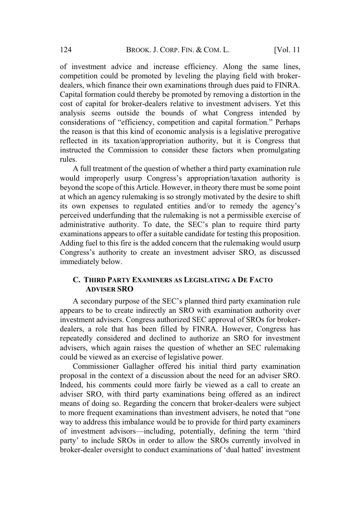of investment advice and increase efficiency. Along the same lines, competition could be promoted by leveling the playing field with brokerdealers, which finance their own examinations through dues paid to FINRA. Capital formation could thereby be promoted by removing a distortion in the cost of capital for broker-dealers relative to investment advisers. Yet this analysis seems outside the bounds of what Congress intended by BROOK. J. CORP. FIN. & COM. L. [Vol. 11<br>
advice and increase efficiency. Along the same lines,<br>
suld be promoted by leveling the playing field with broker-<br>
finance their own examinations through dues paid to FINRA.<br>
ion c the reason is that this kind of economic analysis is a legislative prerogative reflected in its taxation/appropriation authority, but it is Congress that instructed the Commission to consider these factors when promulgating rules. BROOK. J. CORP. FIN. & COM. L. [Vol. 11<br>
vestment advice and increase efficiency. Along the same lines,<br>
stitution could be promoted by leveling the playing field with broker-<br>
s, which finance their own examinations throu 124 BROOK. J. CORP. FIN. & COM. L. [Vol. 11<br>
of investment advice and increase efficiency. Along the same lines,<br>
competition could be promoted by leveling the playing field with broker-<br>
dealers, which finance their own e and micrease entirenty. Atong the same intestigated by beyond the promoted by leveling the playing field with broker-finance their own examinations through dues paid to FINRA.<br>
ion could thereby be promoted by removing a d

A full treatment of the question of whether a third party examination rule beyond the scope of this Article. However, in theory there must be some point at which an agency rulemaking is so strongly motivated by the desire to shift perceived underfunding that the rulemaking is not a permissible exercise of examinations appears to offer a suitable candidate for testing this proposition. Adding fuel to this fire is the added concern that the rulemaking would usurp mation collid lifereby be promoted by removing a distortion in the<br>ital for broker-dealers relative to investment advisers. Yet this<br>eems outside the bounds of what Congress intended by<br>ons of "efficiency, competition and immediately below. secondary of the SEC's planned third party examination rule of the SEC's planned third party examination rule improperly usurp Congress's appropriation/taxation authority is dthe scope of this Article. However, in theory t

#### **C. THIRD PARTY EXAMINERS AS LEGISLATING A DE FACTO ADVISER SRO**  $\overline{t}$

appears to be to create indirectly an SRO with examination authority over investment advisers. Congress authorized SEC approval of SROs for brokerdealers, a role that has been filled by FINRA. However, Congress has repeatedly considered and declined to authorize an SRO for investment advisers, which again raises the question of whether an SEC rulemaking could be viewed as an exercise of legislative power. mediately below.<br> **C. THIRD PARTY EXAMINERS AS LEGISLATING A DE FACTO**<br> **ADVISER SRO**<br>
A secondary purpose of the SEC's planned third party examination rule<br>pears to be to create indirectly an SRO with examination authorit

Commissioner Gallagher offered his initial third party examination proposal in the context of a discussion about the need for an adviser SRO. Indeed, his comments could more fairly be viewed as a call to create an adviser SRO, with third party examinations being offered as an indirect means of doing so. Regarding the concern that broker-dealers were subject way to address this imbalance would be to provide for third party examiners **C. THIRD PARTY EXAMINERS AS LEGISLATING A DE FACTO**<br>**ADVISER SRO**<br>A secondary purpose of the SEC's planned third party examination rule<br>appears to be to create indirectly an SRO with examination authority over<br>investment **ADVISER SRO**<br> **COMPACT CONTEXT CONTEXT** CONDIG TO THE SROS INTERNATION THE SROS INTERNATION OF THE ADVISTED AND STROM STROS FOR DESC THE AND CONSIDENT A considered and declined to authorize an SRO for investment which aga A secondary purpose of the SEC's planned third party examination rule<br>appears to be to create indirectly an SRO with examination authority over<br>investment advisers. Congress authorized SEC approval of SROs for broker-<br>deal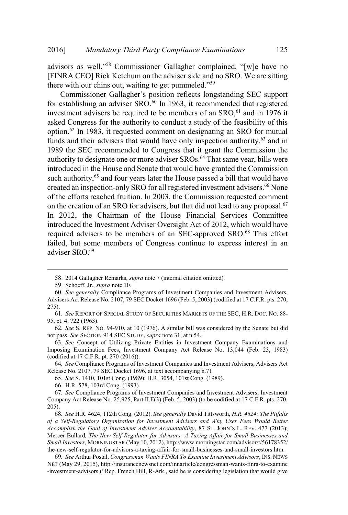Mandatory Third Party Compliance Examinations 125<br>well."<sup>58</sup> Commissioner Gallagher complained. "[w]e have no [FINRA CEO] Rick Ketchum on the adviser side and no SRO. We are sitting Mandatory Third Party Compliance Example<br>
Source Example 1986<br>
(Source School Rick Ketchum on the adviser side and<br>
our chins out, waiting to get pummeled." Third Party Compliance Examinations<br>S<sup>8</sup> Commissioner Gallagher complained, "[w]e have no<br>k Ketchum on the adviser side and no SRO. We are sitting<br>is out, waiting to get pummeled."<sup>59</sup><br>Gallagher's position reflects longsta

for establishing an adviser  $SRO<sup>60</sup>$  In 1963, it recommended that registered investment advisers be required to be members of an  $SRO<sub>1</sub><sup>61</sup>$  and in 1976 it asked Congress for the authority to conduct a study of the feasibility of this option.<sup>62</sup> In 1983, it requested comment on designating an SRO for mutual funds and their advisers that would have only inspection authority,  $63$  and in 1989 the SEC recommended to Congress that it grant the Commission the authority to designate one or more adviser SROs.<sup>64</sup> That same year, bills were introduced in the House and Senate that would have granted the Commission such authority,<sup>65</sup> and four years later the House passed a bill that would have created an inspection-only SRO for all registered investment advisers.<sup>66</sup> None of the efforts reached fruition. In 2003, the Commission requested comment on the creation of an SRO for advisers, but that did not lead to any proposal.<sup>67</sup> In 2012, the Chairman of the House Financial Services Committee introduced the Investment Adviser Oversight Act of 2012, which would have required advisers to be members of an SEC-approved SRO.<sup>68</sup> This effort failed, but some members of Congress continue to express interest in an adviser SRO.<sup>69</sup>

<sup>58</sup>. 2014 Gallagher Remarks, *supra* note 7 (internal citation omitted)*.*

<sup>59</sup>. Schoeff, Jr., *supra* note 10*.*

<sup>60</sup>*. See generally* Compliance Programs of Investment Companies and Investment Advisers, Advisers Act Release No. 2107, 79 SEC Docket 1696 (Feb. 5, 2003) (codified at 17 C.F.R. pts. 270, 275).

<sup>61</sup>*. See* REPORT OF SPECIAL STUDY OF SECURITIES MARKETS OF THE SEC, H.R. DOC. NO. 88- 95, pt. 4, 722 (1963).

<sup>62</sup>*. See* S. REP. NO. 94-910, at 10 (1976). A similar bill was considered by the Senate but did not pass. *See* SECTION 914 SEC STUDY, *supra* note 31, at n.54.

<sup>63</sup>*. See* Concept of Utilizing Private Entities in Investment Company Examinations and Imposing Examination Fees, Investment Company Act Release No. 13,044 (Feb. 23, 1983) (codified at 17 C.F.R. pt. 270 (2016)). *Accomplish Accompliance Programs of Investment Companies and Investment Advisers, Inc. See B. Rep. No. 94-910, at 10 (1976). A similar bill was considered by the Senate but did not pass. <i>See* S. REP. No. 94-910, at 10

<sup>64</sup>*. See* Compliance Programs of Investment Companies and Investment Advisers, Advisers Act Release No. 2107, 79 SEC Docket 1696, at text accompanying n.71.

<sup>65</sup>*. See* S. 1410, 101st Cong. (1989); H.R. 3054, 101st Cong. (1989).

<sup>66</sup>. H.R. 578, 103rd Cong. (1993).

<sup>67</sup>*. See* Compliance Programs of Investment Companies and Investment Advisers, Investment Company Act Release No. 25,925, Part II.E(3) (Feb. 5, 2003) (to be codified at 17 C.F.R. pts. 270, 205).

<sup>68</sup>*. See* H.R. 4624, 112th Cong. (2012). *See generally* David Tittsworth, *H.R. 4624: The Pitfalls of a Self-Regulatory Organization for Investment Advisers and Why User Fees Would Better* Mercer Bullard*, The New Self-Regulator for Advisors: A Taxing Affair for Small Businesses and Small Investors*, MORNINGSTAR (May 10, 2012), http://www.morningstar.com/advisor/t/56178352/ the-new-self-regulator-for-advisors-a-taxing-affair-for-small-businesses-and-small-investors.htm. Free Street Hillard, The New Self-Regulator for Advisors: A Taxing Affair for Small Businesses and Small Investment Advisors, New Self-Rep. 25, 1989), 66. See S. 1410, 101st Cong. (1989); H.R. 3054, 101st Cong. (1989).<br>
6

<sup>69</sup>*. See* Arthur Postal, *Congressman Wants FINRA To Examine Investment Advisors*, INS. NEWS NET (May 29, 2015), http://insurancenewsnet.com/innarticle/congressman-wants-finra-to-examine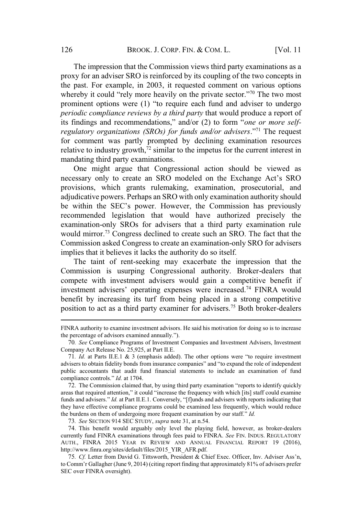The impression that the Commission views third party examinations as a proxy for an adviser SRO is reinforced by its coupling of the two concepts in the past. For example, in 2003, it requested comment on various options BROOK. J. CORP. FIN. & COM. L. [Vol. 11<br>impression that the Commission views third party examinations as a<br>r an adviser SRO is reinforced by its coupling of the two concepts in<br>For example, in 2003, it requested comment on BROOK. J. CORP. FIN. & COM. L. [Vol. 11<br>
In that the Commission views third party examinations as a<br>
er SRO is reinforced by its coupling of the two concepts in<br>
the private comment on various options<br>
'rely more heavily o *periodic compliance reviews by a third party* that would produce a report of findings and recommendations," and/or (2) to form "*one or more self-*<br>findings and recommission is a pay for an adviser SRO is reinforced by its coupling of the two concepts in<br>e past. For example, in 2003, it requested c *Pregulatory Pregulatory regulatory regularity commission views third party examinations as a proxy for an adviser SRO is reinforced by its coupling of the two concepts in the past. For example, in 2003, i* for comment was partly prompted by declining examination resources relative to industry growth, $72$  similar to the impetus for the current interest in mandating third party examinations. BROOK. J. CORP. FIN. & COM. L. [Vol. 11<br>npression that the Commission views third party examinations as a<br>an adviser SRO is reinforced by its coupling of the two concepts in<br>For example, in 2003, it requested comment on v BROOK. J. CORP. FIN. & COM. L. [Vol. 11<br>The impression that the Commission views third party examinations as a<br>oxy for an adviser SRO is reinforced by its coupling of the two concepts in<br>expact. For example, in 2003, it r

One might argue that Congressional action should be viewed as provisions, which grants rulemaking, examination, prosecutorial, and adjudicative powers. Perhaps an SRO with only examination authority should recommended legislation that would have authorized precisely the examination-only SROs for advisers that a third party examination rule would mirror.<sup>73</sup> Congress declined to create such an SRO. The fact that the Commission asked Congress to create an examination-only SRO for advisers implies that it believes it lacks the authority do so itself. *inverty or manuations* (*SNOS) for junits unitor travisies*. The request<br>for comment was partly prompted by declining examination resources<br>relative to industry growth,<sup>72</sup> similar to the impetus for the current interest

The taint of rent-seeking may exacerbate the impression that the Commission is usurping Congressional authority. Broker-dealers that compete with investment advisers would gain a competitive benefit if benefit by increasing its turf from being placed in a strong competitive position to act as a third party examiner for advisers.<sup>75</sup> Both broker-dealers recommended legislation that wo<br>examination-only SROs for advisers<br>would mirror.<sup>73</sup> Congress declined to<br>Commission asked Congress to create<br>implies that it believes it lacks the aut<br>The taint of rent-seeking may<br>Commissi old minot. Congress decimed to etcate steen an sixty. The ract diat the<br>ommission asked Congress to create an examination-only SRO for advisers<br>plies that it believes it lacks the authority do so itself.<br>The taint of rent-Commission asked Congress to create an examination-only SKO for advisers<br>
implies that it believes it lacks the authority do so itself.<br>
The taint of rent-seeking may exacerbate the impression that the<br>
Commission is usurp The taint of rent-sec<br>Commission is usurping<br>compete with investment<br>investment advisers' oper<br>benefit by increasing its<br>position to act as a third p<br>FINRA authority to examine inves<br>the percentage of advisors examin<br>70. The using of the seeding may ocalized the impression that the<br>mpete with investment advisers would gain a competitive benefit if<br>meter with investment advisers would gain a competitive benefit if<br>westment advisers' operat Commission is usurping Congressionar authority. Broker-dealers unat<br>
compete with investment advisers vould gain a competitive benefit if<br>
investment advisers' operating expenses were increased.<sup>74</sup> FINRA would<br>
benefit b compete with investment advisers would gain a competitive benefit if<br>investment advisers' operating expenses were increased.<sup>74</sup> FINRA would<br>benefit by increasing its turf from being placed in a strong competitive<br>positio

funds and advisers."  $Id$ . at Part II.E.1. Conversely, "[f] unds and advisers with reports indicating that they have effective compliance programs could be examined less frequently, which would reduce EXECT by increasing its turf from being placed in a stron position to act as a third party examiner for advisers.<sup>75</sup> Both  $FINRA$  authority to examine investment advisors. He said his motivation for doithe percentage of ad percentage or advisors exailmed anniary. J.<br>
76. *See* Compliance Programs of Investment Companies and Investment Advisers, Investment<br>
mpany Act Release No. 25,925, at Part II.E.<br>
71. *Id.* at Parts II.E.1 & 3 (emphasis a 70. See Comparine rograms of investment Comparines and investment Advisers, investment<br>
Compary Act Release No. 25,925, at Part II.E.<br>
71. *Id.* at Parts II.E.1 & 3 (emphasis added). The other options were "to require inv

73*. See* SECTION 914 SEC STUDY, *supra* note 31, at n.54.

74. This benefit would arguably only level the playing field, however, as broker-dealers currently fund FINRA examinations through fees paid to FINRA. *See* FIN. INDUS. REGULATORY AUTH., FINRA 2015 YEAR IN REVIEW AND ANNUAL FINANCIAL REPORT 19 (2016), http://www.finra.org/sites/default/files/2015\_YIR\_AFR.pdf.

FINRA authority to examine investment advisors. He said his motivation for doing so is to increase

<sup>70</sup>*. See* Compliance Programs of Investment Companies and Investment Advisers, Investment Company Act Release No. 25,925, at Part II.E.

public accountants that audit fund financial statements to include an examination of fund

to Comm'r Gallagher (June 9, 2014) (citing report finding that approximately 81% of advisers prefer SEC over FINRA oversight).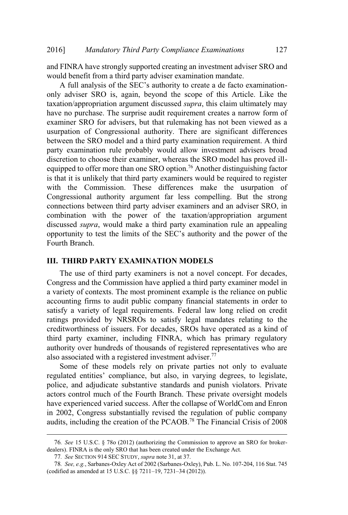and FINRA have strongly supported creating an investment adviser SRO and would benefit from a third party adviser examination mandate. *Mandatory Third Party Compliance Examinations* 127<br> **INRA have strongly supported creating an investment adviser SRO and<br>
1 benefit from a third party adviser examination mandate.<br>
full analysis of the SEC's authority to** 

only adviser SRO is, again, beyond the scope of this Article. Like the taxation/appropriation argument discussed *supra*, this claim ultimately may have no purchase. The surprise audit requirement creates a narrow form of examiner SRO for advisers, but that rulemaking has not been viewed as a usurpation of Congressional authority. There are significant differences between the SRO model and a third party examination requirement. A third party examination rule probably would allow investment advisers broad discretion to choose their examiner, whereas the SRO model has proved illequipped to offer more than one SRO option.<sup>76</sup> Another distinguishing factor is that it is unlikely that third party examiners would be required to register with the Commission. These differences make the usurpation of Congressional authority argument far less compelling. But the strong connections between third party adviser examiners and an adviser SRO, in combination with the power of the taxation/appropriation argument discussed *supra*, would make a third party examination rule an appealing The limit party adviser examination mandate.<br>
of the SEC's authority to create a de facto examination-<br>
is, again, beyond the scope of this Article. Like the<br>
ion argument discussed *supra*, this claim ultimately may<br>
The Fourth Branch.

### **III. THIRD PARTY EXAMINATION MODELS**

The use of third party examiners is not a novel concept. For decades, Congress and the Commission have applied a third party examiner model in a variety of contexts. The most prominent example is the reliance on public accounting firms to audit public company financial statements in order to satisfy a variety of legal requirements. Federal law long relied on credit ratings provided by NRSROs to satisfy legal mandates relating to the creditworthiness of issuers. For decades, SROs have operated as a kind of third party examiner, including FINRA, which has primary regulatory authority over hundreds of thousands of registered representatives who are also associated with a registered investment adviser.<sup>77</sup> **Entimate 19** suppray would make a third party examination rule an appealing ity to test the limits of the SEC's authority and the power of the ranch.<br> **RD PARTY EXAMINATION MODELS**<br>
anse of third party examiners is not a

Some of these models rely on private parties not only to evaluate police, and adjudicate substantive standards and punish violators. Private actors control much of the Fourth Branch. These private oversight models have experienced varied success. After the collapse of WorldCom and Enron in 2002, Congress substantially revised the regulation of public company audits, including the creation of the PCAOB.<sup>78</sup> The Financial Crisis of 2008 (adinotry over handleas or dioasands or registered also associated with a registered investment advise<br>
Some of these models rely on private part<br>
regulated entities' compliance, but also, in vary<br>
police, and adjudicate

<sup>76</sup>*. See* 15 U.S.C. § 78o (2012) (authorizing the Commission to approve an SRO for brokerdealers). FINRA is the only SRO that has been created under the Exchange Act.

<sup>77</sup>*. See* SECTION 914 SEC STUDY, *supra* note 31, at 37.

<sup>78</sup>*. See, e.g.*, Sarbanes-Oxley Act of 2002 (Sarbanes-Oxley), Pub. L. No. 107-204, 116 Stat. 745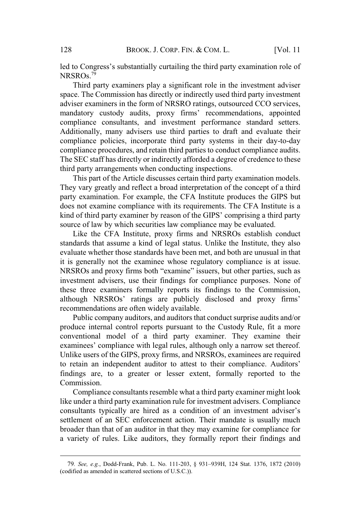BROOK. J. CORP. FIN. & COM. L. [Vol. 11]<br>Congress's substantially curtailing the third party examination role of  $NRSROs.$ <sup>79</sup> led to Congress's substantially curtailing the third party examination role of

Third party examiners play a significant role in the investment adviser space. The Commission has directly or indirectly used third party investment adviser examiners in the form of NRSRO ratings, outsourced CCO services, BROOK. J. CORP. FIN. & COM. L. [Vol. 11<br>gress's substantially curtailing the third party examination role of<br>party examiners play a significant role in the investment adviser<br>Commission has directly or indirectly used thir compliance consultants, and investment performance standard setters. Additionally, many advisers use third parties to draft and evaluate their compliance policies, incorporate third party systems in their day-to-day compliance procedures, and retain third parties to conduct compliance audits. The SEC staff has directly or indirectly afforded a degree of credence to these third party arrangements when conducting inspections. Congress's substantially curtailing the third party examination role of Os.<sup>79</sup><br>ird party examiners play a significant role in the investment adviser<br>The Commission has directly or indirectly used third party investment<br>ex mandatory custody audits, proxy firms' recommendations, appointed y custody addits, ploxy firms recommendations, appointed<br>ce consultants, and investment performance standard setters.<br>Illy, many advisers use third parties to draft and evaluate their<br>ce policies, incorporate third party s

This part of the Article discusses certain third party examination models. They vary greatly and reflect a broad interpretation of the concept of a third party examination. For example, the CFA Institute produces the GIPS but does not examine compliance with its requirements. The CFA Institute is a source of law by which securities law compliance may be evaluated.

Like the CFA Institute, proxy firms and NRSROs establish conduct standards that assume a kind of legal status. Unlike the Institute, they also evaluate whether those standards have been met, and both are unusual in that it is generally not the examinee whose regulatory compliance is at issue. investment advisers, use their findings for compliance purposes. None of these three examiners formally reports its findings to the Commission, compliance porcedures, incopotate ind party systems in their day-to-day<br>The SEC staff has directly or indirectly afforded a degree of credence to these<br>their after SEC staff has directly or indirectly afforded a degree of recommendations are often widely available. greatry and feltect a boad interpretation of the concept of a timularion. For example, the CFA Institute produces the GIPS but amine compliance with its requirements. The CFA Institute is a dearty examiner by reason of the does not examine compinance win its requirements. The CFA institute is a<br>kind of third party examiner by reason of the GIPS' comprising a third party<br>source of law by which securities law compliance may be evaluated.<br>Like

Public company auditors, and auditors that conduct surprise audits and/or produce internal control reports pursuant to the Custody Rule, fit a more conventional model of a third party examiner. They examine their Unlike users of the GIPS, proxy firms, and NRSROs, examinees are required findings are, to a greater or lesser extent, formally reported to the Commission. Extrainate which is standards have been linet, and bout are timestar in that is the secured protoconsultant in NRSROs and proxy firms both "examine" issuers, but other partics, such as investment advisers, use their findin

Compliance consultants resemble what a third party examiner might look like under a third party examination rule for investment advisers. Compliance settlement of an SEC enforcement action. Their mandate is usually much broader than that of an auditor in that they may examine for compliance for a variety of rules. Like auditors, they formally report their findings and aminees' compliance with legal rules, although only a narrow set thereof.<br>nlike users of the GIPS, proxy firms, and NRSROs, examinees are required<br>retain an independent auditor to attest to their compliance. Auditors'<br>ding

<sup>79.</sup> See, e.g., Dodd-Frank, Pub. L. No. 111-203, § 931-939H, 124 Stat. 1376, 1872 (2010) (codified as amended in scattered sections of U.S.C.)).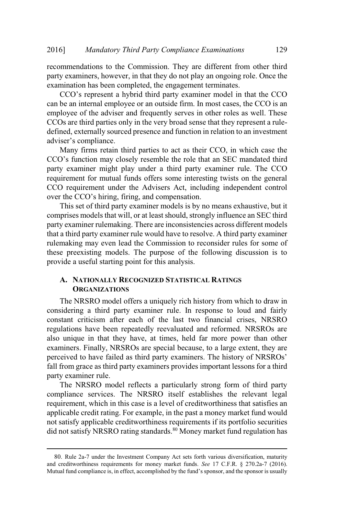recommendations to the Commission. They are different from other third party examiners, however, in that they do not play an ongoing role. Once the examination has been completed, the engagement terminates. Mandatory Third Party Compliance Examinations 129<br>
mmendations to the Commission. They are different from other third<br>
y examiners, however, in that they do not play an ongoing role. Once the<br>
mination has been completed,

can be an internal employee or an outside firm. In most cases, the CCO is an employee of the adviser and frequently serves in other roles as well. These CCOs are third parties only in the very broad sense that they represent a ruledefined, externally sourced presence and function in relation to an investment Mandator<br>
endations to<br>
miners, hower<br>
ion has been<br>
ion has been<br>
internal empression<br>
ending the advisor<br>
externally sourcompliance. ndatory Third Party Compliance Examinations 129<br>
as to the Commission. They are different from other third<br>
b, however, in that they do not play an ongoing role. Once the<br>
been completed, the engagement terminates.<br>
essent 5] Mandatory Third Party Compliance<br>mmendations to the Commission. They are<br>y examiners, however, in that they do not play<br>inination has been completed, the engagemen<br>CCO's represent a hybrid third party examin<br>be an inter

Many firms retain third parties to act as their CCO, in which case the party examiner might play under a third party examiner rule. The CCO requirement for mutual funds offers some interesting twists on the general CCO requirement under the Advisers Act, including independent control

This set of third party examiner models is by no means exhaustive, but it comprises models that will, or at least should, strongly influence an SEC third party examiner rulemaking. There are inconsistencies across different models that a third party examiner rule would have to resolve. A third party examiner rulemaking may even lead the Commission to reconsider rules for some of these preexisting models. The purpose of the following discussion is to provide a useful starting point for this analysis. This set of third party examiner models is by no means exhaustive, but it comprises models that will, or at least should, strongly influence an SEC third party examiner rulemaking. There are inconsistencies across differen

### **A. NATIONALLY RECOGNIZED STATISTICAL RATINGS ORGANIZATIONS**

The NRSRO model offers a uniquely rich history from which to draw in considering a third party examiner rule. In response to loud and fairly constant criticism after each of the last two financial crises, NRSRO regulations have been repeatedly reevaluated and reformed. NRSROs are also unique in that they have, at times, held far more power than other examiners. Finally, NRSROs are special because, to a large extent, they are fall from grace as third party examiners provides important lessons for a third party examiner rule.

The NRSRO model reflects a particularly strong form of third party compliance services. The NRSRO itself establishes the relevant legal requirement, which in this case is a level of creditworthiness that satisfies an applicable credit rating. For example, in the past a money market fund would not satisfy applicable creditworthiness requirements if its portfolio securities did not satisfy NRSRO rating standards.<sup>80</sup> Money market fund regulation has Preceived to have failed as third party examiners. The history of NRSROs'<br>fall from grace as third party examiners provides important lessons for a third<br>party examiner rule.<br>The NRSRO model reflects a particularly strong

<sup>80</sup>. Rule 2a-7 under the Investment Company Act sets forth various diversification, maturity and creditworthiness requirements for money market funds. *See* 17 C.F.R. § 270.2a-7 (2016). Mutual fund compliance is, in effect, accomplished by the fund's sponsor, and the sponsor is usually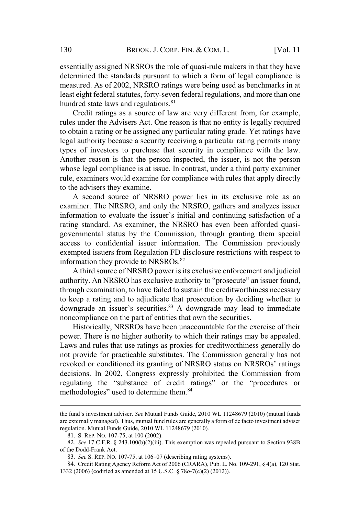essentially assigned NRSROs the role of quasi-rule makers in that they have determined the standards pursuant to which a form of legal compliance is measured. As of 2002, NRSRO ratings were being used as benchmarks in at least eight federal statutes, forty-seven federal regulations, and more than one hundred state laws and regulations.<sup>81</sup>

Credit ratings as a source of law are very different from, for example, rules under the Advisers Act. One reason is that no entity is legally required to obtain a rating or be assigned any particular rating grade. Yet ratings have legal authority because a security receiving a particular rating permits many types of investors to purchase that security in compliance with the law. Lypes of investors to purchase that security in compitance with the faw.<br>Another reason is that the person inspected, the issuer, is not the person whose legal compliance is at issue. In contrast, under a third party examiner rule, examiners would examine for compliance with rules that apply directly to the advisers they examine. igned NRSROs the role of quasi-rule makers in that they have<br>
a standards pursuant to which a form of legal compliance is<br>
of 2002, NRSRO ratings were being used as benchmarks in at<br>
ral statutes, forty-seven federal regul

A second source of NRSRO power lies in its exclusive role as an examiner. The NRSRO, and only the NRSRO, gathers and analyzes issuer rating standard. As examiner, the NRSRO has even been afforded quasirating standard. As examiner, the infusive has even been ariorded quasi-<br>governmental status by the Commission, through granting them special access to confidential issuer information. The Commission previously exempted issuers from Regulation FD disclosure restrictions with respect to information they provide to NRSROs.<sup>82</sup> ET the HAVSES Act. One reason is that no entry is regarly required<br>a rating or be assigned any particular rating grade. Yet ratings have<br>ority because a security receiving a particular rating permits many<br>investors to purc Intertation is that the person inspected, the issuer, is not the person<br>al compliance is at issue. In contrast, under a third party examiner<br>ners would examine.<br>For summer and source of NRSRO power lies in its exclusive ro <sup>21</sup>. The INKSRO, and only the INKSRO, gathers and analyzes issuer<br>tion to evaluate the issuer's initial and continuing satisfaction of a<br>tandard. As examier, the NRSRO has even been afforded quasi-<br>nental status by the Co

A third source of NRSRO power is its exclusive enforcement and judicial through examination, to have failed to sustain the creditworthiness necessary to keep a rating and to adjudicate that prosecution by deciding whether to noncompliance on the part of entities that own the securities.

Historically, NRSROs have been unaccountable for the exercise of their power. There is no higher authority to which their ratings may be appealed. Laws and rules that use ratings as proxies for creditworthiness generally do not provide for practicable substitutes. The Commission generally has not decisions. In 2002, Congress expressly prohibited the Commission from ndad. As exammer, the NKSKO has even been ariotued quasi-<br>thal status by the Commission, through granting them special<br>confidential issuer information. The Commission previously<br>issuers from Regulation FD disclosure restri governmental status by the Commission<br>access to confidential issuer informatio<br>exempted issuers from Regulation FD dis-<br>information they provide to NRSROs.<sup>82</sup><br>A third source of NRSRO power is its<br>authority. An NRSRO has e to keep a rating and to adjudicate that prosecution by deciding whether to downgrade an issuer's securities.<sup>83</sup> A downgrade may lead to immediate noncompliance on the part of entities that own the securities.<br>Historically wer. I here is no higher authority to which their rations<br>times and rules that use ratings as proxies for creditwort<br>t provide for practicable substitutes. The Commiss<br>voked or conditioned its granting of NRSRO status<br>cisi

are externally managed). Thus, mutual fund rules are generally a form of de facto investment adviser regulation. Mutual Funds Guide, 2010 WL 11248679 (2010)*.*

<sup>81</sup>. S. REP. NO. 107-75, at 100 (2002).

<sup>82</sup>*. See* 17 C.F.R. § 243.100(b)(2)(iii). This exemption was repealed pursuant to Section 938B of the Dodd-Frank Act.

<sup>84</sup>. Credit Rating Agency Reform Act of 2006 (CRARA), Pub. L. No. 109-291, § 4(a), 120 Stat. 1332 (2006) (codified as amended at 15 U.S.C. § 78*o*-7(c)(2) (2012)).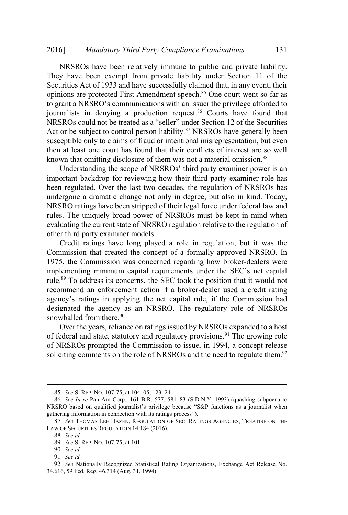NRSROs have been relatively immune to public and private liability. They have been exempt from private liability under Section 11 of the Securities Act of 1933 and have successfully claimed that, in any event, their opinions are protected First Amendment speech.<sup>85</sup> One court went so far as Mandatory Third Party Compliance Examinations 131<br>NRSROs have been relatively immune to public and private liability.<br>hey have been exempt from private liability under Section 11 of the<br>ecurities Act of 1933 and have succe journalists in denying a production request.<sup>86</sup> Courts have found that Mandatory Third Party Compliance Examinations 131<br>ROs have been relatively immune to public and private liability.<br>we been exempt from private liability under Section 11 of the<br>s Act of 1933 and have successfully claimed t Act or be subject to control person liability. $87$  NRSROs have generally been susceptible only to claims of fraud or intentional misrepresentation, but even susceptione only to claims of fraud of intentional inisrepresentation, out even<br>then at least one court has found that their conflicts of interest are so well known that omitting disclosure of them was not a material omission.<sup>88</sup> *v Third Party Compliance Examinations* 131<br>
en relatively immune to public and private liability.<br>
mpt from private liability under Section 11 of the<br>
and have successfully claimed that, in any event, their<br>
First Amendm NRSROs could not be treated as a "seller" under Section 12 of the Securities

important backdrop for reviewing how their third party examiner role has been regulated. Over the last two decades, the regulation of NRSROs has undergone a dramatic change not only in degree, but also in kind. Today, NRSRO ratings have been stripped of their legal force under federal law and rules. The uniquely broad power of NRSROs must be kept in mind when evaluating the current state of NRSRO regulation relative to the regulation of other third party examiner models. denying a poduction request. Courts have found that<br>d not be treated as a "seller" under Section 12 of the Securities<br>ject to control person liability.<sup>87</sup> NRSROs have generally been<br>hy to claims of fraud or intentional m is a concerned that the meditional misseleptical rolled that their conflicts of interest are so well<br>aat ome court has found that their conflicts of interest are so well<br>and omitting disclosure of them was not a material o

Credit ratings have long played a role in regulation, but it was the Commission that created the concept of a formally approved NRSRO. In 1975, the Commission was concerned regarding how broker-dealers were rule.<sup>89</sup> To address its concerns, the SEC took the position that it would not recommend an enforcement action if a broker-dealer used a credit rating designated the agency as an NRSRO. The regulatory role of NRSROs snowballed from there.<sup>90</sup> framenting imminium capital requires<br>the.<sup>89</sup> To address its concerns, the SEC<br>commend an enforcement action if a<br>ency's ratings in applying the net c<br>signated the agency as an NRSRO<br>owballed from there.<sup>90</sup><br>Over the years Ie.<sup>89</sup> To address its concerns, the SEC took the position that it would not<br>commend an enforcement action if a broker-dealer used a credit rating<br>ency's ratings in applying the net capital rule, if the Commission had<br>sign recommend an enforcement action if a broker-dealer used a credit rating<br>agency's ratings in applying the net capital rule, if the Commission had<br>designated the agency as an NRSRO. The regulatory role of NRSROs<br>snowballed

Over the years, reliance on ratings issued by NRSROs expanded to a host of federal and state, statutory and regulatory provisions.<sup>91</sup> The growing role of NRSROs prompted the Commission to issue, in 1994, a concept release soliciting comments on the role of NRSROs and the need to regulate them.<sup>92</sup> agency's ratings in applying the net capital rules<br>agency's ratings in applying the net capital rules<br>ignated the agency as an NRSRO. The responsibled from there.<sup>90</sup><br>Over the years, reliance on ratings issued by<br>of feder

<sup>87</sup>*. See* THOMAS LEE HAZEN, REGULATION OF SEC. RATINGS AGENCIES, TREATISE ON THE LAW OF SECURITIES REGULATION 14:184 (2016).

<sup>88</sup>*. See id.*

<sup>89</sup>*. See* S. REP. NO. 107-75, at 101.

<sup>90</sup>*. See id.*

<sup>91</sup>*. See id.*

<sup>92</sup>*. See* Nationally Recognized Statistical Rating Organizations, Exchange Act Release No. 34,616, 59 Fed. Reg. 46,314 (Aug. 31, 1994).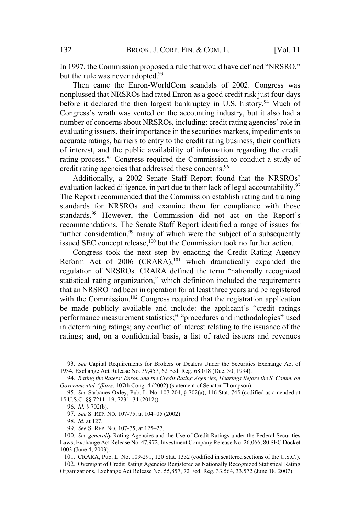1997, the Commission proposed a rule that would have defined "NRSRO," but the rule was never adopted. $93$ 

Then came the Enron-WorldCom scandals of 2002. Congress was nonplussed that NRSROs had rated Enron as a good credit risk just four days before it declared the then largest bankruptcy in U.S. history.<sup>94</sup> Much of BROOK. J. CORP. FIN. & COM. L. [Vol. 11<br>mission proposed a rule that would have defined "NRSRO,"<br>ever adopted.<sup>93</sup><br>the Enron-WorldCom scandals of 2002. Congress was<br>RSROs had rated Enron as a good credit risk just four day BROOK. J. CORP. FIN. & COM. L. [Vol. 11<br>ssion proposed a rule that would have defined "NRSRO,"<br>ver adopted.<sup>93</sup><br>Enron-WorldCom scandals of 2002. Congress was<br>SROs had rated Enron as a good credit risk just four days<br>the th evaluating issuers, their importance in the securities markets, impediments to accurate ratings, barriers to entry to the credit rating business, their conflicts of interest, and the public availability of information regarding the credit or interest, and the public availability of information regarding the credit<br>rating process.<sup>95</sup> Congress required the Commission to conduct a study of rating process. Congress required the Commission<br>credit rating agencies that addressed these concerns.<sup>96</sup> BROOK. J. CORP. FIN. & COM. L. [Vol. 11<br>ssion proposed a rule that would have defined "NRSRO,"<br>er adopted.<sup>93</sup><br>Emron-WorldCom scandals of 2002. Congress was<br>SROs had rated Enron as a good credit risk just four days<br>the th In 1997, the Commission proposed a rule that would have defined "NRSRO,"<br>but the rule was never adopted.<sup>93</sup><br>Then came the Enron-WorldCom scandals of 2002. Congress was<br>nonplussed that NRSROs had rated Enron as a good cre Congress's wrath was vented on the accounting industry, but it also had a number of concerns about NRSROs, including: credit rating agencies' role in

evaluation lacked diligence, in part due to their lack of legal accountability.<sup>97</sup> The Report recommended that the Commission establish rating and training standards for NRSROs and examine them for compliance with those recommendations. The Senate Staff Report identified a range of issues for further consideration, $99$  many of which were the subject of a subsequently issued SEC concept release,<sup>100</sup> but the Commission took no further action. Train was vented on the accounting mutstry, out it also had a<br>ncerns about NRSROs, including: credit rating agencies' role in<br>uers, their importance in the securities markets, impediments to<br>gs, barriers to entry to the c rations, their importance in the securities markets, impediments to the securities materialing, barriers to entry to the credit rating business, their conflicts at, and the public availability of information regarding the metest, and the public availability of information regarding the cleant<br>ing process.<sup>95</sup> Congress required the Commission to conduct a study of<br>Additionally, a 2002 Senate Staff Report found that the NRSROs'<br>aluation lacke ss. Congress required the Commission to conduct a study of agencies that addressed these concerns.<sup>96</sup> anally, a 2002 Senate Staff Report found that the NRSROs' ecommended that the Commission establish rating and training

Congress took the next step by enacting the Credit Rating Agency Reform Act of 2006 (CRARA),<sup>101</sup> which dramatically expanded the that an NRSRO had been in operation for at least three years and be registered with the Commission.<sup>102</sup> Congress required that the registration application in determining ratings; any conflict of interest relating to the issuance of the ratings; and, on a confidential basis, a list of rated issuers and revenues statistical rating organization,"<br>that an NRSRO had been in oper<br>with the Commission.<sup>102</sup> Congr<br>be made publicly available an<br>performance measurement statis<br>in determining ratings; any contratings; and, on a confidential th the Commission.<sup>102</sup> Congress req<br>made publicly available and incl<br>rformance measurement statistics;"<br>determining ratings; any conflict of<br>tings; and, on a confidential basis,<br>93. *See* Capital Requirements for Brokers made publicly available and<br>
frormance measurement statist<br>
determining ratings; any confl<br>
lings; and, on a confidential 1<br>
99. *See* Capital Requirements for Brol<br>
94. *Rechange Act Release No.* 39,457, 6<br>
94. *Rating th* 

<sup>93</sup>*. See* Capital Requirements for Brokers or Dealers Under the Securities Exchange Act of 1934, Exchange Act Release No. 39,457, 62 Fed. Reg. 68,018 (Dec. 30, 1994).

<sup>94</sup>*. Rating the Raters: Enron and the Credit Rating Agencies, Hearings Before the S. Comm. on Governmental Affairs*, 107th Cong. 4 (2002) (statement of Senator Thompson).

<sup>95</sup>*. See* Sarbanes-Oxley, Pub. L. No. 107-204, § 702(a), 116 Stat. 745 (codified as amended at

<sup>96</sup>*. Id.* § 702(b).

<sup>98</sup>*. Id.* at 127.

<sup>100</sup>*. See generally* Rating Agencies and the Use of Credit Ratings under the Federal Securities Laws, Exchange Act Release No. 47,972, Investment Company Release No. 26,066, 80 SEC Docket 1003 (June 4, 2003).

<sup>101</sup>. CRARA, Pub. L. No. 109-291, 120 Stat. 1332 (codified in scattered sections of the U.S.C.). 102. Oversight of Credit Rating Agencies Registered as Nationally Recognized Statistical Rating

Organizations, Exchange Act Release No. 55,857, 72 Fed. Reg. 33,564, 33,572 (June 18, 2007).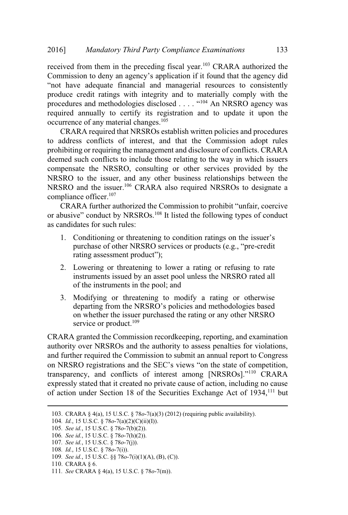received from them in the preceding fiscal year.<sup>103</sup> CRARA authorized the *denty* Third Party Compliance Examinations 133<br>them in the preceding fiscal year.<sup>103</sup> CRARA authorized the<br>deny an agency's application if it found that the agency did Mandatory Third Party Compliance Examinations 133<br>
rom them in the preceding fiscal year.<sup>103</sup> CRARA authorized the<br>
on to deny an agency's application if it found that the agency did<br>
adequate financial and managerial res produce credit ratings with integrity and to materially comply with the Mandatory Third Party Compliance Examinations 133<br>
om them in the preceding fiscal year.<sup>103</sup> CRARA authorized the<br>
on to deny an agency's application if it found that the agency did<br>
adequate financial and managerial reso required annually to certify its registration and to update it upon the occurrence of any material changes.<sup>105</sup> procedures and methodologies disclosed  $\dots$  .  $4104$  An NRSRO agency was

CRARA required that NRSROs establish written policies and procedures to address conflicts of interest, and that the Commission adopt rules prohibiting or requiring the management and disclosure of conflicts. CRARA deemed such conflicts to include those relating to the way in which issuers compensate the NRSRO, consulting or other services provided by the NRSRO to the issuer, and any other business relationships between the NRSRO and the issuer.<sup>106</sup> CRARA also required NRSROs to designate a compliance officer.<sup>107</sup> *Mandatory Third Party Compliance Examinations* 133<br>
m them in the preceding fiscal year.<sup>103</sup> CRARA authorized the<br>
to deny an agency's application if it found that the agency did<br>
dequate financial and managerial resour om them in the preceding fiscal year.<sup>103</sup> CRARA authorized the<br>n to deny an agency's application if it found that the agency did<br>adequate financial and managerial resources to consistently<br>edit ratings with integrity and E have adequate financial and managerial resources to consiste<br>luce credit ratings with integrity and to materially comply with<br>redures and methodologies disclosed .... "<sup>104</sup> An NRSRO agency<br>irred annually to certify its atings with integrity and to materially comply with<br>methodologies disclosed . . . . "<sup>104</sup> An NRSRO agency<br>y to certify its registration and to update it upon<br>y material changes.<sup>105</sup><br>iired that NRSROs establish written p ogies disclus<br>trify its real changes.<sup>1</sup><br>NRSROs interest, a<br>interest, a<br>e managem<br>include the consultir<br>of CRARA<br>orized the CRSROs.<sup>108</sup><br>s:<br>hreatening NRSRO seproduct<sup>7</sup>): uring the management and disclosure of conflicts. CRA<br>flicts to include those relating to the way in which iss<br>NRSRO, consulting or other services provided by<br>ssuer, and any other business relationships between<br>issuer.<sup>106</sup>

 $\alpha$  accuracy conduct by  $\alpha$ . or abusive" conduct by NRSROs.<sup>108</sup> It listed the following types of conduct

- 
- 2. Lowering or threatening to lower a rating or refusing to rate instruments issued by an asset pool unless the NRSRO rated all of the instruments in the pool; and
- 3. Modifying or threatening to modify a rating or otherwise departing from the NRSRO's policies and methodologies based<br>on whether the issuer purchased the rating or any other NRSRO service or product.<sup>109</sup>

CRARA granted the Commission recordkeeping, reporting, and examination authority over NRSROs and the authority to assess penalties for violations, and further required the Commission to submit an annual report to Congress Exercise and the commission to promote untain, coccive<br>analytic conduct by NRSROs.<sup>108</sup> It listed the following types of conduct<br>candidates for such rules:<br>1. Conditioning or threatening to condition ratings on the issuer for such rules:<br>for such rules:<br>for such rules:<br>itioning or threatening to condition ratings on the issuer's<br>anse of other NRSRO services or products (e.g., "pre-credit<br>g assessment product");<br>ring or threatening to lower expressly stated that it created no private cause of action, including no cause of action under Section 18 of the Securities Exchange Act of 1934,<sup>111</sup> but

<sup>103</sup>. CRARA § 4(a), 15 U.S.C. § 78*o*-7(a)(3) (2012) (requiring public availability).

<sup>104</sup>*. Id.*, 15 U.S.C. § 78*o*-7(a)(2)(C)(ii)(I)).

<sup>105</sup>*. See id.*, 15 U.S.C. § 78*o*-7(b)(2)).

<sup>106</sup>*. See id.*, 15 U.S.C. § 78*o*-7(h)(2)).

<sup>107</sup>*. See id.*, 15 U.S.C. § 78*o*-7(j)).

<sup>108</sup>*. Id.*, 15 U.S.C. § 78*o*-7(i)).

<sup>109</sup>*. See id.*, 15 U.S.C. §§ 78*o*-7(i)(1)(A), (B), (C)).

<sup>110</sup>. CRARA § 6.

<sup>111</sup>*. See* CRARA § 4(a), 15 U.S.C. § 78*o*-7(m)).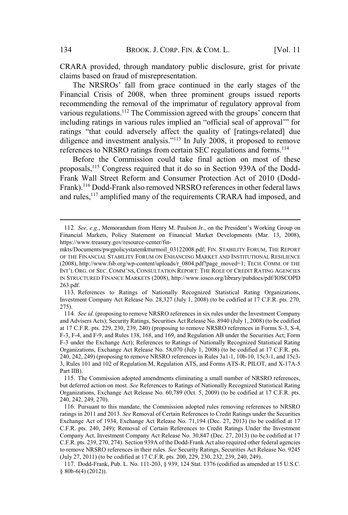CRARA provided, through mandatory public disclosure, grist for private claims based on fraud of misrepresentation. BROOK. J. CORP. FIN. & COM. L. [Vol. 11]<br>
National provided, through mandatory public disclosure, grist for private<br>
provided on fraud of misrepresentation.<br>
NRSROs' fall from grace continued in the early stages of the

Financial Crisis of 2008, when three prominent groups issued reports recommending the removal of the imprimatur of regulatory approval from BROOK. J. CORP. FIN. & COM. L. [Vol. 11<br>CRARA provided, through mandatory public disclosure, grist for private<br>claims based on fraud of misrepresentation.<br>The NRSROs' fall from grace continued in the early stages of the<br>Fi BROOK. J. CORP. FIN. & COM. L. [Vol. 11<br>provided, through mandatory public disclosure, grist for private<br>sed on fraud of misrepresentation.<br>NRSROs' fall from grace continued in the early stages of the<br>Crisis of 2008, when BROOK. J. CORP. FIN. & COM. L. [Vol. 11<br>vided, through mandatory public disclosure, grist for private<br>on fraud of misrepresentation.<br>SROs' fall from grace continued in the early stages of the<br>isis of 2008, when three promi BROOK. J. CORP. FIN. & COM. L. [Vol. 11<br>
vided, through mandatory public disclosure, grist for private<br>
on fraud of misrepresentation.<br>
ROs' fall from grace continued in the early stages of the<br>
sis of 2008, when three pro references to NRSRO ratings from certain SEC regulations and forms.<sup>114</sup> arious regulations.<sup>112</sup> The Commission agreed with the groups' concern that neluding ratings in various rules implied an "official seal of approval" for attings "that could adversely affect the quality of [ratings-related

Before the Commission could take final action on most of these proposals,<sup>115</sup> Congress required that it do so in Section 939A of the Dodd-Frank Wall Street Reform and Consumer Protection Act of 2010 (Dodd-Frank).<sup>116</sup> Dodd-Frank also removed NRSRO references in other federal laws and rules,<sup>117</sup> amplified many of the requirements CRARA had imposed, and references to NKSKO ratings from certain SEC regulations and forms."<br>
Before the Commission could take final action on most of these<br>
proposals,<sup>115</sup> Congress required that it do so in Section 939A of the Dodd-<br>
Frank Wall

Financial Markets, Policy Statement on Financial Market Developments (Mar. 13, 2008), https://www.treasury.gov/resource-center/fin-

mkts/Documents/pwgpolicystatemktturmoil\_03122008.pdf; FIN. STABILITY FORUM, THE REPORT OF THE FINANCIAL STABILITY FORUM ON ENHANCING MARKET AND INSTITUTIONAL RESILIENCE (2008), http://www.fsb.org/wp-content/uploads/r\_0804.pdf?page\_moved=1; TECH. COMM. OF THE IN STRUCTURED FINANCE MARKETS (2008), http://www.iosco.org/library/pubdocs/pdf/IOSCOPD 263.pdf.

<sup>113</sup>. References to Ratings of Nationally Recognized Statistical Rating Organizations, Investment Company Act Release No. 28,327 (July 1, 2008) (to be codified at 17 C.F.R. pts. 270, 275).

<sup>114</sup>*. See id.* (proposing to remove NRSRO references in six rules under the Investment Company and Advisers Acts); Security Ratings, Securities Act Release No. 8940 (July 1, 2008) (to be codified at 17 C.F.R. pts. 229, 230, 239, 240) (proposing to remove NRSRO references in Forms S-3, S-4, F-3, F-4, and F-9, and Rules 138, 168, and 169, and Regulation AB under the Securities Act; Form F-3 under the Exchange Act); References to Ratings of Nationally Recognized Statistical Rating Organizations, Exchange Act Release No. 58,070 (July 1, 2008) (to be codified at 17 C.F.R. pts. 240, 242, 249) (proposing to remove NRSRO references in Rules 3a1-1, 10b-10, 15c3-1, and 15c3- 3, Rules 101 and 102 of Regulation M, Regulation ATS, and Forms ATS-R, PILOT, and X-17A-5 Part IIB).

<sup>115</sup>. The Commission adopted amendments eliminating a small number of NRSRO references, but deferred action on most. *See* References to Ratings of Nationally Recognized Statistical Rating Organizations, Exchange Act Release No. 60,789 (Oct. 5, 2009) (to be codified at 17 C.F.R. pts. 240, 242, 249, 270).

<sup>116</sup>. Pursuant to this mandate, the Commission adopted rules removing references to NRSRO ratings in 2011 and 2013. *See* Removal of Certain References to Credit Ratings under the Securities Exchange Act of 1934, Exchange Act Release No. 71,194 (Dec. 27, 2013) (to be codified at 17 C.F.R. pts. 240, 249); Removal of Certain References to Credit Ratings Under the Investment Company Act, Investment Company Act Release No. 30,847 (Dec. 27, 2013) (to be codified at 17 C.F.R. pts. 239, 270, 274). Section 939A of the Dodd-Frank Act also required other federal agencies to remove NRSRO references in their rules. *See* Security Ratings, Securities Act Release No. 9245 (July 27, 2011) (to be codified at 17 C.F.R. pts. 200, 229, 230, 232, 239, 240, 249).

<sup>117</sup>. Dodd-Frank, Pub. L. No. 111-203, § 939, 124 Stat. 1376 (codified as amended at 15 U.S.C. § 80b-6(4) (2012)).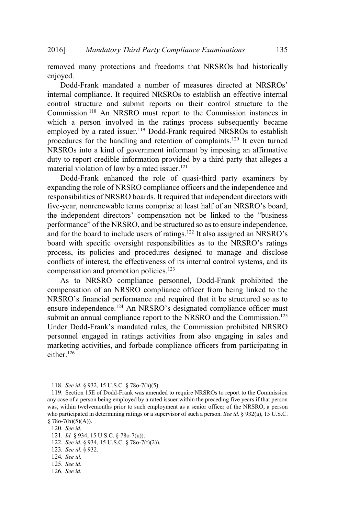removed many protections and freedoms that NRSROs had historically enjoyed. Mandatory Third Party Compliance Examinations<br>
135<br>
2007 135<br>
2008 - Dodd-Frank mandated a number of measures directed at NRSROs'<br>
2008 - Dodd-Frank mandated a number of measures directed at NRSROs'  $\frac{p}{p}$  is  $\frac{p}{p}$ 

Boad-Frank inandated a number of measures directed at NKSROs<br>internal compliance. It required NRSROs to establish an effective internal control structure and submit reports on their control structure to the Commission.<sup>118</sup> An NRSRO must report to the Commission instances in which a person involved in the ratings process subsequently became employed by a rated issuer.<sup>119</sup> Dodd-Frank required NRSROs to establish procedures for the handling and retention of complaints.<sup>120</sup> It even turned procedures for the nandling and retention of complaints. The even turned<br>NRSROs into a kind of government informant by imposing an affirmative duty to report credible information provided by a third party that alleges a material violation of law by a rated issuer.<sup>121</sup> 2016] *Mandatory Third Party Compliance Examinations* 135<br>
removed many protections and freedoms that NRSROs had historically<br>
enjoyed. Dodd-Frank mandated a number of measures directed at NRSROs'<br>
internal compliance. It s that NRSROs had historically<br>measures directed at NRSROs'<br>to establish an effective internal<br>n their control structure to the<br>to the Commission instances in<br>s process subsequently became<br>nk required NRSROs to establish<br>n by protections and reedoms that NKSKOS had instortedly<br>nk mandated a number of measures directed at NRSROs'<br>diance. It required NRSROs to establish an effective internal<br>ture and submit reports on their control structure Enjoyed.<br>
Dodd-Frank mandated a number of measures directed at NRSROs'<br>
internal compliance. It required NRSROs to establish an effective internal<br>
control structure and submit reports on their control structure to the<br>
C odd-Frank manuated a number of measures directed at NRSROs<br>al compliance. It required NRSROs to establish an effective internal<br>oli structure and submit reports on their contrinsing to the<br>insision.<sup>118</sup> An NRSRO must rep

Dodd-Frank enhanced the role of quasi-third party examiners by expanding the role of NRSRO compliance officers and the independence and responsibilities of NRSRO boards. It required that independent directors with process, its policies and procedures designed to manage and disclose conflicts of interest, the effectiveness of its internal control systems, and its compensation and promotion policies.<sup>123</sup> is tot the handling and retention of complaints. The even dinet<br>into a kind of government informant by imposing an affirmative<br>port credible information provided by a third party that alleges a<br>iolation of law by a rated ENCRIMENT CORRECT TO THE INTERTATION and the summative during that the original in of the more reaches a material violation of law by a rated issuer.<sup>121</sup> Dodd-Frank enhanced the role of quasi-third party examiners by exp matera volation or aw by a rate usster.<br>
Dodd-Frank' enhanced the role of quasi-third party examiners by<br>
expanding the role of NRSRO compliance officers and the independence and<br>
responsibilities of NRSRO boards. It requ

As to NRSRO compliance personnel, Dodd-Frank prohibited the compensation of an NRSRO compliance officer from being linked to the submit an annual compliance report to the NRSRO and the Commission.<sup>125</sup> personnel engaged in ratings activities from also engaging in sales and marketing activities, and forbade compliance officers from participating in either.<sup>126</sup>

- 123*. See id.* § 932.
- 124*. See id.*
- 125*. See id.*
- 126*. See id.*

<sup>118</sup>*. See id.* § 932, 15 U.S.C. § 78o-7(h)(5).

<sup>119</sup>. Section 15E of Dodd-Frank was amended to require NRSROs to report to the Commission any case of a person being employed by a rated issuer within the preceding five years if that person was, within twelvemonths prior to such employment as a senior officer of the NRSRO, a person who participated in determining ratings or a supervisor of such a person. *See id.* § 932(a), 15 U.S.C.  $$78o-7(h)(5)(A)).$ 

<sup>120</sup>*. See id.*

<sup>121</sup>*. Id.* § 934, 15 U.S.C. § 78o-7(u)).

<sup>122</sup>*. See id.* § 934, 15 U.S.C. § 78o-7(t)(2)).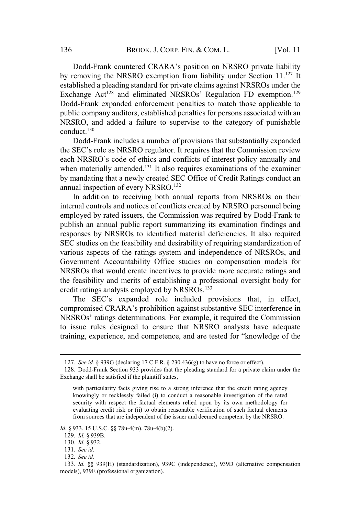BROOK. J. CORP. FIN. & COM. L. [Vol. 11]<br>Dodd-Frank countered CRARA's position on NRSRO private liability by removing the NRSRO exemption from liability under Section 11.<sup>127</sup> It established a pleading standard for private claims against NRSROs under the 136 BROOK. J. CORP. FIN. & COM. L. [Vol. 11<br>Dodd-Frank countered CRARA's position on NRSRO private liability<br>by removing the NRSRO exemption from liability under Section 11.<sup>127</sup> It<br>established a pleading standard for priv Dodd-Frank expanded enforcement penalties to match those applicable to public company auditors, established penalties for persons associated with an NRSRO, and added a failure to supervise to the category of punishable conduct. $130$ SECT: FIN. 8 COM. L. [Vol. 11<br>
Dodd-Frank countered CRARA's position on NRSRO private liability<br>
removing the NRSRO exemption from liability under Section 11.<sup>127</sup> It<br>
ablished a pleading standard for private claims again BROOK. J. CORP. FIN. & COM. L. [Vol. 11<br>
Dodd-Frank countered CRARA's position on NRSRO private liability<br>
emoving the NRSRO exemption from liability under Section 11.<sup>127</sup> It<br>
blished a pleading standard for private claim

Dodd-Frank includes a number of provisions that substantially expanded each NNSNO's code of emics and commets of interest policy annually and<br>when materially amended.<sup>131</sup> It also requires examinations of the examiner by mandating that a newly created SEC Office of Credit Ratings conduct an annual inspection of every NRSRO.<sup>132</sup> the SEC's role as NRSRO regulator. It requires that the Commission review each NRSRO's code of ethics and conflicts of interest policy annually and

In addition to receiving both annual reports from NRSROs on their internal controls and notices of conflicts created by NRSRO personnel being employed by rated issuers, the Commission was required by Dodd-Frank to publish an annual public report summarizing its examination findings and responses by NRSROs to identified material deficiencies. It also required SEC studies on the feasibility and desirability of requiring standardization of various aspects of the ratings system and independence of NRSROs, and Government Accountability Office studies on compensation models for NRSROs that would create incentives to provide more accurate ratings and the feasibility and merits of establishing a professional oversight body for credit ratings analysts employed by NRSROs.<sup>133</sup> IT and the same of provisions that such targets that the Commission review of STSRO's code of entires and conflicts of interest policy annually and atterially amended.<sup>131</sup> It also requires examinations of the examiner lat Eas in Sanco regulator. It requires that the Commission review<br>  $\gamma$ 's code of ethics and conflicts of interest policy annually and<br>
Ily amended.<sup>131</sup> It also requires examinations of the examiner<br>
that a newly created SE rative is considered and comincts of interest policy anitially and<br>erially amended.<sup>131</sup> It also requires examinations of the examiner<br>ing that a newly created SEC Office of Credit Ratings conduct an<br>pection of every NRSRO by manidamy that a newly cleared SEC Orice of Clear Kamps conduct an<br>annual inspection of every NRSRO.<sup>132</sup><br>In addition to receiving both annual reports from NRSROs on their<br>internal controls and notices of conflicts creat

to issue rules designed to ensure that NRSRO analysts have adequate

*Id.* § 933, 15 U.S.C. §§ 78u-4(m), 78u-4(b)(2).

- 131*. See id*.
- 132*. See id.*

<sup>127</sup>*. See id.* § 939G (declaring 17 C.F.R. § 230.436(g) to have no force or effect).

<sup>128</sup>. Dodd-Frank Section 933 provides that the pleading standard for a private claim under the Exchange shall be satisfied if the plaintiff states,

with particularity facts giving rise to a strong inference that the credit rating agency knowingly or recklessly failed (i) to conduct a reasonable investigation of the rated security with respect the factual elements relied upon by its own methodology for evaluating credit risk or (ii) to obtain reasonable verification of such factual elements from sources that are independent of the issuer and deemed competent by the NRSRO.

<sup>129</sup>*. Id.* § 939B.

<sup>130</sup>*. Id.* § 932.

<sup>133</sup>*. Id.* §§ 939(H) (standardization), 939C (independence), 939D (alternative compensation models), 939E (professional organization).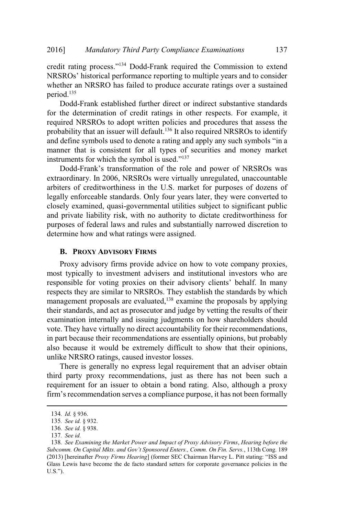Mandatory Third Party Compliance Examinations 137<br>
rating process."<sup>134</sup> Dodd-Frank required the Commission to extend Mandatory Third Party Compliance Examinations 137<br>ng process."<sup>134</sup> Dodd-Frank required the Commission to extend<br>historical performance reporting to multiple years and to consider whether an NRSRO has failed to produce accurate ratings over a sustained period.<sup>135</sup>

Dodd-Frank established further direct or indirect substantive standards for the determination of credit ratings in other respects. For example, it required NRSROs to adopt written policies and procedures that assess the probability that an issuer will default.<sup>136</sup> It also required NRSROs to identify 6] *Mandatory Third Party Compliance Examinations* 137<br>dit rating process."<sup>134</sup> Dodd-Frank required the Commission to extend<br>SROs' historical performance reporting to multiple years and to consider<br>ther an NRSRO has fail manner that is consistent for all types of securities and money market 2016] Mandatory Third Party Complian<br>credit rating process."<sup>134</sup> Dodd-Frank requin<br>NRSROs' historical performance reporting to<br>whether an NRSRO has failed to produce ac<br>period.<sup>135</sup><br>Dodd-Frank established further direct o Mandatory Third Party Compliance Examinations 137<br>
iit rating process."<sup>134</sup> Dodd-Frank required the Commission to extend<br>
SROs' historical performance reporting to multiple years and to consider<br>
ther an NRSRO has failed

extraordinary. In 2006, NRSROs were virtually unregulated, unaccountable arbiters of creditworthiness in the U.S. market for purposes of dozens of legally enforceable standards. Only four years later, they were converted to closely examined, quasi-governmental utilities subject to significant public and private liability risk, with no authority to dictate creditworthiness for purposes of federal laws and rules and substantially narrowed discretion to determine how and what ratings were assigned. **EXECTS FOR THE FORT SET SET ASSEM SET AS THE SET AS THE SET AS THE SET AS THE SET AS THE SET AND AND SET AS THE SET AN ANTIGLAT SURVEY THAT AS THE SURVEY INTO A FIRSH TO SURVEY THAT AS THE SURVEY THAT IS USED. THE USED IN**  $\frac{1}{2}$  for  $\frac{1}{2}$   $\frac{1}{2}$   $\frac{1}{2}$   $\frac{1}{2}$   $\frac{1}{2}$   $\frac{1}{2}$   $\frac{1}{2}$   $\frac{1}{2}$   $\frac{1}{2}$   $\frac{1}{2}$   $\frac{1}{2}$   $\frac{1}{2}$   $\frac{1}{2}$   $\frac{1}{2}$   $\frac{1}{2}$   $\frac{1}{2}$   $\frac{1}{2}$   $\frac{1}{2}$   $\frac{1}{2}$   $\frac{1}{2}$   $\frac{1}{2$ 

### **B. PROXY ADVISORY FIRMS**

Proxy advisory firms provide advice on how to vote company proxies, most typically to investment advisers and institutional investors who are respects they are similar to NRSROs. They establish the standards by which management proposals are evaluated,<sup>138</sup> examine the proposals by applying their standards, and act as prosecutor and judge by vetting the results of their examination internally and issuing judgments on how shareholders should vote. They have virtually no direct accountability for their recommendations, in part because their recommendations are essentially opinions, but probably also because it would be extremely difficult to show that their opinions, unlike NRSRO ratings, caused investor losses. **SET FIRMS**<br>SET FIRMS<br>SET FIRMS<br>SET FIRMS<br>SET FIRMS<br>SET FIRMS<br>TONIC AND SET FOR SURVEY COMPAND TO APPONSIBLE THE PURPOSER THE PURPOSER THE PURPOSER THE PURPOSER SPONDING<br>are evaluated,<sup>138</sup> examine the proposals by applyi

There is generally no express legal requirement that an adviser obtain third party proxy recommendations, just as there has not been such a requirement for an issuer to obtain a bond rating. Also, although a proxy in part because their recommendations are essentially opinions, but probably<br>also because it would be extremely difficult to show that their opinions,<br>unlike NRSRO ratings, caused investor losses.<br>There is generally no exp unlik<br>
T<br>
third<br>
requin<br>
firm':<br>
134.<br>
135.<br>
136.<br>
137.<br>
138.<br>
2013)<br>
Glass 1<br>
U.S.'').

<sup>134</sup>*. Id.* § 936.

<sup>135</sup>*. See id.* § 932.

<sup>136</sup>*. See id.* § 938.

<sup>137</sup>*. See id.*

<sup>138</sup>*. See Examining the Market Power and Impact of Proxy Advisory Firms*, *Hearing before the Subcomm. On Capital Mkts. and Gov't Sponsored Enters., Comm. On Fin. Servs.*, 113th Cong. 189 Glass Lewis have become the de facto standard setters for corporate governance policies in the  $U.S.''.$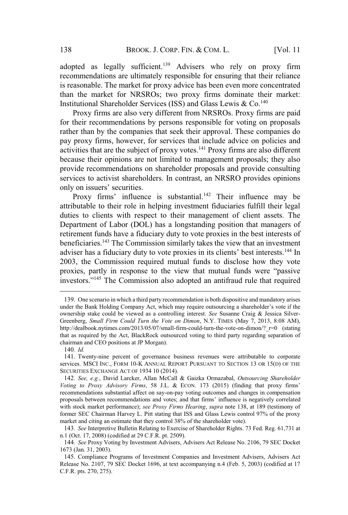adopted as legally sufficient.<sup>139</sup> Advisers who rely on proxy firm recommendations are ultimately responsible for ensuring that their reliance is reasonable. The market for proxy advice has been even more concentrated than the market for NRSROs; two proxy firms dominate their market: Institutional Shareholder Services (ISS) and Glass Lewis & Co.<sup>140</sup>

Proxy firms are also very different from NRSROs. Proxy firms are paid Froxy firms are also very different from NKSKOS. Froxy firms are pard<br>for their recommendations by persons responsible for voting on proposals rather than by the companies that seek their approval. These companies do pay proxy firms, however, for services that include advice on policies and activities that are the subject of proxy votes.<sup>141</sup> Proxy firms are also different because their opinions are not limited to management proposals; they also provide recommendations on shareholder proposals and provide consulting services to activist shareholders. In contrast, an NRSRO provides opinions BROC<br>
I as legally suff<br>
nendations are ultin<br>
mable. The market<br>
e market for NRS<br>
onal Shareholder S<br>
xy firms are also v<br>
r recommendations<br>
han by the compan<br>
xy firms, however<br>
se that are the subje<br>
: their opinions BROOK. J. CORP. FIN. & COM. L. [Vol. 11<br>as legally sufficient.<sup>139</sup> Advisers who rely on proxy firm<br>dations are ultimately responsible for ensuring that their reliance<br>ble. The market for proxy advice has been even more co ional Shareholder Sorvices (ISS) and Glass Lewis & Co.<sup>140</sup><br>towal Shareholder Services (ISS) and Glass Lewis & Co.<sup>140</sup><br>ty firms are also very different from NRSROs. Proxy firms are paid<br>ir recommendations by persons resp ion them re

attributable to their role in helping investment fiduciaries fulfill their legal duties to clients with respect to their management of client assets. The Department of Labor (DOL) has a longstanding position that managers of retirement funds have a fiduciary duty to vote proxies in the best interests of beneficiaries.<sup>143</sup> The Commission similarly takes the view that an investment 2003, the Commission required mutual funds to disclose how they vote re also very different from NKSKOS. Floxy films are para-<br>endations by persons responsible for voting on proposals<br>companies that seek their approval. These companies do<br>however, for services that include advice on policie investors."<sup>145</sup> The Commission also adopted an antifraud rule that required only on issuers' securities.<br>
Proxy firms' influence is substantial.<sup>142</sup> Their influence may be<br>
attributable to their role in helping investment fiduciaries fulfill their legal<br>
duties to clients with respect to their m

<sup>139</sup>. One scenario in which a third party recommendation is both dispositive and mandatory arises ownership stake could be viewed as a controlling interest. *See* Susanne Craig & Jessica Silver-Greenberg, *Small Firm Could Turn the Vote on Dimon*, N.Y. TIMES (May 7, 2013, 8:08 AM), http://dealbook.nytimes.com/2013/05/07/small-firm-could-turn-the-vote-on-dimon/? r=0 (stating that as required by the Act, BlackRock outsourced voting to third party regarding separation of chairman and CEO positions at JP Morgan). *Vote* **Example 1999 Example 10 Example 10 Example 10 Example 10 Example 10 Example 10 Advisors.**<sup>*M45*</sup> The Commission also adopted an antifraud rule that required investors.<sup>*n*145</sup> The Commission also adop investors.<sup>7143</sup> The Commission also adopted an antifraud rule that required<br>
139. One scenario in which a third party recommendation is both dispositive and mandatory arises<br>
under the Bank Holding Company Act, which may

<sup>140</sup>*. Id.*

<sup>141</sup>. Twenty-nine percent of governance business revenues were attributable to corporate services. MSCI INC., FORM 10-K ANNUAL REPORT PURSUANT TO SECTION 13 OR 15(D) OF THE SECURITIES EXCHANGE ACT OF 1934 10 (2014).

<sup>142</sup>*. See, e.g.*, David Larcker, Allan McCall & Gaizka Ormazabal, *Outsourcing Shareholder* recommendations substantial affect on say-on-pay voting outcomes and changes in compensation with stock market performance); *see Proxy Firms Hearing*, *supra* note 138, at 189 (testimony of former SEC Chairman Harvey L. Pitt stating that ISS and Glass Lewis control 97% of the proxy market and citing an estimate that they control 38% of the shareholder vote).

<sup>143</sup>*. See* Interpretive Bulletin Relating to Exercise of Shareholder Rights. 73 Fed. Reg. 61,731 at n.1 (Oct. 17, 2008) (codified at 29 C.F.R. pt. 2509).

<sup>144</sup>*. See* Proxy Voting by Investment Advisers, Advisers Act Release No. 2106, 79 SEC Docket 1673 (Jan. 31, 2003).

<sup>145</sup>. Compliance Programs of Investment Companies and Investment Advisers, Advisers Act Release No. 2107, 79 SEC Docket 1696, at text accompanying n.4 (Feb. 5, 2003) (codified at 17 C.F.R. pts. 270, 275).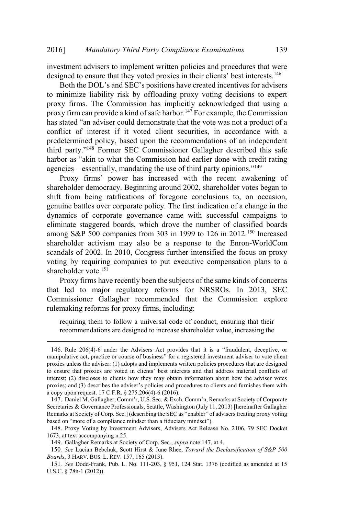investment advisers to implement written policies and procedures that were Mandatory Third Party Compliance Examinations 13<br>that advisers to implement written policies and procedures that we<br>to ensure that they voted proxies in their clients' best interests.<sup>146</sup> Mandatory Third Party Compliance Examinations 139<br>
dvisers to implement written policies and procedures that were<br>
ensure that they voted proxies in their clients' best interests.<sup>146</sup><br>
DOL's and SEC's positions have creat

to minimize liability risk by offloading proxy voting decisions to expert proxy firms. The Commission has implicitly acknowledged that using a proxy firm can provide a kind of safe harbor.<sup>147</sup> For example, the Commission 2016] Mandatory Third Party Compliance Examinations 139<br>
investment advisers to implement written policies and procedures that were<br>
designed to ensure that they voted proxies in their clients' best interests.<sup>146</sup><br>
Both t conflict of interest if it voted client securities, in accordance with a predetermined policy, based upon the recommendations of an independent Mandatory Third Party Compliance Examinations 139<br>
stment advisers to implement written policies and procedures that were<br>
gred to ensure that they voted proxies in their clients' best interests.<sup>146</sup><br>
Both the DOL's and Mandatory Third Party Compliance Examinations 139<br>
ment advisers to implement written policies and procedures that were<br>
ed to ensure that they voted proxies in their clients' best interests.<sup>146</sup><br>
oth the DOL's and SEC's 2016] *Mandatory Third Party Compliance Examinations*<br>investment advisers to implement written policies and procedures the<br>designed to ensure that they voted proxies in their clients' best intere<br>Both the DOL's and SEC's firms' power has increased with the recent awakening of

shareholder democracy. Beginning around 2002, shareholder votes began to shift from being ratifications of foregone conclusions to, on occasion, genuine battles over corporate policy. The first indication of a change in the dynamics of corporate governance came with successful campaigns to eliminate staggered boards, which drove the number of classified boards among S&P 500 companies from 303 in 1999 to 126 in 2012.<sup>150</sup> Increased shareholder activism may also be a response to the Enron-WorldCom scandals of 2002. In 2010, Congress further intensified the focus on proxy voting by requiring companies to put executive compensation plans to a shareholder vote.<sup>151</sup> mong S&P 500 companies from 303 in 1999 to 126 in 2012.<sup>150</sup> Increased<br>hareholder activism may also be a response to the Enron-WorldCom<br>candals of 2002. In 2010, Congress further intensified the focus on proxy<br>oting by re manious Sect 500 companies from 505 in 1999 to 120 in 2012. Increased<br>shareholder activism may also be a response to the Enron-WorldCom<br>scandals of 2002. In 2010, Congress further intensified the focus on proxy<br>voting by r

Proxy firms have recently been the subjects of the same kinds of concerns that led to major regulatory reforms for NRSROs. In 2013, SEC Commissioner Gallagher recommended that the Commission explore rulemaking reforms for proxy firms, including: scandals of 2002. In 2010, Congress further intensified the focus on proxy<br>voting by requiring companies to put executive compensation plans to a<br>shareholder vote.<sup>151</sup><br>Proxy firms have recently been the subjects of the sa

requiring them to follow a universal code of conduct, ensuring that their recommendations are designed to increase shareholder value, increasing the

proxies unless the adviser: (1) adopts and implements written policies procedures that are designed to ensure that proxies are voted in clients' best interests and that address material conflicts of interest; (2) discloses to clients how they may obtain information about how the adviser votes becoming the state of the same of the same kinds of concerns<br>
Proxy firms have recently been the subjects of the same kinds of concerns<br>
that led to major regulatory reforms for NRSROs. In 2013, SEC<br>
Commissioner Gallagher a copy upon request. 17 C.F.R. § 275.206(4)-6 (2016). Proxy firms have recently been the subjects of the same kinds of concerns<br>at led to major regulatory reforms for NRSROs. In 2013, SEC<br>commissioner Gallagher recommended that the Commission explore<br>alemaking reforms for pr Commissioner Gallagher recommended that the Commission explore<br>
rulemaking reforms for proxy firms, including:<br>
requiring them to follow a universal code of conduct, ensuring that their<br>
recommendations are designed to in Commissioner Ganagrier recommended that the<br>rulemaking reforms for proxy firms, including:<br>requiring them to follow a universal code of conduc<br>recommendations are designed to increase shareholder<br>146. Rule 206(4)-6 under t

Secretaries & Governance Professionals, Seattle, Washington (July 11, 2013) [hereinafter Gallagher based on "more of a compliance mindset than a fiduciary mindset").<br>148. Proxy Voting by Investment Advisers, Advisers Act Release No. 2106, 79 SEC Docket

<sup>1673,</sup> at text accompanying n.25.

<sup>149</sup>. Gallagher Remarks at Society of Corp. Sec., *supra* note 147, at 4.

<sup>150</sup>*. See* Lucian Bebchuk, Scott Hirst & June Rhee, *Toward the Declassification of S&P 500 Boards*, 3 HARV. BUS. L. REV. 157, 165 (2013).

<sup>151</sup>*. See* Dodd-Frank, Pub. L. No. 111-203, § 951, 124 Stat. 1376 (codified as amended at 15 U.S.C. § 78n-1 (2012)).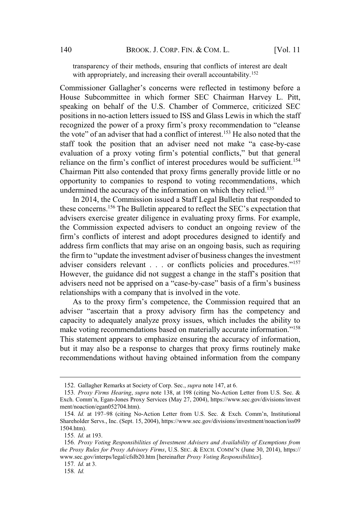transparency of their methods, ensuring that conflicts of interest are dealt with appropriately, and increasing their overall accountability.<sup>152</sup> BROOK. J. CORP. FIN. & COM. L. [Vol. 11<br>y of their methods, ensuring that conflicts of interest are dealt<br>priately, and increasing their overall accountability.<sup>152</sup><br>Gallagher's concerns were reflected in testimony before

House Subcommittee in which former SEC Chairman Harvey L. Pitt, speaking on behalf of the U.S. Chamber of Commerce, criticized SEC speaking on behan of the O.S. Chamber of Commerce, criticized SEC<br>positions in no-action letters issued to ISS and Glass Lewis in which the staff BROOK. J. CORP. FIN. & COM. L. [Vol. 11<br>
rency of their methods, ensuring that conflicts of interest are dealt<br>
propriately, and increasing their overall accountability.<sup>152</sup><br>
inner Gallagher's concerns were reflected in t 140 BROOK. J. CORP. FIN. & COM. L. [Vol. 11<br>
transparency of their methods, ensuring that conflicts of interest are dealt<br>
with appropriately, and increasing their overall accountability.<sup>152</sup><br>
Commissioner Gallagher's co BROOK. J. CORP. FIN. & COM. L. [Vol. 11<br>
transparency of their methods, ensuring that conflicts of interest are dealt<br>
with appropriately, and increasing their overall accountability.<sup>152</sup><br>
ses Subcommittee in which former BROOK. J. CORP. FIN. & COM. L. [Vol. 11<br>
rency of their methods, ensuring that conflicts of interest are dealt<br>
ppropriately, and increasing their overall accountability.<sup>152</sup><br>
oner Gallagher's concerns were reflected in t BROOK. J. CORP. FIN. & COM. L. [Vol. 11<br>
ency of their methods, ensuring that conflicts of interest are dealt<br>
propriately, and increasing their overall accountability.<sup>152</sup><br>
nner Gallagher's concerns were reflected in tes Chairman Pitt also contended that proxy firms generally provide little or no opportunity to companies to respond to voting recommendations, which undermined the accuracy of the information on which they relied.<sup>155</sup> Example 1960 Material concerns.<sup>156</sup> The Bulletin appeared to reflect the Secondities<br>these concerns with appropriately, and increasing their overall accountability.<sup>152</sup><br>Commissioner Gallagher's concerns were reflected in Commissioner Gallagher's concerns were reflected in testimony before a issioner Gallagher's concerns were reflected in testimony before a<br>
confliction in Which former SEC Chairman Harvey L. Pitt,<br>
ing on behalf of the U.S. Chamber of Commerce, criticized SEC<br>
orns in no-action letters issued see Subcommittee in which forther SEC Channian Travey E. Tut, aking on behalf of the U.S. Chamber of Commerce, criticized SEC and is distinuishin in no-action letters issued to ISS and Glass Lewis in which the staff ognize is in to-action letters issued to ISS. Chained of Columetee, cinterzed SEC<br>is in no-action letters issued to ISS and Glass Lewis in which the staff<br>ized the power of a proxy firm's proxy recommendation to "cleanse<br>"of an a recognized the power of a proxy firm's proxy recommendation to "cleanse" the vote" of an adviser that had a conflict of interest.<sup>153</sup> He also noted that the  $\overline{\phantom{a}}$ cvaluat<br>1.

In 2014, the Commission issued a Staff Legal Bulletin that responded to advisers exercise greater diligence in evaluating proxy firms. For example, the Commission expected advisers to conduct an ongoing review of the address firm conflicts that may arise on an ongoing basis, such as requiring guidance of a proxy firm's proxy recommendation to "cleanse<br>e power of a proxy firm's proxy recommendation to "cleanse<br>n adviser that had a conflict of interest.<sup>153</sup> He also noted that the<br>e position that an adviser need For an adviser that had a conflict of interest.<sup>153</sup> He also noted that the observe the position that an adviser reed not make "a case-by-case on of a proxy voting firm's potential conflicts," but that general on the firm relationships with a company that is involved in the vote. from of a proxy vorting firm's potential conflicts," but that general<br>to e on the firm's contended that proxy firms generally provide surfficient.<sup>154</sup><br>to the a member of interest procedures would be sufficient.<sup>154</sup><br>and foll of a proxy volung film is potential comints, but that general and the firm's conflict of interest procedures would be sufficient.<sup>154</sup> can the firm's confinded that proxy firms generally provide little or no imind the Chainmal Pitt and conneited that proxy imis generally provide the or no<br>opportunity to companies to respond to voting recommendations, which<br>undermined the accuracy of the information on which they relied.<sup>155</sup><br>In 2014, t

capacity to adequately analyze proxy issues, which includes the ability to This statement appears to emphasize ensuring the accuracy of information, but it may also be a response to charges that proxy firms routinely make recommendations without having obtained information from the company advisers need not be apprised on a "case-by-case" basis of a firm's business<br>relationships with a company that is involved in the vote.<br>As to the proxy firm's competence, the Commission required that an<br>adviser "ascertain 2141001511p5 with a company that is involved in the vote.<br>
As to the proxy firm's competence, the Commission required that an<br>
diviser "ascertain that a proxy advisory firm has the competency and<br>
apacity to adequately ana *the* **Proxy Proxy Proxy Proxy Proxy Proxy Firms**, U.S. SEC. & EXCH. COMM'N (June 30, 2014), https://www.sec.gov/divisions/integration.<br> **For** *Proxy Firms Halagher Remarks at Society of Corp. Sec., <i>supra* n

<sup>152</sup>. Gallagher Remarks at Society of Corp. Sec., *supra* note 147, at 6.

<sup>153</sup>*. Proxy Firms Hearing*, *supra* note 138, at 198 (citing No-Action Letter from U.S. Sec. & ment/noaction/egan052704.htm).

Shareholder Servs., Inc. (Sept. 15, 2004), https://www.sec.gov/divisions/investment/noaction/iss09 1504.htm).

<sup>155</sup>*. Id.* at 193.

<sup>156</sup>*. Proxy Voting Responsibilities of Investment Advisers and Availability of Exemptions from* www.sec.gov/interps/legal/cfslb20.htm [hereinafter *Proxy Voting Responsibilities*].

<sup>157</sup>*. Id.* at 3.

<sup>158</sup>*. Id.*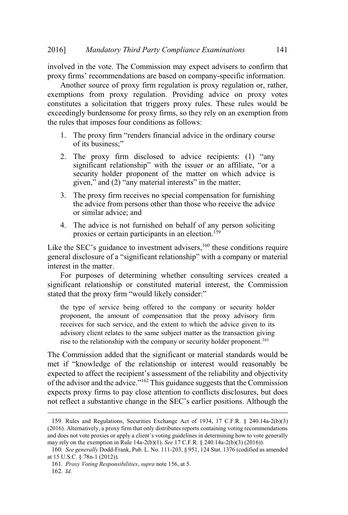involved in the vote. The Commission may expect advisers to confirm that *Mandatory Third Party Compliance Examinations* 14<br> *H* and the vote. The Commission may expect advisers to confirm tha<br>
firms' recommendations are based on company-specific information.

Another source of proxy firm regulation is proxy regulation or, rather, exemptions from proxy regulation. Providing advice on proxy votes constitutes a solicitation that triggers proxy rules. These rules would be exceedingly burdensome for proxy firms, so they rely on an exemption from the rules that imposes four conditions as follows: Mandatory Third Party Compliance Examinations<br>
1. Mandatory Third Party Compliance Examinations<br>
1. The vector of the Commission may expect advisers to confirm<br>
1. The proxy firm regulation is proxy regulation or, rat<br>
1. Mandatory<br>
n the vote. The<br>
is' recomment<br>
is from prox<br>
s a solicitation<br>
s a solicitation<br>
hat imposes for<br>
the proxy firm<br>
its business:" Mandatory Third Party Compliance Examinations<br>
Solved in the vote. The Commission may expect advisers to confirm<br>
ty firms' recommendations are based on company-specific information<br>
Another source of proxy firm regulation *The Compliance Examinations*<br>ission may expect advisers to confirm<br>re based on company-specific information<br>in regulation is proxy regulation or, rat<br>ation. Providing advice on proxy v<br>iggers proxy rules. These rules woul tory Third Party Compliance Examination<br>
e. The Commission may expect advisers<br>
mendations are based on company-specifi<br>
of proxy firm regulation is proxy regula<br>
proxy regulation. Providing advice or<br>
tation that triggers raptions from proxy regulation. Providing advice on proxy votes<br>titutes a solicitation that triggers proxy rules. These rules would be<br>edingly burdensome for proxy firms, so they rely on an exemption from<br>ules that impose

- $\overline{\phantom{a}}$
- significant relationship" with the issuer or an affiliate, "or a security holder proponent of the matter on which advice is ttes a solicitation that triggers proxy rules. These rules would be<br>ingly burdensome for proxy firms, so they rely on an exemption from<br>s that imposes four conditions as follows:<br>The proxy firm "renders financial advice i The proxy firm Tenders infinited at vice of its business;"<br>
The proxy firm disclosed to advice<br>
significant relationship" with the issuer<br>
security holder proponent of the matter<br>
given," and (2) "any material interests"
	- 3. The proxy firm receives no special compensation for furnishing the advice from persons other than those who receive the advice or similar advice; and
- 4. The advice is not furnished on behalf of any person soliciting proxies or certain participants in an election.<sup>159</sup>

interest in the matter. Like the SEC's guidance to investment advisers,  $160$  these conditions require

For purposes of determining whether consulting services created a significant relationship or constituted material interest, the Commission

the type of service being offered to the company or security holder proponent, the amount of compensation that the proxy advisory firm receives for such service, and the extent to which the advice given to its advisory client relates to the same subject matter as the transaction giving rise to the relationship with the company or security holder proponent.<sup>161</sup> or similar advice; and<br>4. The advice is not furnished on behalf of any person soliciting<br>proxies or certain participants in an election.<sup>159</sup><br>the SEC's guidance to investment advisers,<sup>160</sup> these conditions require<br>real d The advice is not furnished on behalf of any person soliciting<br>proxies or certain participants in an election.<sup>159</sup><br>SEC's guidance to investment advisers,<sup>160</sup> these conditions require<br>lisclosure of a "significant relatio 4. The advice is not furnished on behalf of any person soliciting<br>proxies or certain participants in an election.<sup>159</sup><br>Like the SEC's guidance to investment advisers,<sup>160</sup> these conditions require<br>general disclosure of a

The Commission added that the significant or material standards would be expects proxy firms to pay close attention to conflicts disclosures, but does if the SEC's guidance to investment advisers,<sup>160</sup> these conditions require<br>reral disclosure of a "significant relationship" with a company or material<br>rest in the matter.<br>For purposes of determining whether consulting ser proponent, the amount of compensation that the proxy advisory firm<br>receives for such service, and the extent to which the advice given to its<br>advisory client relates to the same subject matter as the transaction giving<br>ri

<sup>159</sup>. Rules and Regulations, Securities Exchange Act of 1934, 17 C.F.R. § 240.14a-2(b)(3) (2016). Alternatively, a proxy firm that only distributes reports containing voting recommendations may rely on the exemption in Rule 14a-2(b)(1). *See* 17 C.F.R. § 240.14a-2(b)(3) (2016)).

<sup>160</sup>*. See generally* Dodd-Frank, Pub. L. No. 111-203, § 951, 124 Stat. 1376 (codified as amended at 15 U.S.C. § 78n-1 (2012)).

<sup>161</sup>*. Proxy Voting Responsibilities*, *supra* note 156, at 5.

<sup>162</sup>*. Id.*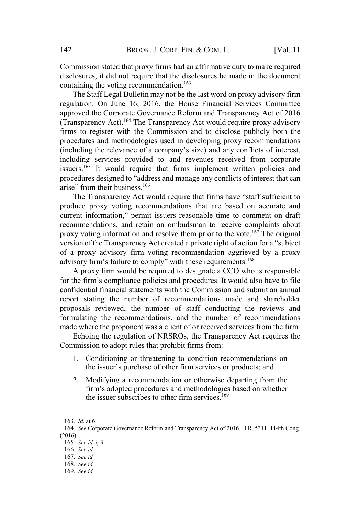Commission stated that proxy firms had an affirmative duty to make required disclosures, it did not require that the disclosures be made in the document containing the voting recommendation.<sup>163</sup>

The Staff Legal Bulletin may not be the last word on proxy advisory firm regulation. On June 16, 2016, the House Financial Services Committee approved the Corporate Governance Reform and Transparency Act of 2016 (Transparency Act).<sup>164</sup> The Transparency Act would require proxy advisory firms to register with the Commission and to disclose publicly both the forprocedures and methodologies used in developing proxy recommendations BROOK. J. CORP. FIN. & COM. L. [Vol. 11<br>on stated that proxy firms had an affirmative duty to make required<br>s, it did not require that the disclosures be made in the document<br>the voting recommendation.<sup>163</sup><br>c. On June 16, including services provided to and revenues received from corporate issuers.<sup>165</sup> It would require that firms implement written policies and BROOK. J. CORP. FIN. & COM. L. [Vol. 11<br>hat proxy firms had an affirmative duty to make required<br>ot require that the disclosures be made in the document<br>g recommendation.<sup>163</sup><br>Bulletin may not be the last word on proxy ad BROOK<br>
n stated that prox<br>
it did not requir<br>
the voting recom<br>
on June 16, 20<br>
ne Corporate Gov<br>
ncy Act).<sup>164</sup> The 1<br>
gister with the C<br>
and methodologi<br>
the relevance of a<br>
services provide<br>
It would require<br>
designed t BROOK. J. CORP. FIN. & COM. L. [Vol. 11<br>sion stated that proxy firms had an affirmative duty to make required<br>res, it did not require that the disclosures be made in the document<br>mg the voting recommendation.<sup>163</sup><br>Staff Le ission stated that proxy firms had an affirmative duty to make required<br>ures, it did not require that the disclosures be made in the document<br>ing the voting recommendation.<sup>163</sup><br>e Staff Legal Bulletin may not be the last w containing the voting Teconomic and the last word on proxy advisory firm<br>
The Staff Legal Bulletin may not be the last word on proxy advisory firm<br>
regulation. On June 16, 2016, the House Financial Services Committee<br>
app If the Corporate Governance Reform and Transparence<br>
or Corporate Governance Reform and Transparence<br>
rency Act).<sup>164</sup> The Transparency Act would require p<br>
register with the Commission and to disclose put<br>
res and method

produce proxy voting recommendations that are based on accurate and recommendations, and retain an ombudsman to receive complaints about proxy voting information and resolve them prior to the vote.<sup>167</sup> The original of a proxy advisory firm voting recommendation aggrieved by a proxy anyatency Act). The Transparency Act would require proxy advisory<br>are to register with the Commission and to disclose publicly both the<br>coedures and methodologies used in developing proxy recommendations<br>cluding the relev current information," permit issuers reasonable time to comment on draft

A proxy firm would be required to designate a CCO who is responsible confidential financial statements with the Commission and submit an annual report stating the number of recommendations made and shareholder proposals reviewed, the number of staff conducting the reviews and formulating the recommendations, and the number of recommendations made where the proponent was a client of or received services from the firm. ," permit issuers reasonable time to comment<br>and retain an ombudsman to receive complain<br>antion and resolve them prior to the vote.<sup>167</sup> The<br>parency Act created a private right of action for a<br>ry firm voting recommendatio on and resolve them prior to the vote.<sup>167</sup> The origency Act created a private right of action for a "sulfirm voting recommendation aggrieved by a pt to comply" with these requirements.<sup>168</sup> dd be required to designate a C

Echoing the regulation of NRSROs, the Transparency Act requires the Commission to adopt rules that prohibit firms from:

- 1. Conditioning or threatening to condition recommendations on
- 2. Modifying a recommendation or otherwise departing from the firm's adopted procedures and methodologies based on whether<br>the issuer subscribes to other firm services.<sup>169</sup>

<sup>163</sup>*. Id.* at 6.

<sup>164</sup>*. See* Corporate Governance Reform and Transparency Act of 2016, H.R. 5311, 114th Cong. (2016).

<sup>165</sup>*. See id.* § 3.

<sup>166</sup>*. See id.*

<sup>167</sup>*. See id.*

<sup>168</sup>*. See id.*

<sup>169</sup>*. See id.*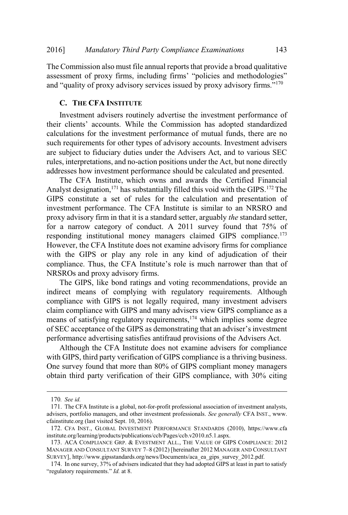The Commission also must file annual reports that provide a broad qualitative Mandatory Third Party Compliance Examinations 143<br>
ission also must file annual reports that provide a broad qualitative<br>
of proxy firms, including firms' "policies and methodologies" 6] Mandatory Third Party Compliance Examinations 14<br>
Commission also must file annual reports that provide a broad qualitativ<br>
"sessment of proxy firms, including firms" "policies and methodologies<br>
"auality of proxy advis Third Party Compliance Examinations 143<br>
ust file annual reports that provide a broad qualitative<br>
rms, including firms' "policies and methodologies"<br>
divisory services issued by proxy advisory firms."<sup>170</sup><br>
TTUTE<br>
s routi

### **C. THE CFA INSTITUTE**

Investment advisers routinely advertise the investment performance of calculations for the investment performance of mutual funds, there are no such requirements for other types of advisory accounts. Investment advisers are subject to fiduciary duties under the Advisers Act, and to various SEC rules, interpretations, and no-action positions under the Act, but none directly addresses how investment performance should be calculated and presented.

addresses now investment performance should be calculated and presented.<br>The CFA Institute, which owns and awards the Certified Financial Analyst designation, $171$  has substantially filled this void with the GIPS.  $172$  The GIPS constitute a set of rules for the calculation and presentation of investment performance. The CFA Institute is similar to an NRSRO and proxy advisory firm in that it is a standard setter, arguably *the* standard setter, for a narrow category of conduct. A 2011 survey found that 75% of responding institutional money managers claimed GIPS compliance.<sup>173</sup> However, the CFA Institute does not examine advisory firms for compliance with the GIPS or play any role in any kind of adjudication of their ent advisers routinely advertise the investment performance of<br>
' accounts. While the Commission has adopted standardized<br>
for the investment performance of mutual funds, there are no<br>
ments for other types of advisory acc NRSROs and proxy advisory firms. then performance should be calculated and presented.<br>
the, which owns and awards the Certified Financial<br>
<sup>71</sup> has substantially filled this void with the GIPS.<sup>172</sup> The<br>
et of rules for the calculation and presentation o

The GIPS, like bond ratings and voting recommendations, provide an indirect means of complying with regulatory requirements. Although compliance with GIPS is not legally required, many investment advisers claim compliance with GIPS and many advisers view GIPS compliance as a means of satisfying regulatory requirements,<sup>174</sup> which implies some degree performance advertising satisfies antifraud provisions of the Advisers Act.

Although the CFA Institute does not examine advisers for compliance with GIPS, third party verification of GIPS compliance is a thriving business. One survey found that more than 80% of GIPS compliant money managers obtain third party verification of their GIPS compliance, with 30% citing THE VALUATION TO SECTRED MANAGER AND CONSULTANT SURVEY 7–8 (2012) INERTIATED MANAGER AND CONSULTANT SURVEY 7–8 (2012) IRENATION CONSULTANT SURVANCE AND CONSULTANT SURVANCES AND CONSULTANT SURVANCES THAN MANGER AND CONSULTA with GIPS, third party verificant<br>with GIPS, third party verificat<br>Obtain third party verificat<br>171. The CFA Institute is a globa<br>advisers, portfolio managers, and c<br>diansitute.org (last vistied Sept. 1<br>172. CFA INST, GLOB

<sup>170</sup>*. See id.*

<sup>171</sup>. The CFA Institute is a global, not-for-profit professional association of investment analysts, advisers, portfolio managers, and other investment professionals. *See generally* CFA INST., www. cfainstitute.org (last visited Sept. 10, 2016).

<sup>172</sup>. CFA INST., GLOBAL INVESTMENT PERFORMANCE STANDARDS (2010), https://www.cfa institute.org/learning/products/publications/ccb/Pages/ccb.v2010.n5.1.aspx.

<sup>173</sup>. ACA COMPLIANCE GRP. & EVESTMENT ALL., THE VALUE OF GIPS COMPLIANCE: 2012 SURVEY], http://www.gipsstandards.org/news/Documents/aca\_ea\_gips\_survey\_2012.pdf.

<sup>174</sup>. In one survey, 37% of advisers indicated that they had adopted GIPS at least in part to satisfy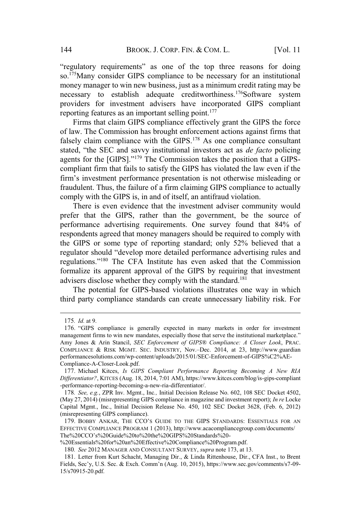BROOK. J. CORP. FIN. & COM. L. [Vol. 11]<br>requirements" as one of the top three reasons for doing so.175Many consider GIPS compliance to be necessary for an institutional money manager to win new business, just as a minimum credit rating may be necessary to establish adequate creditworthiness.<sup>176</sup>Software system necessary to establish adequate creditworrhingss. Software system<br>providers for investment advisers have incorporated GIPS compliant providers for investment advisers have incording features as an important selling point.<sup>177</sup> BROOK. J. CORP. FIN. & COM. L. [Vol. 11<br>requirements" as one of the top three reasons for doing<br>consider GIPS compliance to be necessary for an institutional<br>ager to win new business, just as a minimum credit rating may be 144 BROOK. J. CORP. FIN. & COM. L. [Vol. 11<br>
"regulatory requirements" as one of the top three reasons for doing<br>
so.<sup>175</sup>Many consider GIPS compliance to be necessary for an institutional<br>
money manager to win new busine

Firms that claim GIPS compliance effectively grant the GIPS the force of law. The Commission has brought enforcement actions against firms that falsely claim compliance with the GIPS.<sup>178</sup> As one compliance consultant compliant firm that fails to satisfy the GIPS has violated the law even if the BROOK. J. CORP. FIN. & COM. L. [Vol. 11<br>atory requirements" as one of the top three reasons for doing<br>*Many* consider GIPS compliance to be necessary for an institutional<br>y manager to win new business, just as a minimum c fraudulent. Thus, the failure of a firm claiming GIPS compliance to actually comply with the GIPS is, in and of itself, an antifraud violation. Friestandard controllations. Solution system<br>for investment advisers have incorporated GIPS compliant<br>features as an important selling point.<sup>177</sup><br>s that claim GIPS compliance effectively grant the GIPS the force<br>he Commi

There is even evidence that the investment adviser community would prefer that the GIPS, rather than the government, be the source of performance advertising requirements. One survey found that 84% of respondents agreed that money managers should be required to comply with the GIPS or some type of reporting standard; only 52% believed that a regulations."<sup>180</sup> The CFA Institute has even asked that the Commission formalize its apparent approval of the GIPS by requiring that investment advisers disclose whether they comply with the standard.<sup>181</sup> There is even evidence that the investment advised community would<br>refer that the GIPS, rather than the government, be the source of<br>erformance advertising requirements. One survey found that 84% of<br>espondents agreed that prefer that the GIPS, rather than the government, be the source of<br>performance advertising requirements. One survey found that 84% of<br>respondents agreed that money managers should be required to comply with<br>the GIPS or so respondents agreed that money managers should be required to comply with<br>the GIPS or some type of reporting standard; only 52% believed that a<br>regulations."<sup>180</sup> The CFA Institute has even asked that the Commission<br>formal

The potential for GIPS-based violations illustrates one way in which third party compliance standards can create unnecessary liability risk. For

<sup>175</sup>*. Id.* at 9.

Amy Jones & Arin Stancil, *SEC Enforcement of GIPS® Compliance: A Closer Look*, PRAC. performancesolutions.com/wp-content/uploads/2015/01/SEC-Enforcement-of-GIPS%C2%AE-Compliance-A-Closer-Look.pdf. 175. *Id.* at 9.<br>
175. *Id.* at 9.<br>
176. "GIPS compliance is generally expected in many markets in order for investment<br>
imagement firms to win new mandates, especially those that serve the institutional market<br>
2. any Jon 175. *Id.* at 9.<br>
176. "GIPS compliance is generally expected in many market<br>
management firms to win new mandates, especially those that serve th<br>
Amy Jones & Arin Stancil, *SEC Enforcement of GIPS® Complia*<br>
COMPLIANCE

<sup>177</sup>. Michael Kitces, *Is GIPS Compliant Performance Reporting Becoming A New RIA Differentiator?*, KITCES (Aug. 18, 2014, 7:01 AM), https://www.kitces.com/blog/is-gips-compliant -performance-reporting-becoming-a-new-ria-differentiator/.

<sup>178</sup>*. See, e.g.*, ZPR Inv. Mgmt., Inc*.,* Initial Decision Release No. 602, 108 SEC Docket 4502, (May 27, 2014) (misrepresenting GIPS compliance in magazine and investment report); *In re* Locke Capital Mgmt., Inc., Initial Decision Release No. 450, 102 SEC Docket 3628, (Feb. 6, 2012) (misrepresenting GIPS compliance). Amy Jones & Arm Sancti, Sec. Invorcement of GIPS Compliance: A Closer Look, FRAC.<br>COMPLIANCE & RISK MGMT. SEC. INDUSTRY, Nov.-Dec. 2014, at 23, http://www.guardian<br>performancesolutions.com/wp-content/uploads/2015/01/SEC-En

<sup>179.</sup> BOBBY ANKAR, THE CCO'S GUIDE TO THE GIPS STANDARDS: ESSENTIALS FOR AN EFFECTIVE COMPLIANCE PROGRAM 1 (2013), http://www.acacompliancegroup.com/documents/

<sup>%20</sup>Essentials%20for%20an%20Effective%20Compliance%20Program.pdf.

<sup>180</sup>*. See* 2012 MANAGER AND CONSULTANT SURVEY, *supra* note 173, at 13.

<sup>181</sup>. Letter from Kurt Schacht, Managing Dir., & Linda Rittenhouse, Dir., CFA Inst., to Brent Fields, Sec'y, U.S. Sec. & Exch. Comm'n (Aug. 10, 2015), https://www.sec.gov/comments/s7-09-<br>15/s70915-20.pdf.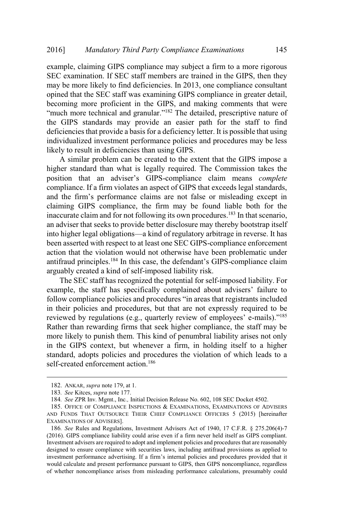example, claiming GIPS compliance may subject a firm to a more rigorous SEC examination. If SEC staff members are trained in the GIPS, then they may be more likely to find deficiencies. In 2013, one compliance consultant opined that the SEC staff was examining GIPS compliance in greater detail, becoming more proficient in the GIPS, and making comments that were Mandatory Third Party Compliance Examinations 145<br>le, claiming GIPS compliance may subject a firm to a more rigorous<br>xamination. If SEC staff members are trained in the GIPS, then they<br>e more likely to find deficiencies. I the GIPS standards may provide an easier path for the staff to find deficiencies that provide a basis for a deficiency letter. It is possible that using denciencies that provide a basis for a denciency fetter. It is possible that using<br>individualized investment performance policies and procedures may be less murviduanzed investment performance policies<br>likely to result in deficiencies than using GIPS. Mandatory Third Party Compliance Examinations<br>
2. claiming GIPS compliance may subject a firm to a more rigorous<br>
amination. If SEC staff members are trained in the GIPS, then they<br>
more likely to find deficiencies. In 201 6] Mandatory Third Party Compliance Examinations 145<br>mple, claiming GIPS compliance may subject a firm to a more rigorous<br>C examination. If SEC staff members are trained in the GIPS, then they<br> $\gamma$  be more likely to find

A similar problem can be created to the extent that the GIPS impose a A similar problem can be created to the extent that the Orr S impose a<br>higher standard than what is legally required. The Commission takes the compliance. If a firm violates an aspect of GIPS that exceeds legal standards, claiming GIPS compliance, the firm may be found liable both for the inaccurate claim and for not following its own procedures.<sup>183</sup> In that scenario, an adviser that seeks to provide better disclosure may thereby bootstrap itself Exceed Examination: IT SEC stari members are under in the OHTS, then they are the they operated that the SEC staff was examining GIPS compliance in greater detail, becoming more proficient in the GIPS, and making comments been asserted with respect to at least one SEC GIPS-compliance enforcement action that the violation would not otherwise have been problematic under becoming infort prother in the GIPS and making comments that were<br>""much more technical and granular."<sup>182</sup>. The detailed, prescriptive nature of<br>the GIPS standards may provide an easier path for the staff to find<br>deficie arguably created a kind of self-imposed liability risk. ilzed investment performance policies and provide a dash for a detection of the created. It is possible that using<br>the direct investment performance policies and procedures may be less<br>result in deficiencies than using GIP performance poicies and procedures may be ress<br>ies than using GIPS.<br>Le created to the extent that the GIPS impose a<br>risk corrected to the extent that the GIPS impose a<br>risk corrections are not false or misleading except in if problem can be cleated to the extent that the GIT is impose a<br>and than what is legally required. The Commission takes the<br>at an adviser's GIPS-compliance claim means *complete*<br>If a firm violates an aspect of GIPS that

The SEC staff has recognized the potential for self-imposed liability. For in their policies and procedures, but that are not expressly required to be Rather than rewarding firms that seek higher compliance, the staff may be more likely to punish them. This kind of penumbral liability arises not only in the GIPS context, but whenever a firm, in holding itself to a higher standard, adopts policies and procedures the violation of which leads to a self-created enforcement action.<sup>186</sup> more IIKely to punish them. I his kind of penumbral liability arises not only<br>in the GIPS context, but whenever a firm, in holding itself to a higher<br>standard, adopts policies and procedures the violation of which leads to

<sup>182</sup>. ANKAR, *supra* note 179, at 1.

<sup>183</sup>*. See* Kitces, *supra* note 177.

<sup>184</sup>*. See* ZPR Inv. Mgmt., Inc*.,* Initial Decision Release No. 602, 108 SEC Docket 4502.

<sup>185</sup>. OFFICE OF COMPLIANCE INSPECTIONS & EXAMINATIONS, EXAMINATIONS OF ADVISERS AND FUNDS THAT OUTSOURCE THEIR CHIEF COMPLIANCE OFFICERS 5 (2015) [hereinafter EXAMINATIONS OF ADVISERS].

<sup>186</sup>*. See* Rules and Regulations, Investment Advisers Act of 1940, 17 C.F.R. § 275.206(4)-7 (2016). GIPS compliance liability could arise even if a firm never held itself as GIPS compliant. Investment advisers are required to adopt and implement policies and procedures that are reasonably designed to ensure compliance with securities laws, including antifraud provisions as applied to would calculate and present performance pursuant to GIPS, then GIPS noncompliance, regardless of whether noncompliance arises from misleading performance calculations, presumably could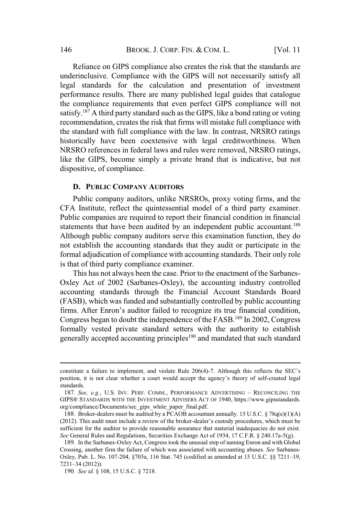Reliance on GIPS compliance also creates the risk that the standards are underinclusive. Compliance with the GIPS will not necessarily satisfy all legal standards for the calculation and presentation of investment performance results. There are many published legal guides that catalogue the compliance requirements that even perfect GIPS compliance will not satisfy.<sup>187</sup> A third party standard such as the GIPS, like a bond rating or voting recommendation, creates the risk that firms will mistake full compliance with the standard with full compliance with the law. In contrast, NRSRO ratings historically have been coextensive with legal creditworthiness. When NRSRO references in federal laws and rules were removed, NRSRO ratings, like the GIPS, become simply a private brand that is indicative, but not dispositive, of compliance.

### **D. PUBLIC COMPANY AUDITORS**

Public company auditors, unlike NRSROs, proxy voting firms, and the CFA Institute, reflect the quintessential model of a third party examiner. Public companies are required to report their financial condition in financial statements that have been audited by an independent public accountant.<sup>188</sup> Although public company auditors serve this examination function, they do not establish the accounting standards that they audit or participate in the formal adjudication of compliance with accounting standards. Their only role is that of third party compliance examiner. The GIPS, become simply a private brand that is indicative, but not<br>sitive, of compliance.<br>**PUBLIC COMPANY AUDITORS**<br>withing the URSROS, proxy voting firms, and the<br>Institute, reflect the quintessential model of a third pa

This has not always been the case. Prior to the enactment of the Sarbanes-Oxley Act of 2002 (Sarbanes-Oxley), the accounting industry controlled accounting standards through the Financial Account Standards Board (FASB), which was funded and substantially controlled by public accounting Congress began to doubt the independence of the FASB.<sup>189</sup> In 2002, Congress formally vested private standard setters with the authority to establish generally accepted accounting principles<sup>190</sup> and mandated that such standard formal adjudication of compliance with accounting standards. Their only role<br>is that of third party compliance examiner.<br>This has not always been the case. Prior to the enactment of the Sarbanes-<br>Oxley Act of 2002 (Sarban is that of third party complement what decentuing standards. Then only fore<br>is that of third party compliance examiner.<br>This has not always been the case. Prior to the enactment of the Sarbanes-<br>Oxley Act of 2002 (Sarbane This has not always been the case. Prior to the enactment of the Sarbanes-<br>Oxley Act of 2002 (Sarbanes-Oxley), the accounting industry controlled<br>ccounting standards through the Financial Account Standards Board<br>FASB), whi (FASB), which was tunded and substantially controlled by public accounting<br>firms. After Enron's auditor failed to recognize its true financial condition,<br>Congress began to doubt the independence of the FASB.<sup>189</sup> In 2002,

position, it is not clear whether a court would accept the agency's theory of self-created legal standards.

GIPS® STANDARDS WITH THE INVESTMENT ADVISERS ACT OF 1940, https://www.gipsstandards. org/compliance/Documents/sec\_gips\_white\_paper\_final.pdf.

<sup>188.</sup> Broker-dealers must be audited by a PCAOB accountant annually. 15 U.S.C.  $\S 78q(e)(1)(A)$ (2012). This audit must include a review of the broker-dealer's custody procedures, which must be sufficient for the auditor to provide reasonable assurance that material inadequacies do not exist. *See* General Rules and Regulations, Securities Exchange Act of 1934, 17 C.F.R. § 240.17a-5(g). generally accepted accounting principles<sup>190</sup> and mandated that such standard<br>constitute a failure to implement, and violate Rule 206(4)-7. Although this reflects the SEC's<br>position, it is not clear whether a court would constitute a failu<br>position, it is not<br>standards.<br>187. *See, e.g.*,<br>GIPS® STANDAR<br>188. Broker-de<br>(2012). This audi<br>sufficient for the<br>*See* General Rule<br>189. In the Sark<br>Crossing, another<br>Oxley, Pub. L. N<br>7231–34 (2012)).

<sup>189</sup>. In the Sarbanes-Oxley Act, Congress took the unusual step of naming Enron and with Global Crossing, another firm the failure of which was associated with accounting abuses. *See* Sarbanes-

<sup>190</sup>*. See id.* § 108, 15 U.S.C. § 7218.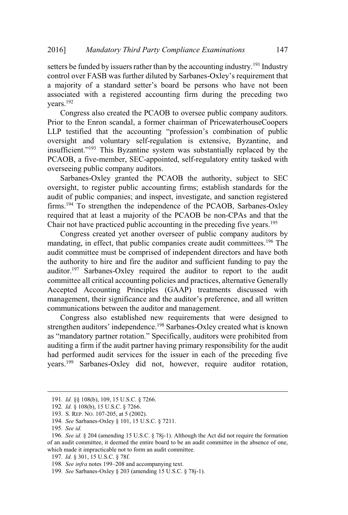setters be funded by issuers rather than by the accounting industry.<sup>191</sup> Industry 2016] Mandatory Third Party Compliance Examinations 147<br>setters be funded by issuers rather than by the accounting industry.<sup>191</sup> Industry<br>control over FASB was further diluted by Sarbanes-Oxlev's requirement that Mandatory Third Party Compliance Examinations 147<br>etters be funded by issuers rather than by the accounting industry.<sup>191</sup> Industry<br>ontrol over FASB was further diluted by Sarbanes-Oxley's requirement that<br>majority of a st associated with a registered accounting firm during the preceding two years.<sup>192</sup> Mandatory Third Party Compliance Examinations 147<br>
147<br>
147<br>
15 Triangle that the accounting industry.<sup>191</sup> Industry<br>
16 Order FASB was further diluted by Sarbanes-Oxley's requirement that<br>
ajority of a standard setter's b 2016] *Mandatory Third Party Compliance Examinations* 147<br>
setters be funded by issuers rather than by the accounting industry.<sup>191</sup> Industry<br>
control over FASB was further diluted by Sarbanes-Oxley's requirement that<br>
a m

Congress also created the PCAOB to oversee public company auditors. Prior to the Enron scandal, a former chairman of PricewaterhouseCoopers oversight and voluntary self-regulation is extensive, Byzantine, and PCAOB, a five-member, SEC-appointed, self-regulatory entity tasked with overseeing public company auditors.

Sarbanes-Oxley granted the PCAOB the authority, subject to SEC Sarbanes-Oxiey granted the PCAOB the authority, subject to SEC<br>oversight, to register public accounting firms; establish standards for the audit of public companies; and inspect, investigate, and sanction registered firms.<sup>194</sup> To strengthen the independence of the PCAOB, Sarbanes-Oxley required that at least a majority of the PCAOB be non-CPAs and that the Chair not have practiced public accounting in the preceding five years.<sup>195</sup>

Congress created yet another overseer of public company auditors by mandating, in effect, that public companies create audit committees.<sup>196</sup> The audit committee must be comprised of independent directors and have both the authority to hire and fire the auditor and sufficient funding to pay the auditor.<sup>197</sup> Sarbanes-Oxley required the auditor to report to the audit committee all critical accounting policies and practices, alternative Generally Accepted Accounting Principles (GAAP) treatments discussed with <sup>193</sup> This Byzantine system was substantially replaced by the ve-member, SEC-appointed, self-regulatory entity tasked with bilic company auditors.<br>
CXley granted the PCAOB the authority, subject to SEC register public acco communications between the auditor and management. In pair and the PCAOB the authority, subject to SEC<br>or public accounting firms; establish standards for the<br>panies; and inspect, investigate, and sanction registered<br>hen the independence of the PCAOB, Sarbanes-Oxley<br>st a Drey granied the PCAOB the authority, subject to SEC<br>register public accounting firms; establish standards for the<br>companies; and inspect, investigate, and sanction registered<br>rengthen the independence of the PCAOB, Sarba

Congress also established new requirements that were designed to auditing a firm if the audit partner having primary responsibility for the audit had performed audit services for the issuer in each of the preceding five years.<sup>199</sup> Sarbanes-Oxley did not, however, require auditor rotation, uditing a firm if the audit partner having pr<br>ad performed audit services for the issue<br>ears.<sup>199</sup> Sarbanes-Oxley did not, how<br>191. *Id.* §§ 108(b), 109, 15 U.S.C. § 7266.<br>192. *Id.* § 108(b), 15 U.S.C. § 7266.<br>193. S. RE

<sup>191</sup>*. Id.* §§ 108(b), 109, 15 U.S.C. § 7266.

<sup>192</sup>*. Id.* § 108(b), 15 U.S.C. § 7266.

<sup>193</sup>. S. REP. NO. 107-205, at 5 (2002).

<sup>194</sup>*. See* Sarbanes-Oxley § 101, 15 U.S.C. § 7211.

<sup>195</sup>*. See id.*

<sup>196</sup>*. See id.* § 204 (amending 15 U.S.C. § 78j-1). Although the Act did not require the formation of an audit committee, it deemed the entire board to be an audit committee in the absence of one, which made it impracticable not to form an audit committee.

<sup>197</sup>*. Id.* § 301, 15 U.S.C. § 78f.

<sup>199</sup>*. See* Sarbanes-Oxley § 203 (amending 15 U.S.C. § 78j-1).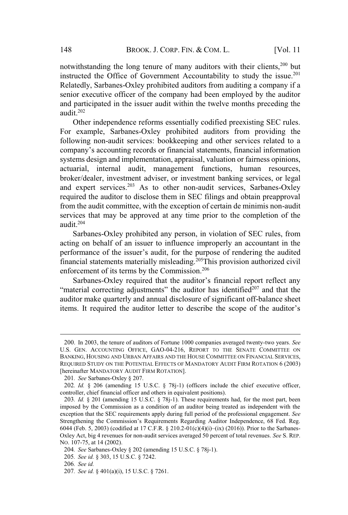and participated in the issuer audit within the twelve months preceding the

audit.<sup>202</sup> Other independence reforms essentially codified preexisting SEC rules. For example, Sarbanes-Oxley prohibited auditors from providing the For example, sarbanes-Oxicy promoted additions from providing the<br>following non-audit services: bookkeeping and other services related to a BROOK. J. CORP. FIN. & COM. L. [Vol. 11<br>ading the long tenure of many auditors with their clients,<sup>200</sup> but<br>the Office of Government Accountability to study the issue.<sup>201</sup><br>Sarbanes-Oxley prohibited auditors from auditing systems design and implementation, appraisal, valuation or fairness opinions, actuarial, internal audit, management functions, human resources, broker/dealer, investment adviser, or investment banking services, or legal and expert services.<sup>203</sup> As to other non-audit services, Sarbanes-Oxley required the auditor to disclose them in SEC filings and obtain preapproval from the audit committee, with the exception of certain de minimis non-audit services that may be approved at any time prior to the completion of the audit $204$ I in the issuer audit within the twelve months preceding the bendence reforms essentially codified preexisting SEC rules. Sarbanes-Oxley prohibited auditors from providing the audit services: bookkeeping and other services outer micropredicte retorins essentially couried preexisting SEC rues.<br>
example, Sarbanes-Oxley prohibited auditors from providing the<br>
pany's accounting records or financial statements, financial information<br>
emay's acco policy saroanes-Oxtey promotical additions if om providing the<br>
r non-audit services: bookkeeping and other services related to a<br>
d's accounting records or financial statements, financial information<br>
lesign and implemen company's accounting records or financial statements, financial information It is accounting recons of infinited statements, infinited information<br>as design and implementation, appraisal, valuation or fairnes opinions,<br>it is id, internal audit, management functions, human resources,<br>r/dealer, inv

Sarbanes-Oxley prohibited any person, in violation of SEC rules, from acting on behalf of an issuer to influence improperly an accountant in the financial statements materially misleading.<sup>205</sup>This provision authorized civil enforcement of its terms by the Commission.<sup>206</sup>

auditor make quarterly and annual disclosure of significant off-balance sheet

<sup>200</sup>. In 2003, the tenure of auditors of Fortune 1000 companies averaged twenty-two years. *See* U.S. GEN. ACCOUNTING OFFICE, GAO-04-216, REPORT TO THE SENATE COMMITTEE ON BANKING, HOUSING AND URBAN AFFAIRS AND THE HOUSE COMMITTEE ON FINANCIAL SERVICES, REQUIRED STUDY ON THE POTENTIAL EFFECTS OF MANDATORY AUDIT FIRM ROTATION 6 (2003) [hereinafter MANDATORY AUDIT FIRM ROTATION]. 200. In 2003, the enure of auditor letter to describe the scope of the auditor's<br>strengthens. It required the auditor letter to describe the scope of the auditor's<br>customers. Hence of auditors of Fortune 1000 companies ave

<sup>201</sup>*. See* Sarbanes-Oxley § 207.

<sup>202</sup>*. Id.* § 206 (amending 15 U.S.C. § 78j-1) (officers include the chief executive officer, controller, chief financial officer and others in equivalent positions).

<sup>203</sup>*. Id.* § 201 (amending 15 U.S.C. § 78j-1). These requirements had, for the most part, been imposed by the Commission as a condition of an auditor being treated as independent with the exception that the SEC requirements apply during full period of the professional engagement. *See* 1 tems. It required the auditor letter to describe the scope of the auditor's<br>
200. In 2003, the tenure of auditors of Fortune 1000 companies averaged twenty-two years. See<br>
U.S. GEN. ACCOUNTING OFFICE, GAO-04-216, REPORT Oxley Act, big 4 revenues for non-audit services averaged 50 percent of total revenues. *See* S. REP. NO. 107-75, at 14 (2002).

<sup>204</sup>*. See* Sarbanes-Oxley § 202 (amending 15 U.S.C. § 78j-1).

<sup>205</sup>*. See id.* § 303, 15 U.S.C. § 7242.

<sup>206</sup>*. See id.*

<sup>207</sup>*. See id.* § 401(a)(i), 15 U.S.C. § 7261.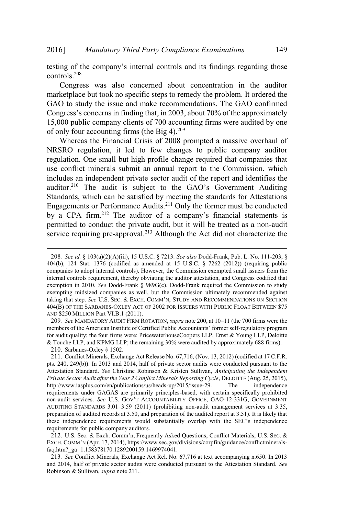Mandatory Third Party Compliance Examinations 149<br>of the company's internal controls and its findings regarding those controls.<sup>208</sup>

Congress was also concerned about concentration in the auditor marketplace but took no specific steps to remedy the problem. It ordered the GAO to study the issue and make recommendations. The GAO confirmed Mandatory Third Party Compliance Examinations 149<br>the company's internal controls and its findings regarding those<br>ess was also concerned about concentration in the auditor<br>e but took no specific steps to remedy the proble 15,000 public company clients of 700 accounting firms were audited by one of only four accounting firms (the Big 4). $^{209}$ 2016] Mandatory Third Party Compliance Examinations 149<br>testing of the company's internal controls and its findings regarding those<br>controls.<sup>208</sup><br>Congress was also concerned about concentration in the auditor<br>GAO to stud

Whereas the Financial Crisis of 2008 prompted a massive overhaul of NRSRO regulation, it led to few changes to public company auditor regulation. One small but high profile change required that companies that use conflict minerals submit an annual report to the Commission, which includes an independent private sector audit of the report and identifies the Standards, which can be satisfied by meeting the standards for Attestations Engagements or Performance Audits.<sup>211</sup> Only the former must be conducted testing of the company's internal controls and its findings regarding those<br>controls.<sup>208</sup><br>Congress was also concerned about concentration in the auditor<br>marketplace but took no specific steps to remedy the problem. It or permitted to conduct the private audit, but it will be treated as a non-audit service requiring pre-approval.<sup>213</sup> Although the Act did not characterize the Includes an independent private sector addit of the report and identifies the<br>auditor.<sup>210</sup> The audit is subject to the GAO's Government Auditing<br>Standards, which can be satisfied by meeting the standards for Attestations<br>

for audit quality; the four firms were: PricewaterhouseCoopers LLP, Ernst & Young LLP, Deloitte & Touche LLP, and KPMG LLP; the remaining 30% were audited by approximately 688 firms).

210. Sarbanes-Oxley § 1502.

faq.htm?\_ga=1.158378170.1289200159.1469974041.

213*. See* Conflict Minerals, Exchange Act Rel. No. 67,716 at text accompanying n.650. In 2013 and 2014, half of private sector audits were conducted pursuant to the Attestation Standard. *See* Robinson & Sullivan, *supra* note 211..

<sup>208</sup>*. See id.* § 103(a)(2)(A)(iii), 15 U.S.C. § 7213. *See also* Dodd-Frank, Pub. L. No. 111-203, § 404(b), 124 Stat. 1376 (codified as amended at 15 U.S.C. § 7262 (2012)) (requiring public companies to adopt internal controls). However, the Commission exempted small issuers from the internal controls requirement, thereby obviating the auditor attestation, and Congress codified that exemption in 2010. *See* Dodd-Frank § 989G(c). Dodd-Frank required the Commission to study exempting midsized companies as well, but the Commission ultimately recommended against 404(B) OF THE SARBANES-OXLEY ACT OF 2002 FOR ISSUERS WITH PUBLIC FLOAT BETWEEN \$75 AND \$250 MILLION Part VI.B.1 (2011). Ingagements or Performance Audits.<sup>211</sup> Only the former must be conducted<br>y a CPA firm.<sup>212</sup> The auditor of a company's financial statements is<br>ermitted to conduct the private audit, but it will be treated as a non-audit<br>e Engagements of Perofinance Adults. Unity the former must be conducted<br>by a CPA firm.<sup>212</sup> The auditor of a company's financial statements is<br>permitted to conduct the private audit, but it will be treated as a non-audit<br>se

<sup>211</sup>. Conflict Minerals, Exchange Act Release No. 67,716, (Nov. 13, 2012) (codified at 17 C.F.R. pts. 240, 249(b)). In 2013 and 2014, half of private sector audits were conducted pursuant to the Attestation Standard. *See* Christine Robinson & Kristen Sullivan, *Anticipating the Independent Private Sector Audit after the Year 2 Conflict Minerals Reporting Cycle*, DELOITTE (Aug. 25, 2015), http://www.iasplus.com/en/publications/us/heads-up/2015/issue-29. The independence requirements under GAGAS are primarily principles-based, with certain specifically prohibited metrial controsts requirement, unerely oonvaning the author autestation, and Congress connect mate<br>exemption in 2010. *See* Dodd-Frank § 989G(c). Dodd-Frank required the Commission to study<br>exempting midsized companies as exemption m 2010. *see* Doua-Frank § *v*esovo(c). Doua-Frank required the Commission to study<br>taking that step. *See* U.S. SEC. & ExcH. COMM'N, STUDY AND RECOMMENDATIONS ON SECTION<br>404(B) OF THE SARBANES-OXLEY ACT OF 2002 preparation of audited records at 3.50, and preparation of the audited report at 3.51). It is likely that THE SARE SARE CONSIDENTIFY AND NET THE SARE THE SARE THE SARE THE SARE THAND SECTION AND S250 MILLION Part VI.B.1 (2011).<br>AND \$250 MILLION Part VI.B.1 (2011).<br>209. See MANDATORY AUDIT FIRM ROTATION, *supra* note 200, at 10 these independence requirements would substantially overlap with the SEC's independence requirements for public company auditors. NO 32.30 MILLION Falt VLE. 1(2011).<br>209. See MANDATORY AUDIT FIRM ROTATION, supra note 200, at 10–11 (the 700 firms were the<br>embers of the American Institute of Certified Public Accountants' former self-regulatory program<br> 209. See WANDATORY ADDIT FIKM KOTATION, *supra* note 200, at 10–11 (the 700 times were the American Institute of Certificel Public Accountants' former self-regulatory programments of the American Institute of Certificel P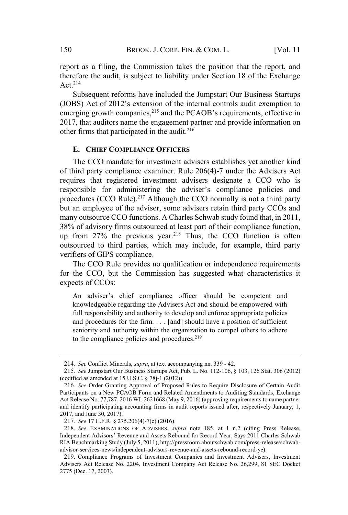report as a filing, the Commission takes the position that the report, and therefore the audit, is subject to liability under Section 18 of the Exchange Act  $214$ BROOK. J. CORP. FIN. & COM. L. [Vol. 11<br>
as a filing, the Commission takes the position that the report, and<br>
the audit, is subject to liability under Section 18 of the Exchange<br>
sequent reforms have included the Jumpstart 150 BROOK. J. CORP. FIN. & COM. L. [Vol. 11<br>report as a filing, the Commission takes the position that the report, and<br>therefore the audit, is subject to liability under Section 18 of the Exchange<br>Act.<sup>214</sup><br>Subsequent refo

Subsequent reforms have included the Jumpstart Our Business Startups 2017, that auditors name the engagement partner and provide information on other firms that participated in the audit.<sup>216</sup> BROOK. J. CORP. FIN. & COM. L. [Vol. 11<br>filing, the Commission takes the position that the report, and<br>e audit, is subject to liability under Section 18 of the Exchange<br>uent reforms have included the Jumpstart Our Business

### **E. CHIEF COMPLIANCE OFFICERS**

The CCO mandate for investment advisers establishes vet another kind of third party compliance examiner. Rule 206(4)-7 under the Advisers Act requires that registered investment advisers designate a CCO who is procedures (CCO Rule).<sup>217</sup> Although the CCO normally is not a third party but an employee of the adviser, some advisers retain third party CCOs and many outsource CCO functions. A Charles Schwab study found that, in 2011, 38% of advisory firms outsourced at least part of their compliance function, up from  $27\%$  the previous year.<sup>218</sup> Thus, the CCO function is often outsourced to third parties, which may include, for example, third party verifiers of GIPS compliance. andate for investment advisers establishes yet another I<br>mpliance examiner. Rule 206(4)-7 under the Advisers<br>gistered investment advisers designate a CCO whe<br>administering the adviser's compliance policies<br>DRule).<sup>217</sup> Al

The CCO Rule provides no qualification or independence requirements for the CCO, but the Commission has suggested what characteristics it expects of CCOs:

knowledgeable regarding the Advisers Act and should be empowered with full responsibility and authority to develop and enforce appropriate policies and procedures for the firm. . . . [and] should have a position of sufficient seniority and authority within the organization to compel others to adhere to the compliance policies and procedures.<sup>219</sup>

<sup>214</sup>*. See* Conflict Minerals, *supra*, at text accompanying nn. 339 - 42.

<sup>215</sup>*. See* Jumpstart Our Business Startups Act, Pub. L. No. 112-106, § 103, 126 Stat. 306 (2012) (codified as amended at 15 U.S.C. § 78j-1 (2012)).

<sup>216</sup>*. See* Order Granting Approval of Proposed Rules to Require Disclosure of Certain Audit Participants on a New PCAOB Form and Related Amendments to Auditing Standards, Exchange Act Release No. 77,787, 2016 WL 2621668 (May 9, 2016) (approving requirements to name partner and identify participating accounting firms in audit reports issued after, respectively January, 1, 2017, and June 30, 2017). In Esponsionary and adulority to develop and elrioted appropriate portics<br>and procedures for the firm. . . . [and] should have a position of sufficient<br>seniority and authority within the organization to compel others to a

<sup>217</sup>*. See* 17 C.F.R. § 275.206(4)-7(c) (2016).

<sup>218</sup>*. See* EXAMINATIONS OF ADVISERS, *supra* note 185, at 1 n.2 (citing Press Release, RIA Benchmarking Study (July 5, 2011), http://pressroom.aboutschwab.com/press-release/schwabadvisor-services-news/independent-advisors-revenue-and-assets-rebound-record-ye).

<sup>219</sup>. Compliance Programs of Investment Companies and Investment Advisers, Investment Advisers Act Release No. 2204, Investment Company Act Release No. 26,299, 81 SEC Docket 2775 (Dec. 17, 2003).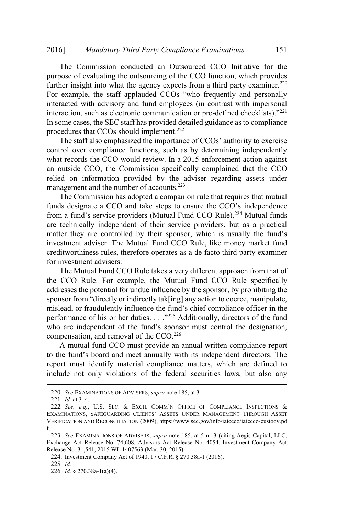The Commission conducted an Outsourced CCO Initiative for the purpose of evaluating the outsourcing of the CCO function, which provides purpose of evaluating the outsourcing of the CCO function, which provides<br>further insight into what the agency expects from a third party examiner.<sup>220</sup> 6] Mandatory Third Party Compliance Examinations 151<br>The Commission conducted an Outsourced CCO Initiative for the<br>pose of evaluating the outsourcing of the CCO function, which provides<br>her insight into what the agency exp interacted with advisory and fund employees (in contrast with impersonal 2016] Mandatory Third Party Compliance Examinations 151<br>The Commission conducted an Outsourced CCO Initiative for the<br>purpose of evaluating the outsourcing of the CCO function, which provides<br>further insight into what the In some cases, the SEC staff has provided detailed guidance as to compliance procedures that CCOs should implement.<sup>222</sup> Mandatory Third Party Compliance Examinations 151<br>The Commission conducted an Outsourced CCO Initiative for the<br>ose of evaluating the outsourcing of the CCO function, which provides<br>her insight into what the agency expect *CO atory Third Party Compliance Examinations* 151<br>
sion conducted an Outsourced CCO Initiative for the<br>
ting the outsourcing of the CCO function, which provides<br>
o what the agency expects from a third party examiner.<sup>2</sup> mission conducted an Outsourced CCO Initiative for the aluating the outsourcing of the CCO function, which provides i into what the agency expects from a third party examiner.<sup>220</sup> the staff applauded CCOs "who frequently is the total what the agency expects from a third party insight into what the agency expects from a third party examiner.<sup>220</sup> cample, the staff applauded CCOs "who frequently and personally teted with advisory and fund e

The start also emphasized the importance of CCOs additionly to exercise<br>control over compliance functions, such as by determining independently collulor over compliance functions, such as by determining independently<br>what records the CCO would review. In a 2015 enforcement action against what records the CCO would review. In a 2015 emorgement action against<br>an outside CCO, the Commission specifically complained that the CCO an outside CCO, the Commission specifically complained that the CCO<br>relied on information provided by the adviser regarding assets under management and the number of accounts.<sup>223</sup>

The Commission has adopted a companion rule that requires that mutual are technically independent of their service providers, but as a practical investment adviser. The Mutual Fund CCO Rule, like money market fund creditworthiness rules, therefore operates as a de facto third party examiner for investment advisers. stari also emphasized the importance of CCOs adultomy to exercise<br>over compliance functions, such as by determining independently<br>cords the CCO would review. In a 2015 enforcement action against<br>ide CCO, the Commission spe or fraudulently influence the Mutual Fund CCO will every the CCO would review. In a 2015 enforcement action against<br>de CCO, the Commission specifically complained that the CCO<br>n information provided by the adviser regardin CCO, the Commission specifically complained that the CCO formation provided by the adviser regarding assets under and the number of accounts.<sup>223</sup> amission has adopted a companion rule that requires that mutual at a CCO a dom information provided by the adviser regarding complement and the CCO agement and the number of accounts.<sup>223</sup><br>agement and the number of accounts.<sup>223</sup><br>The Commission has adopted a companion rule that requires that mut funds designate a CCO and take steps to ensure the CCO's independence

The Mutual Fund CCO Rule takes a very different approach from that of the CCO Rule. For example, the Mutual Fund CCO Rule specifically addresses the potential for undue influence by the sponsor, by prohibiting the compensation, and removal of the CCO.<sup>226</sup> full distribute and CCO and take steps to ensure the CCO's independence a Comparior designate a CCO and a fund's service providers (Mutual Fund CCO Rule).<sup>224</sup> Mutual funds chinically independent of their service provider ne CCO Ru<br>ddresses the<br>ponsor from<br>islead, or fr<br>erformance<br>who are inde<br>ompensation<br>A mutual<br>port must<br>port must<br>aport must<br>alcoude not of<br>220. *See* Exam<br>221. *Id.* at 3–4. ddresses the potential for undue influence by the sponsor, by prohibiting the<br>ponsor from "directly or indirectly tak[ing] any action to coerce, manipulate,<br>nislead, or fraudulently influence the fund's chief compliance of Sponsor from "directly or indirectly tak[ing] any action to coerce, manipulate, mislead, or fraudulently influence the fund's chief compliance officer in the performance of his or her duties. . . . . . . . . . . . . . . .

A mutual fund CCO must provide an annual written compliance report report must identify material compliance matters, which are defined to include not only violations of the federal securities laws, but also any

<sup>220</sup>*. See* EXAMINATIONS OF ADVISERS, *supra* note 185, at 3.

VERIFICATION AND RECONCILIATION (2009), https://www.sec.gov/info/iaiccco/iaiccco-custody.pd f.

<sup>223</sup>*. See* EXAMINATIONS OF ADVISERS, *supra* note 185, at 5 n.13 (citing Aegis Capital, LLC, Exchange Act Release No. 74,608, Advisors Act Release No. 4054, Investment Company Act Release No. 31,541, 2015 WL 1407563 (Mar. 30, 2015).

<sup>224</sup>. Investment Company Act of 1940, 17 C.F.R. § 270.38a-1 (2016).

<sup>225</sup>*. Id.*

<sup>226</sup>*. Id.* § 270.38a-1(a)(4).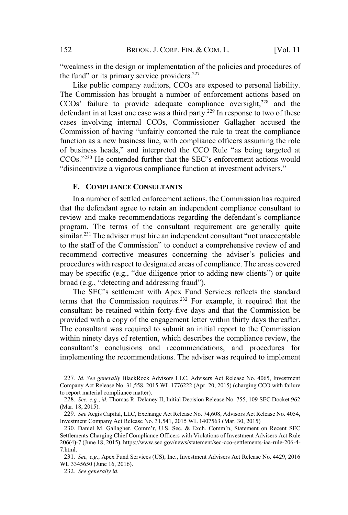BROOK. J. CORP. FIN. & COM. L. [Vol. 11 in the design or implementation of the policies and procedures of Fund 2 BROOK. J. CORP. FIN.  $\&$  eakness in the design or implementation of fund" or its primary service providers.<sup>227</sup>

Like public company auditors, CCOs are exposed to personal liability. The Commission has brought a number of enforcement actions based on Failure to provide a dequate compliance oversight,<sup>228</sup> and the provide adequate compliance of the policies and procedures of d" or its primary service providers.<sup>227</sup><br>Keepublic company auditors, CCOs are exposed to person defendant in at least one case was a third party.<sup>229</sup> In response to two of these cases involving internal CCOs. Commissioner Gallagher accused the BROOK. J. CORP. FIN. & COM. L. [Vol. 11<br>
the design or implementation of the policies and procedures of<br>
its primary service providers.<sup>227</sup><br>
olic company auditors, CCOs are exposed to personal liability.<br>
ssion has broug function as a new business line, with compliance officers assuming the role BROOK. J. CORP. FIN. & COM. L. [Vol. 11<br>
veakness in the design or implementation of the policies and procedures of<br>
e fund" or its primary service providers.<sup>227</sup><br>
Like public company auditors, CCOs are exposed to persona  $\frac{1}{2}$  is in the public state of the public state of the public state of the state of the state of the state of the state of the state of the state of the state of the state of the state of the state of the state of th BROOK. J. CORP. FIN. & COM. L. [Vol. 11<br>the design or implementation of the policies and procedures of<br>s primary service providers.<sup>227</sup><br>ic company auditors, CCOs are exposed to personal liability.<br>ision has brought a numb BROOK. J. CORP. FIN. & COM. L. [Vo<br>
design or implementation of the policies and procedur-<br>
rimary service providers.<sup>227</sup><br>
company auditors, CCOs are exposed to personal liab<br>
n has brought a number of enforcement actions "weakness in the design or implementation of the policies and procedures of<br>the fund" or its primary service providers.<sup>227</sup><br>Like public company auditors, CCOs are exposed to personal liability.<br>The Commission has brought Like public company auditors, CCOs are exposed to personal liability.<br>The Commission has brought a number of enforcement actions based on<br>CCOs' failure to provide adequate compliance oversight,<sup>228</sup> and the<br>defendant in a Example 1231 The adviser must hire an independent consultant "not unaccepted the staff of the Commission has brought a number of enforcement actions based on COs' failure to provide adequate compliance oversight,<sup>228</sup> and CCOs' failure to provide adequate compliance oversight,<sup>228</sup> and the defendant in at least one case was a third party.<sup>229</sup> In response to two of these cases involving internal CCOs, Commissioner Gallagher accused the Com Commission of having "unfairly contorted the rule to treat the compliance

### **F. COMPLIANCE CONSULTANTS**

In a number of settled enforcement actions, the Commission has required that the defendant agree to retain an independent compliance consultant to program. The terms of the consultant requirement are generally quite procedures with respect to designated areas of compliance. The areas covered **EXECUTE:**<br> **EXECUTE:**<br> **EXECUTE:**<br> **EXECUTE:**<br> **EXECUTE:**<br> **ENDIVITY:** Interal CCOS, Commissioner Gallagher accused the<br>
mission of having "unfairly contorted the rule to treat the compliance<br>
tion as a new business line mission of having "unfairly contorted th<br>on as a new business line, with compliar<br>siness heads," and interpreted the CCC<br>s."<sup>230</sup> He contended further that the SEC<br>ceentivize a vigorous compliance function<br>**COMPLIANCE CON EXECT:** The standard mumeral and mumeral decay, "detecting and addressing framed  $\Omega$ . The SEC's settlement with  $\Omega$  settlement actions would incentivize a vigorous compliance function at investment actions would incent there of settled enforcement actions, the Commission has required<br>endant agree to retain an independent compliance consultant to<br>make recommendations regarding the defendant's compliance<br>he terms of the consultant requirem

terms that the Commission requires.<sup>232</sup> For example, it required that the consultant be retained within forty-five days and that the Commission be provided with a copy of the engagement letter within thirty days thereafter. The consultant was required to submit an initial report to the Commission within ninety days of retention, which describes the compliance review, the implementing the recommendations. The adviser was required to implement onsultant be retained within forty-five days and that the Commission be<br>rovided with a copy of the engagement letter within thirty days thereafter.<br>The consultant was required to submit an initial report to the Commission<br>

<sup>227</sup>*. Id. See generally* BlackRock Advisors LLC, Advisers Act Release No. 4065, Investment Company Act Release No. 31,558, 2015 WL 1776222 (Apr. 20, 2015) (charging CCO with failure to report material compliance matter).

<sup>228</sup>*. See, e.g.*, *id.* Thomas R. Delaney II, Initial Decision Release No. 755, 109 SEC Docket 962 (Mar. 18, 2015).

<sup>229</sup>*. See* Aegis Capital, LLC, Exchange Act Release No. 74,608, Advisors Act Release No. 4054, Investment Company Act Release No. 31,541, 2015 WL 1407563 (Mar. 30, 2015)

Settlements Charging Chief Compliance Officers with Violations of Investment Advisers Act Rule 206(4)-7 (June 18, 2015), https://www.sec.gov/news/statement/sec-cco-settlements-iaa-rule-206-4- 7.html.

<sup>231</sup>*. See, e.g.*, Apex Fund Services (US), Inc., Investment Advisers Act Release No. 4429, 2016 WL 3345650 (June 16, 2016).

<sup>232</sup>*. See generally id.*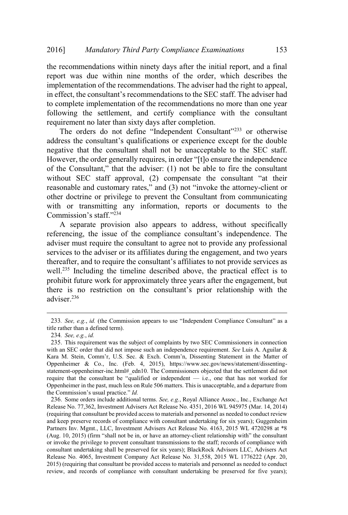the recommendations within ninety days after the initial report, and a final report was due within nine months of the order, which describes the implementation of the recommendations. The adviser had the right to appeal, Mandatory Third Party Compliance Examinations 153<br>
e recommendations within ninety days after the initial report, and a final<br>
port was due within nine months of the order, which describes the<br>
plementation of the recommen to complete implementation of the recommendations no more than one year following the settlement, and certify compliance with the consultant requirement no later than sixty days after completion. Mandatory Third Party Compliance Examinations 153<br>mmmendations within ninety days after the initial report, and a final<br>was due within nine months of the order, which describes the<br>entation of the recommendations. The advi Mandatory Third Party Compliance Examinations 153<br>
immendations within ninety days after the initial report, and a final<br>
was due within nine months of the order, which describes the<br>
entation of the recommendations to the 2016] *Mandatory Third Party Compliance Examinations* 153<br>the recommendations within ninety days after the initial report, and a final<br>report was due within nine months of the order, which describes the<br>implementation of t Mandatory Third Party Compliance Examinations 153<br>
e recommendations within ninety days after the initial report, and a final<br>
port was due within nine months of the order, which describes the<br>
pplementation of the recomm Party Compliance Examinations 153<br>
inety days after the initial report, and a final<br>
months of the order, which describes the<br>
endations. The adviser had the right to appeal,<br>
imendations to the SEC staff. The adviser had *Mandatory Third Party Compliance Examinations* 153<br>
nendations within ninety days after the initial report, and a final<br>
s due within nine months of the order, which describes the<br>
ation of the recommendations. The advis

negative that the consultant shall not be unacceptable to the SEC staff. other doctrine or privilege to prevent the Consultant from communicating with or transmitting any information, reports or documents to the Commission's staff."234 duce whim line inontals of the otder, which describes the<br>tion of the recommendations. The adviser had the right to appeal,<br>consultant's recommendations to the SEC staff. The adviser had<br>implementation of the recommendatio following the settlementation of the recomminduations to those that one year following the settlement, and certify compliance with the consultant requirement no later than sixty days after completion.<br>The orders do not de The orders do not define "Independent Consultant"<sup>233</sup> or otherwise<br>address the consultant's qualifications or experience except for the double The bit is consultant's qualifications or experience except for the double<br>sess the consultant shall into the unacceptable to the SEC staff.<br>ever, the order generally requires, in order "[t]o ensure the independence<br>e Con

A separate provision also appears to address, without specifically adviser must require the consultant to agree not to provide any professional services to the adviser or its affiliates during the engagement, and two years well.<sup>235</sup> Including the timeline described above, the practical effect is to prohibit future work for approximately three years after the engagement, but adviser.<sup>236</sup> is the commission is staff.<sup>7234</sup><br>
A separate provision also appears to address, without specifically<br>
A separate provision also appears to address, without specifically<br>
Eferencing, the issue of the compliance consultant Exercise mass to the compliance consultant s imappendence. The adviser must require the consultant to agree not to provide any professional services to the adviser or its affiliates during the engagement, and two years th thereafter, and to require the consultant's affiliates to not provide services as<br>well.<sup>235</sup> Including the timeline described above, the practical effect is to<br>prohibit future work for approximately three years after the

title rather than a defined term).

<sup>234</sup>*. See, e.g.*, *id.*

<sup>235</sup>. This requirement was the subject of complaints by two SEC Commissioners in connection with an SEC order that did not impose such an independence requirement. *See* Luis A. Aguilar & Oppenheimer & Co., Inc. (Feb. 4, 2015), https://www.sec.gov/news/statement/dissentingstatement-oppenheimer-inc.html# edn10. The Commissioners objected that the settlement did not require that the consultant be "qualified or independent — i.e., one that has not worked for Oppenheimer in the past, much less on Rule 506 matters. This is unacceptable, and a departure from wen.<sup>----</sup> Including the timen<br>prohibit future work for apprechence is no restriction on<br>adviser.<sup>236</sup><br>233. *See, e.g., id.* (the Commission<br>itile rather than a defined term).<br>234. *See, e.g., id.*<br>235. This requirement w 233. *See, e.g., id.* (the Commission appears to use "Independent Compliance Consultant" as a title rather than a defined term).<br>
234. *See, e.g., id.*<br>
235. This requirement was the subject of complaints by two SEC Commi

<sup>236</sup>. Some orders include additional terms. *See, e.g.*, Royal Alliance Assoc., Inc., Exchange Act Release No. 77,362, Investment Advisers Act Release No. 4351, 2016 WL 945975 (Mar. 14, 2014) (requiring that consultant be provided access to materials and personnel as needed to conduct review and keep preserve records of compliance with consultant undertaking for six years); Guggenheim Partners Inv. Mgmt., LLC, Investment Advisers Act Release No. 4163, 2015 WL 4720298 at \*8 or invoke the privilege to prevent consultant transmissions to the staff; records of compliance with consultant undertaking shall be preserved for six years); BlackRock Advisors LLC, Advisers Act Release No. 4065, Investment Company Act Release No. 31,558, 2015 WL 1776222 (Apr. 20, 2015) (requiring that consultant be provided access to materials and personnel as needed to conduct review, and records of compliance with consultant undertaking be preserved for five years);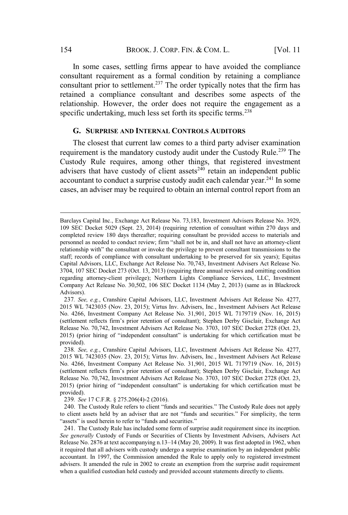In some cases, settling firms appear to have avoided the compliance consultant requirement as a formal condition by retaining a compliance consultant prior to settlement.<sup>237</sup> The order typically notes that the firm has retained a compliance consultant and describes some aspects of the relationship. However, the order does not require the engagement as a specific undertaking, much less set forth its specific terms. $^{238}$ 

### **G. SURPRISE AND INTERNAL CONTROLS AUDITORS**

The closest that current law comes to a third party adviser examination requirement is the mandatory custody audit under the Custody Rule.<sup>239</sup> The Custody Rule requires, among other things, that registered investment advisers that have custody of client assets<sup> $240$ </sup> retain an independent public accountant to conduct a surprise custody audit each calendar year.<sup>241</sup> In some cases, an adviser may be required to obtain an internal control report from an **G. SURPRISE AND INTERNAL CONTROLS AUDITORS**<br>The closest that current law comes to a third party adviser examination<br>requirement is the mandatory custody audit under the Custody Rule.<sup>239</sup> The<br>Custody Rule requires, among **G. SURPRISE AND INTERNAL CONTROLS AUDITORS**<br>The closest that current law comes to a third party adviser examination<br>requirement is the mandatory custody audit under the Custody Rule.<sup>239</sup> The<br>Custody Rule requires, among

Barclays Capital Inc., Exchange Act Release No. 73,183, Investment Advisers Release No. 3929, 109 SEC Docket 5029 (Sept. 23, 2014) (requiring retention of consultant within 270 days and completed review 180 days thereafter; requiring consultant be provided access to materials and relationship with" the consultant or invoke the privilege to prevent consultant transmissions to the staff; records of compliance with consultant undertaking to be preserved for six years); Equitas Capital Advisors, LLC, Exchange Act Release No. 70,743, Investment Advisers Act Release No. 3704, 107 SEC Docket 273 (Oct. 13, 2013) (requiring three annual reviews and omitting condition regarding attorney-client privilege); Northern Lights Compliance Services, LLC, Investment Company Act Release No. 30,502, 106 SEC Docket 1134 (May 2, 2013) (same as in Blackrock Advisors). Barclays Capital Inc., Exchange Act Release No. 73,183, Investment Advisers Release No. 3929,<br>109 SEC Docket 5029 (Sept. 23, 2014) (requiring retention of consultant within 270 days and<br>completed review 180 days thereafter Barclays Capital Inc., Exchange Act Release No. 73,183, Investment Advisers Release No. 3929,<br>109 SEC Docket 5029 (Sept. 23, 2014) (requiring retention of consultant within 270 days and<br>completed review 180 days thereafter

<sup>237</sup>*. See, e.g.*, Cranshire Capital Advisors, LLC, Investment Advisers Act Release No. 4277, 2015 WL 7423035 (Nov. 23, 2015); Virtus Inv. Advisers, Inc*.*, Investment Advisers Act Release No. 4266, Investment Company Act Release No. 31,901, 2015 WL 7179719 (Nov. 16, 2015) Release No. 70,742, Investment Advisers Act Release No. 3703, 107 SEC Docket 2728 (Oct. 23, 2015) (prior hiring of "independent consultant" is undertaking for which certification must be provided). erationship with the consultant of hove the priviege to prevent consultant unassissions of our Capital Advisors, LLC, Exchange Act Release No. 70,743, Investment Advisers Act Release No. 3704, 107 SEC Docket 273 (Oct. 13, Capital Advisors, L.C., Exchange Act Reease No. 70, 43, Investment Advisers Act Release No.<br>
3704, 107 SEC Docket 273 (Oct. 13, 2013) (requiring three annual reviews and omitting condition<br>
regarding attorney-client privil ord ded at the Custody Price in State State 1134 (May 2, 2015) (same as in Blackfock divisors).<br>
237. See, e.g., Cranshire Capital Advisors, LLC, Investment Advisers Act Release No. 4277,<br>
237. See, e.g., Cranshire Capital Advisers Act Release No. 426, Act Calify, The Capital Advisons, LLC, Investment Advisers Act Release No. 4277, 2015 WL 7423035 (Nov. 23, 2015); Virtus Inv. Advisers, Inc., Investment Advisers Act Release No. 4266, Investme

<sup>238</sup>*. See, e.g.*, Cranshire Capital Advisors, LLC, Investment Advisers Act Release No. 4277, 2015 WL 7423035 (Nov. 23, 2015); Virtus Inv. Advisers, Inc*.*, Investment Advisers Act Release No. 4266, Investment Company Act Release No. 31,901, 2015 WL 7179719 (Nov. 16, 2015) Release No. 70,742, Investment Advisers Act Release No. 3703, 107 SEC Docket 2728 (Oct. 23, provided). 251. *See, e.g.*, Cransnire Capital Advisors, LLC, Inv. 2015 WL 7423035 (Nov. 23, 2015); Virtus Inv. Advise No. 4266, Investment Company Act Release No. 31, (settlement reflects firm's prior retention of consultant Releas (seutement reflects times profrecention of consultant); seepend Derocket 2728 (Oct. 23, Release No. 70,742, Investment Advisers Act Release No. 3703, 107 SEC Docket 2728 (Oct. 23, 2015) (prior hiring of "independent consul

<sup>239</sup>*. See* 17 C.F.R. § 275.206(4)-2 (2016).

<sup>241</sup>. The Custody Rule has included some form of surprise audit requirement since its inception.

*See generally* Custody of Funds or Securities of Clients by Investment Advisers, Advisers Act it required that all advisers with custody undergo a surprise examination by an independent public accountant. In 1997, the Commission amended the Rule to apply only to registered investment advisers. It amended the rule in 2002 to create an exemption from the surprise audit requirement when a qualified custodian held custody and provided account statements directly to clients.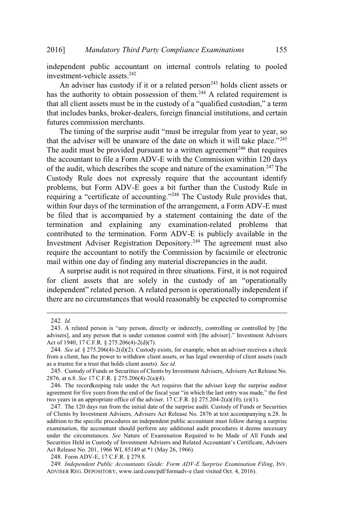independent public accountant on internal controls relating to pooled investment-vehicle assets.<sup>242</sup>

An adviser has custody if it or a related person<sup>243</sup> holds client assets or has the authority to obtain possession of them.<sup>244</sup> A related requirement is 6] Mandatory Third Party Compliance Examinations 155<br>
ependent public accountant on internal controls relating to pooled<br>
estment-vehicle assets.<sup>242</sup><br>
An adviser has custody if it or a related person<sup>243</sup> holds client as that includes banks, broker-dealers, foreign financial institutions, and certain futures commission merchants. Mandatory Third Party Compliance Examinations 155<br>
dent public accountant on internal controls relating to pooled<br>
ent-vehicle assets.<sup>242</sup><br>
adviser has custody if it or a related person<sup>243</sup> holds client assets or<br>
author 6] Mandatory Third Party Compliance Examinations 155<br>
ependent public accountant on internal controls relating to pooled<br>
stement-vehicle assets.<sup>242</sup><br>
An adviser has custody if it or a related person<sup>243</sup> holds client as

The audit must be provided pursuant to a written agreement<sup>246</sup> that requires the accountant to file a Form ADV-E with the Commission within 120 days of the audit, which describes the scope and nature of the examination.<sup>247</sup> The Custody Rule does not expressly require that the accountant identify problems, but Form ADV-E goes a bit further than the Custody Rule in *Mandatory Third Party Compliance Examinations* 155<br>tt public accountant on internal controls relating to pooled<br>-vehicle assets.<sup>242</sup><br>iser has custody if it or a related person<sup>243</sup> holds client assets or<br>hority to obtai within four days of the termination of the arrangement, a Form ADV-E must be filed that is accompanied by a statement containing the date of the termination and explaining any examination-related problems that contributed to the termination. Form ADV-E is publicly available in the Investment Adviser Registration Depository.<sup>249</sup> The agreement must also require the accountant to notify the Commission by facsimile or electronic mail within one day of finding any material discrepancies in the audit. The timing of the surprise and the which it will take place."<br>The timing of the surprise and the matter of the date on which it will take place."<sup>245</sup><br>e audit must be provided pursuant to a written agreement<sup>246</sup> that req The timing of the surprise audit "must be irregular from year to year, so that the adviser will be unaware of the date on which it will take place."<sup>245</sup> related problems and in the commission by the surprise and in the commission of the date on which it will take place.<sup>2245</sup><br>st be provided pursuant to a written agreement<sup>246</sup> that requires<br>to to file a Form ADV-E with th Film four days of the ermination of the arrangement, a Form ADV-E must<br>e filed that is accompanied by a statement containing the date of the<br>rrmination and explaining any examination-related problems that<br>ontributed to th be filed that is accompanied by a statement containing the date of the termination and explaining any examination-related problems that contributed to the termination. Form ADV-E is publicly available in the Investment Ad

A surprise audit is not required in three situations. First, it is not required there are no circumstances that would reasonably be expected to compromise A surprise audit is not required in three situations. First, it is not required<br>for client assets that are solely in the custody of an "operationally<br>independent" related person. A related person is operationally independ

<sup>242</sup>*. Id.*

advisers], and any person that is under common control with [the adviser]." Investment Advisers Act of 1940, 17 C.F.R.  $\S$  275.206(4)-2(d)(7).

<sup>244</sup>*. See id.* § 275.206(4)-2(d)(2). Custody exists, for example, when an adviser receives a check from a client, has the power to withdraw client assets, or has legal ownership of client assets (such as a trustee for a trust that holds client assets). *See id.*

<sup>245</sup>. Custody of Funds or Securities of Clients by Investment Advisers, Advisers Act Release No. 2876, at n.8. *See* 17 C.F.R. § 275.206(4)-2(a)(4).

<sup>246</sup>. The recordkeeping rule under the Act requires that the adviser keep the surprise auditor two years in an appropriate office of the adviser. 17 C.F.R.  $\S$   $\S$   $275.204-2(a)(10)$ , (e)(1).

<sup>247</sup>. The 120 days run from the initial date of the surprise audit. Custody of Funds or Securities of Clients by Investment Advisers, Advisers Act Release No. 2876 at text accompanying n.28. In addition to the specific procedures an independent public accountant must follow during a surprise examination, the accountant should perform any additional audit procedures it deems necessary under the circumstances. *See* Nature of Examination Required to be Made of All Funds and 242. *Id.* are the step is "any person, directly or indirectly, controlling or controlled by [the advisers], and any person that is under common control with [the adviser]." Investment Advisers Act of 1940, 17 C.F.R. § 27 Act Release No. 201, 1966 WL 85149 at \*1 (May 26, 1966).

<sup>248</sup>. Form ADV-E, 17 C.F.R. § 279.8.

<sup>249</sup>*. Independent Public Accountants Guide: Form ADV-E Surprise Examination Filing*, INV. ADVISER REG. DEPOSITORY, www.iard.com/pdf/formadv-e (last visited Oct. 4, 2016).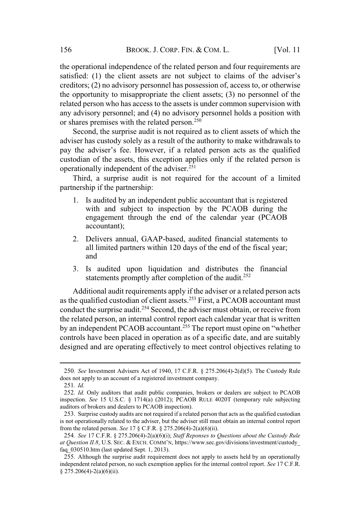the operational independence of the related person and four requirements are Satisfied: (1) the client assets are not subject to claims of the adviser's creditors; (2) no advisory personnel has possession of, access to, or otherwise the opportunity to misappropriate the client assets; (3) no personnel of the related person who has access to the assets is under common supervision with any advisory personnel; and (4) no advisory personnel holds a position with or shares premises with the related person.<sup>250</sup> BROOK. J. CORP. FIN. & COM. L. [Vol. 11<br>operational independence of the related person and four requirements are<br>sfied: (1) the client assets are not subject to claims of the adviser's<br>ditors; (2) no advisory personnel has

Second, the surprise audit is not required as to client assets of which the adviser has custody solely as a result of the authority to make withdrawals to custodian of the assets, this exception applies only if the related person is operationally independent of the adviser.<sup>251</sup>

Third, a surprise audit is not required for the account of a limited partnership if the partnership:

- 1. Is audited by an independent public accountant that is registered with and subject to inspection by the PCAOB during the engagement through the end of the calendar year (PCAOB accountant);
- 2. Delivers annual, GAAP-based, audited financial statements to all limited partners within 120 days of the end of the fiscal year; and
- 3. Is audited upon liquidation and distributes the financial statements promptly after completion of the audit.<sup>252</sup>

Additional audit requirements apply if the adviser or a related person acts as the qualified custodian of client assets.<sup>253</sup> First, a PCAOB accountant must conduct the surprise audit.<sup>254</sup> Second, the adviser must obtain, or receive from the related person, an internal control report each calendar year that is written Fractional materials and it is not required for the account of a limited<br>partnership if the partnership:<br>1. Is audited by an independent public accountant that is registered<br>with and subject to inspection by the PCAOB dur controls have been placed in operation as of a specific date, and are suitably designed and are operating effectively to meet control objectives relating to *ata II. MacHala Contention* **ICAOB accountant**.<sup>255</sup> The report must opine on "whether controls have been placed in operation as of a specific date, and are suitably designed and are operating effectively to meet cont

<sup>250</sup>*. See* Investment Advisers Act of 1940, 17 C.F.R. § 275.206(4)-2(d)(5). The Custody Rule does not apply to an account of a registered investment company.

<sup>251</sup>*. Id.*

<sup>252</sup>*. Id.* Only auditors that audit public companies, brokers or dealers are subject to PCAOB inspection. *See* 15 U.S.C. § 1714(a) (2012); PCAOB RULE 4020T (temporary rule subjecting auditors of brokers and dealers to PCAOB inspection).

<sup>253</sup>. Surprise custody audits are not required if a related person that acts as the qualified custodian is not operationally related to the adviser, but the adviser still must obtain an internal control report from the related person. *See* 17 § C.F.R. § 275.206(4)-2(a)(6)(ii).

<sup>254</sup>*. See* 17 C.F.R. § 275.206(4)-2(a)(6)(i); *Staff Reponses to Questions about the Custody Rule* faq\_030510.htm (last updated Sept. 1, 2013).

<sup>255</sup>. Although the surprise audit requirement does not apply to assets held by an operationally independent related person, no such exemption applies for the internal control report. *See* 17 C.F.R. § 275.206(4)-2(a)(6)(ii).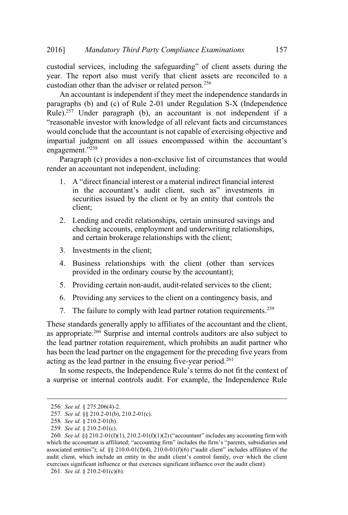year. The report also must verify that client assets are reconciled to a custodian other than the adviser or related person.<sup>256</sup>

An accountant is independent if they meet the independence standards in paragraphs (b) and (c) of Rule 2-01 under Regulation S-X (Independence Rule).<sup>257</sup> Under paragraph (b), an accountant is not independent if a Mandatory Third Party Compliance Examinations 157<br>
invices, including the safeguarding" of client assets during the<br>
report also must verify that client assets are reconciled to a<br>
ther than the adviser or related person.<sup></sup> would conclude that the accountant is not capable of exercising objective and *Mandatory Third Party Compliance Examinations* 157<br>services, including the safeguarding" of client assets during the<br>e report also must verify that client assets are reconciled to a<br>nother than the adviser or related per engagement."<sup>258</sup> Mandatory Third Party Compliance Examinations<br>
odial services, including the safeguarding" of client assets during<br>
. The report also must verify that client assets are reconciled<br>
odian other than the adviser or related andatory Third Party Compliance Examinations<br>
ces, including the safeguarding" of client assets during<br>
ort also must verify that client assets are reconciled<br>
than the adviser or related person.<sup>256</sup><br>
tant is independent

Paragraph (c) provides a non-exclusive list of circumstances that would render an accountant not independent, including:

- in the accountant's audit client, such as" investments in securities issued by the client or by an entity that controls the client;
- 2. Lending and credit relationships, certain uninsured savings and checking accounts, employment and underwriting relationships, and certain brokerage relationships with the client;
- 3. Investments in the client;
- 4. Business relationships with the client (other than services provided in the ordinary course by the accountant);
- 5. Providing certain non-audit, audit-related services to the client;
- 6. Providing any services to the client on a contingency basis, and
- 7. The failure to comply with lead partner rotation requirements.<sup>259</sup>

These standards generally apply to affiliates of the accountant and the client, as appropriate.<sup>260</sup> Surprise and internal controls auditors are also subject to the lead partner rotation requirement, which prohibits an audit partner who has been the lead partner on the engagement for the preceding five years from acting as the lead partner in the ensuing five-year period.<sup>261</sup> Lending and credit relationships, certain uninsured savings and checking accounts, employment and underwriting relationships, and certain brokerage relationships with the client; Investments in the client; Business relati These standards generally apply to affiliates of the accountant and the client,<br>s appropriate.<sup>260</sup> Surprise and internal controls auditors are also subject to<br>ne lead partner rotation requirement, which prohibits an audi These standards generally apply to affiliates of the accountant and the client,<br>as appropriate.<sup>260</sup> Surprise and internal controls auditors are also subject to<br>the lead partner rotation requirement, which prohibits an au as appropriate.<sup>260</sup> Surprise and internal controls auditors are also subject to<br>the lead partner rotation requirement, which prohibits an audit partner who<br>has been the lead partner on the engagement for the preceding fi

a surprise or internal controls audit. For example, the Independence Rule

<sup>256</sup>*. See id.* § 275.206(4)-2.

<sup>257</sup>*. See id.* §§ 210.2-01(b), 210.2-01(c).

<sup>258</sup>*. See id.* § 210.2-01(b).

<sup>259</sup>*. See id.* § 210.2-01(c). exercises significant influence or that exercises significant influence over the audit client).

<sup>261</sup>*. See id.* § 210.2-01(c)(6).